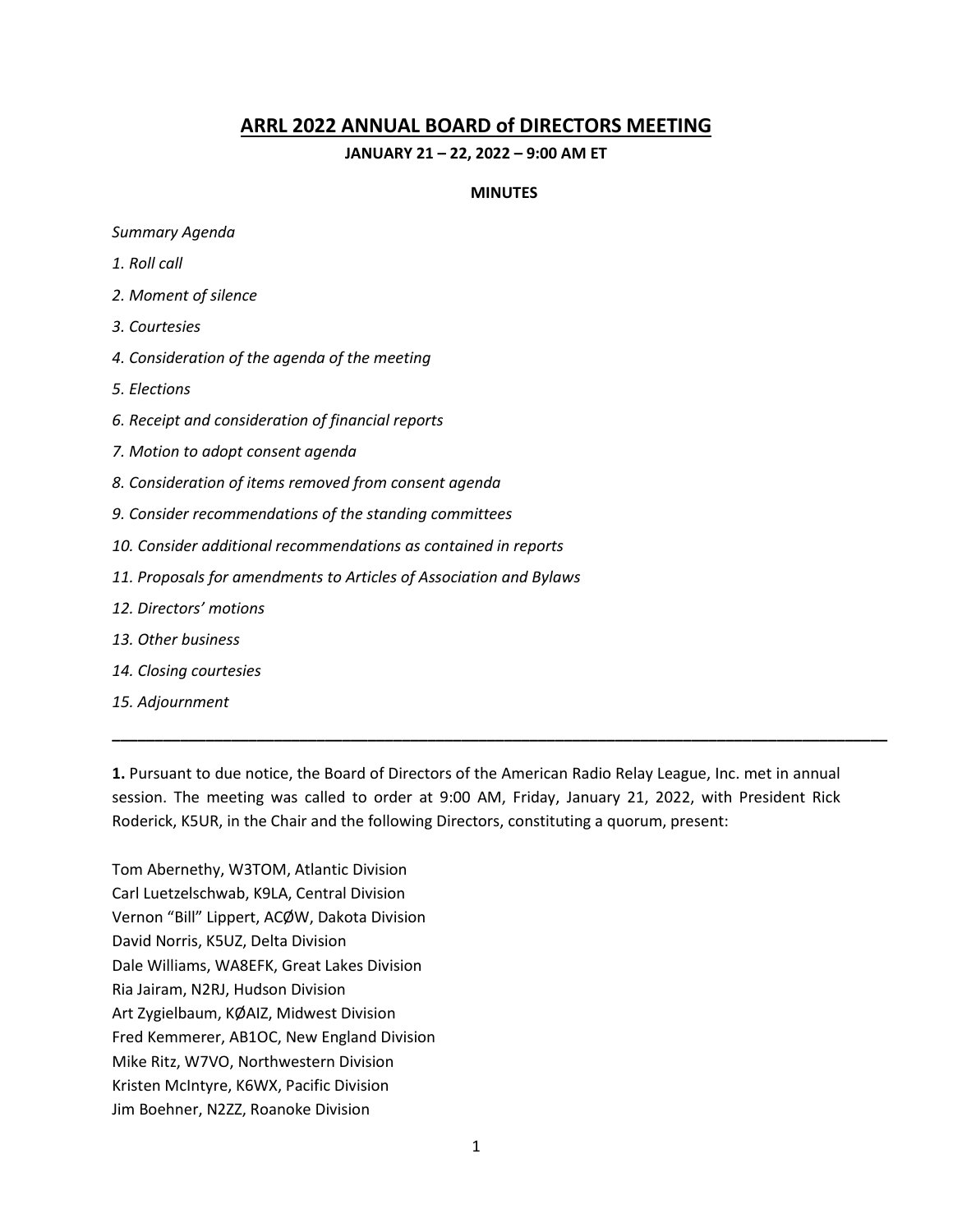### **ARRL 2022 ANNUAL BOARD of DIRECTORS MEETING**

#### **JANUARY 21 – 22, 2022 – 9:00 AM ET**

#### **MINUTES**

#### *Summary Agenda*

- *1. Roll call*
- *2. Moment of silence*
- *3. Courtesies*
- *4. Consideration of the agenda of the meeting*
- *5. Elections*
- *6. Receipt and consideration of financial reports*
- *7. Motion to adopt consent agenda*
- *8. Consideration of items removed from consent agenda*
- *9. Consider recommendations of the standing committees*
- *10. Consider additional recommendations as contained in reports*
- *11. Proposals for amendments to Articles of Association and Bylaws*
- *12. Directors' motions*
- *13. Other business*
- *14. Closing courtesies*
- *15. Adjournment*

**1.** Pursuant to due notice, the Board of Directors of the American Radio Relay League, Inc. met in annual session. The meeting was called to order at 9:00 AM, Friday, January 21, 2022, with President Rick Roderick, K5UR, in the Chair and the following Directors, constituting a quorum, present:

**\_\_\_\_\_\_\_\_\_\_\_\_\_\_\_\_\_\_\_\_\_\_\_\_\_\_\_\_\_\_\_\_\_\_\_\_\_\_\_\_\_\_\_\_\_\_\_\_\_\_\_\_\_\_\_\_\_\_\_\_\_\_\_\_\_\_\_\_\_\_\_\_\_\_\_\_\_\_\_\_\_\_\_\_\_\_\_\_\_\_\_**

Tom Abernethy, W3TOM, Atlantic Division Carl Luetzelschwab, K9LA, Central Division Vernon "Bill" Lippert, ACØW, Dakota Division David Norris, K5UZ, Delta Division Dale Williams, WA8EFK, Great Lakes Division Ria Jairam, N2RJ, Hudson Division Art Zygielbaum, KØAIZ, Midwest Division Fred Kemmerer, AB1OC, New England Division Mike Ritz, W7VO, Northwestern Division Kristen McIntyre, K6WX, Pacific Division Jim Boehner, N2ZZ, Roanoke Division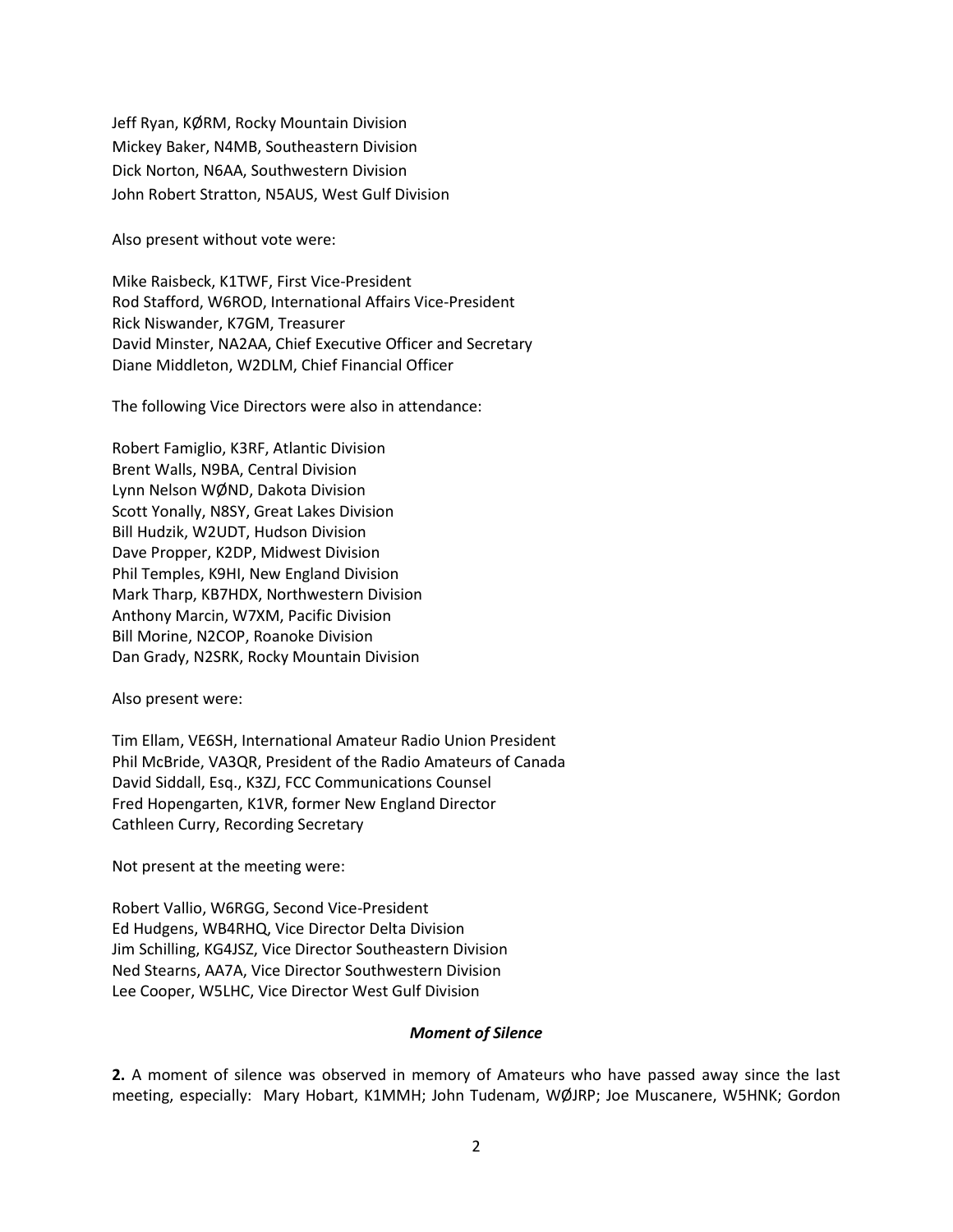Jeff Ryan, KØRM, Rocky Mountain Division Mickey Baker, N4MB, Southeastern Division Dick Norton, N6AA, Southwestern Division John Robert Stratton, N5AUS, West Gulf Division

Also present without vote were:

Mike Raisbeck, K1TWF, First Vice-President Rod Stafford, W6ROD, International Affairs Vice-President Rick Niswander, K7GM, Treasurer David Minster, NA2AA, Chief Executive Officer and Secretary Diane Middleton, W2DLM, Chief Financial Officer

The following Vice Directors were also in attendance:

Robert Famiglio, K3RF, Atlantic Division Brent Walls, N9BA, Central Division Lynn Nelson WØND, Dakota Division Scott Yonally, N8SY, Great Lakes Division Bill Hudzik, W2UDT, Hudson Division Dave Propper, K2DP, Midwest Division Phil Temples, K9HI, New England Division Mark Tharp, KB7HDX, Northwestern Division Anthony Marcin, W7XM, Pacific Division Bill Morine, N2COP, Roanoke Division Dan Grady, N2SRK, Rocky Mountain Division

Also present were:

Tim Ellam, VE6SH, International Amateur Radio Union President Phil McBride, VA3QR, President of the Radio Amateurs of Canada David Siddall, Esq., K3ZJ, FCC Communications Counsel Fred Hopengarten, K1VR, former New England Director Cathleen Curry, Recording Secretary

Not present at the meeting were:

Robert Vallio, W6RGG, Second Vice-President Ed Hudgens, WB4RHQ, Vice Director Delta Division Jim Schilling, KG4JSZ, Vice Director Southeastern Division Ned Stearns, AA7A, Vice Director Southwestern Division Lee Cooper, W5LHC, Vice Director West Gulf Division

#### *Moment of Silence*

**2.** A moment of silence was observed in memory of Amateurs who have passed away since the last meeting, especially: Mary Hobart, K1MMH; John Tudenam, WØJRP; Joe Muscanere, W5HNK; Gordon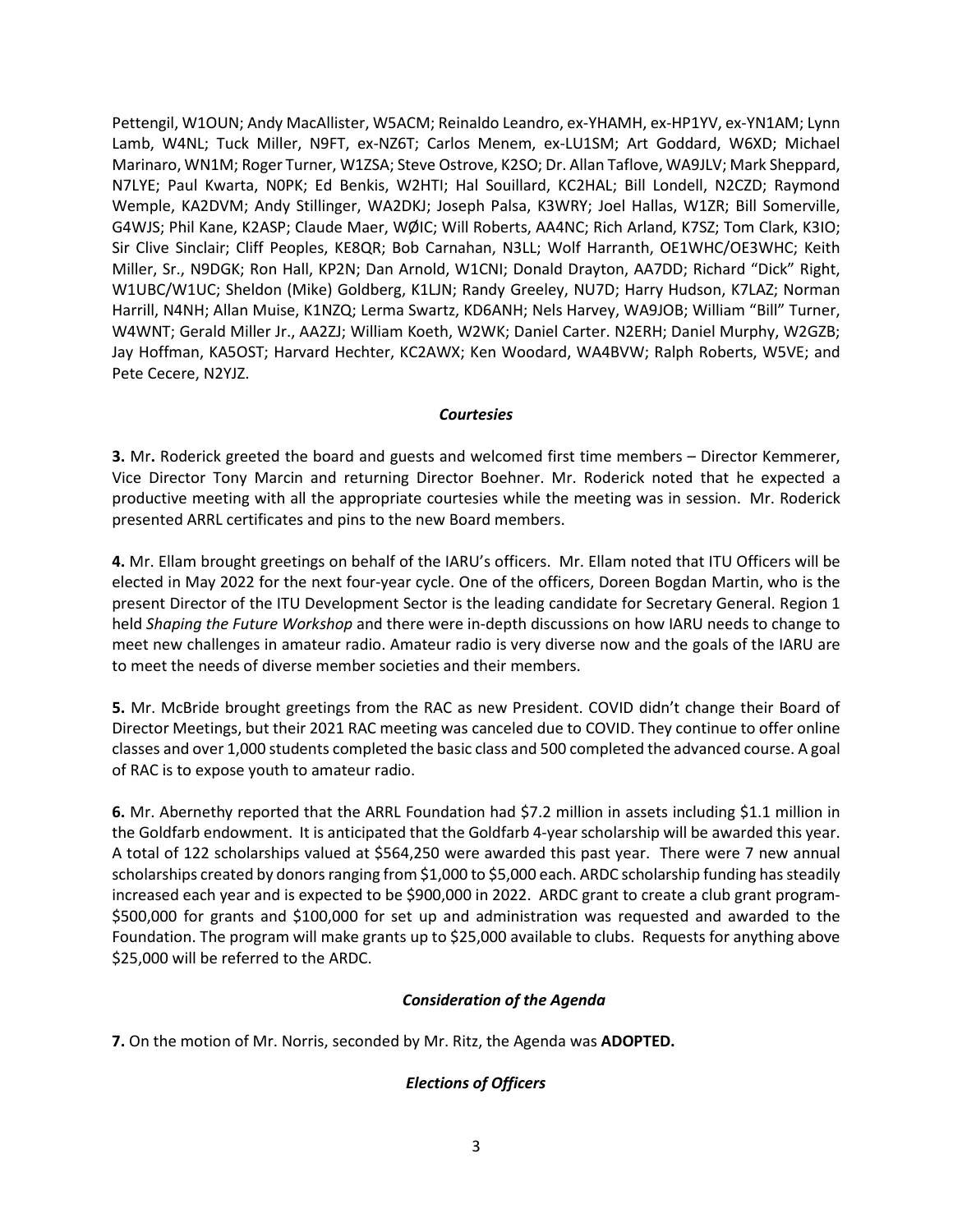Pettengil, W1OUN; Andy MacAllister, W5ACM; Reinaldo Leandro, ex-YHAMH, ex-HP1YV, ex-YN1AM; Lynn Lamb, W4NL; Tuck Miller, N9FT, ex-NZ6T; Carlos Menem, ex-LU1SM; Art Goddard, W6XD; Michael Marinaro, WN1M; Roger Turner, W1ZSA; Steve Ostrove, K2SO; Dr. Allan Taflove, WA9JLV; Mark Sheppard, N7LYE; Paul Kwarta, N0PK; Ed Benkis, W2HTI; Hal Souillard, KC2HAL; Bill Londell, N2CZD; Raymond Wemple, KA2DVM; Andy Stillinger, WA2DKJ; Joseph Palsa, K3WRY; Joel Hallas, W1ZR; Bill Somerville, G4WJS; Phil Kane, K2ASP; Claude Maer, WØIC; Will Roberts, AA4NC; Rich Arland, K7SZ; Tom Clark, K3IO; Sir Clive Sinclair; Cliff Peoples, KE8QR; Bob Carnahan, N3LL; Wolf Harranth, OE1WHC/OE3WHC; Keith Miller, Sr., N9DGK; Ron Hall, KP2N; Dan Arnold, W1CNI; Donald Drayton, AA7DD; Richard "Dick" Right, W1UBC/W1UC; Sheldon (Mike) Goldberg, K1LJN; Randy Greeley, NU7D; Harry Hudson, K7LAZ; Norman Harrill, N4NH; Allan Muise, K1NZQ; Lerma Swartz, KD6ANH; Nels Harvey, WA9JOB; William "Bill" Turner, W4WNT; Gerald Miller Jr., AA2ZJ; William Koeth, W2WK; Daniel Carter. N2ERH; Daniel Murphy, W2GZB; Jay Hoffman, KA5OST; Harvard Hechter, KC2AWX; Ken Woodard, WA4BVW; Ralph Roberts, W5VE; and Pete Cecere, N2YJZ.

#### *Courtesies*

**3.** Mr**.** Roderick greeted the board and guests and welcomed first time members – Director Kemmerer, Vice Director Tony Marcin and returning Director Boehner. Mr. Roderick noted that he expected a productive meeting with all the appropriate courtesies while the meeting was in session. Mr. Roderick presented ARRL certificates and pins to the new Board members.

**4.** Mr. Ellam brought greetings on behalf of the IARU's officers. Mr. Ellam noted that ITU Officers will be elected in May 2022 for the next four-year cycle. One of the officers, Doreen Bogdan Martin, who is the present Director of the ITU Development Sector is the leading candidate for Secretary General. Region 1 held *Shaping the Future Workshop* and there were in-depth discussions on how IARU needs to change to meet new challenges in amateur radio. Amateur radio is very diverse now and the goals of the IARU are to meet the needs of diverse member societies and their members.

**5.** Mr. McBride brought greetings from the RAC as new President. COVID didn't change their Board of Director Meetings, but their 2021 RAC meeting was canceled due to COVID. They continue to offer online classes and over 1,000 students completed the basic class and 500 completed the advanced course. A goal of RAC is to expose youth to amateur radio.

**6.** Mr. Abernethy reported that the ARRL Foundation had \$7.2 million in assets including \$1.1 million in the Goldfarb endowment. It is anticipated that the Goldfarb 4-year scholarship will be awarded this year. A total of 122 scholarships valued at \$564,250 were awarded this past year. There were 7 new annual scholarships created by donors ranging from \$1,000 to \$5,000 each. ARDC scholarship funding has steadily increased each year and is expected to be \$900,000 in 2022. ARDC grant to create a club grant program- \$500,000 for grants and \$100,000 for set up and administration was requested and awarded to the Foundation. The program will make grants up to \$25,000 available to clubs. Requests for anything above \$25,000 will be referred to the ARDC.

#### *Consideration of the Agenda*

**7.** On the motion of Mr. Norris, seconded by Mr. Ritz, the Agenda was **ADOPTED.**

#### *Elections of Officers*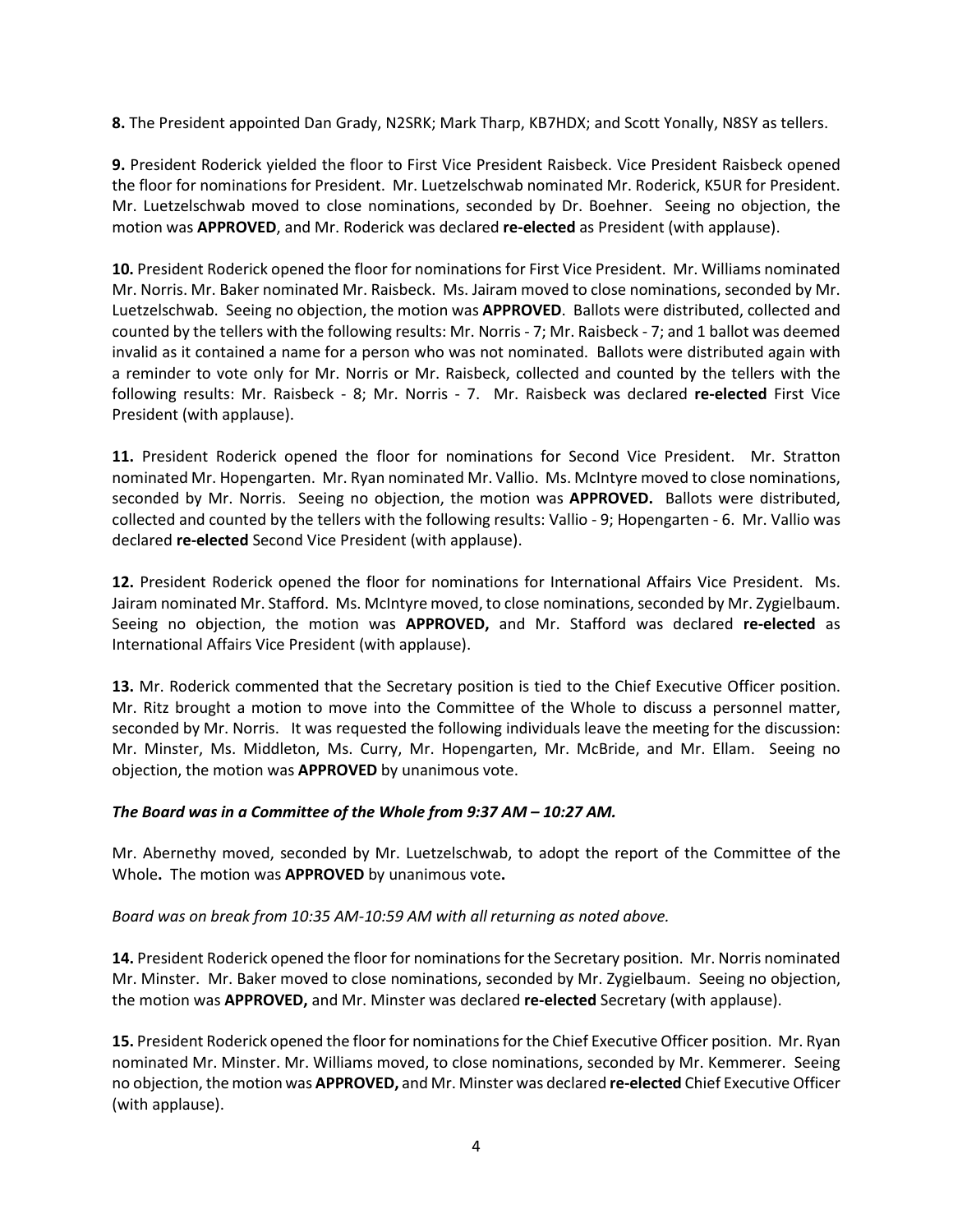**8.** The President appointed Dan Grady, N2SRK; Mark Tharp, KB7HDX; and Scott Yonally, N8SY as tellers.

**9.** President Roderick yielded the floor to First Vice President Raisbeck. Vice President Raisbeck opened the floor for nominations for President. Mr. Luetzelschwab nominated Mr. Roderick, K5UR for President. Mr. Luetzelschwab moved to close nominations, seconded by Dr. Boehner. Seeing no objection, the motion was **APPROVED**, and Mr. Roderick was declared **re-elected** as President (with applause).

**10.** President Roderick opened the floor for nominations for First Vice President. Mr. Williams nominated Mr. Norris. Mr. Baker nominated Mr. Raisbeck. Ms. Jairam moved to close nominations, seconded by Mr. Luetzelschwab. Seeing no objection, the motion was **APPROVED**. Ballots were distributed, collected and counted by the tellers with the following results: Mr. Norris - 7; Mr. Raisbeck - 7; and 1 ballot was deemed invalid as it contained a name for a person who was not nominated. Ballots were distributed again with a reminder to vote only for Mr. Norris or Mr. Raisbeck, collected and counted by the tellers with the following results: Mr. Raisbeck - 8; Mr. Norris - 7. Mr. Raisbeck was declared **re-elected** First Vice President (with applause).

**11.** President Roderick opened the floor for nominations for Second Vice President. Mr. Stratton nominated Mr. Hopengarten. Mr. Ryan nominated Mr. Vallio. Ms. McIntyre moved to close nominations, seconded by Mr. Norris. Seeing no objection, the motion was **APPROVED.** Ballots were distributed, collected and counted by the tellers with the following results: Vallio - 9; Hopengarten - 6. Mr. Vallio was declared **re-elected** Second Vice President (with applause).

**12.** President Roderick opened the floor for nominations for International Affairs Vice President. Ms. Jairam nominated Mr. Stafford. Ms. McIntyre moved, to close nominations, seconded by Mr. Zygielbaum. Seeing no objection, the motion was **APPROVED,** and Mr. Stafford was declared **re-elected** as International Affairs Vice President (with applause).

**13.** Mr. Roderick commented that the Secretary position is tied to the Chief Executive Officer position. Mr. Ritz brought a motion to move into the Committee of the Whole to discuss a personnel matter, seconded by Mr. Norris. It was requested the following individuals leave the meeting for the discussion: Mr. Minster, Ms. Middleton, Ms. Curry, Mr. Hopengarten, Mr. McBride, and Mr. Ellam. Seeing no objection, the motion was **APPROVED** by unanimous vote.

#### *The Board was in a Committee of the Whole from 9:37 AM – 10:27 AM.*

Mr. Abernethy moved, seconded by Mr. Luetzelschwab, to adopt the report of the Committee of the Whole**.** The motion was **APPROVED** by unanimous vote**.**

*Board was on break from 10:35 AM-10:59 AM with all returning as noted above.*

**14.** President Roderick opened the floor for nominations for the Secretary position. Mr. Norris nominated Mr. Minster. Mr. Baker moved to close nominations, seconded by Mr. Zygielbaum. Seeing no objection, the motion was **APPROVED,** and Mr. Minster was declared **re-elected** Secretary (with applause).

**15.** President Roderick opened the floor for nominations for the Chief Executive Officer position. Mr. Ryan nominated Mr. Minster. Mr. Williams moved, to close nominations, seconded by Mr. Kemmerer. Seeing no objection, the motion was **APPROVED,** and Mr. Minster was declared **re-elected** Chief Executive Officer (with applause).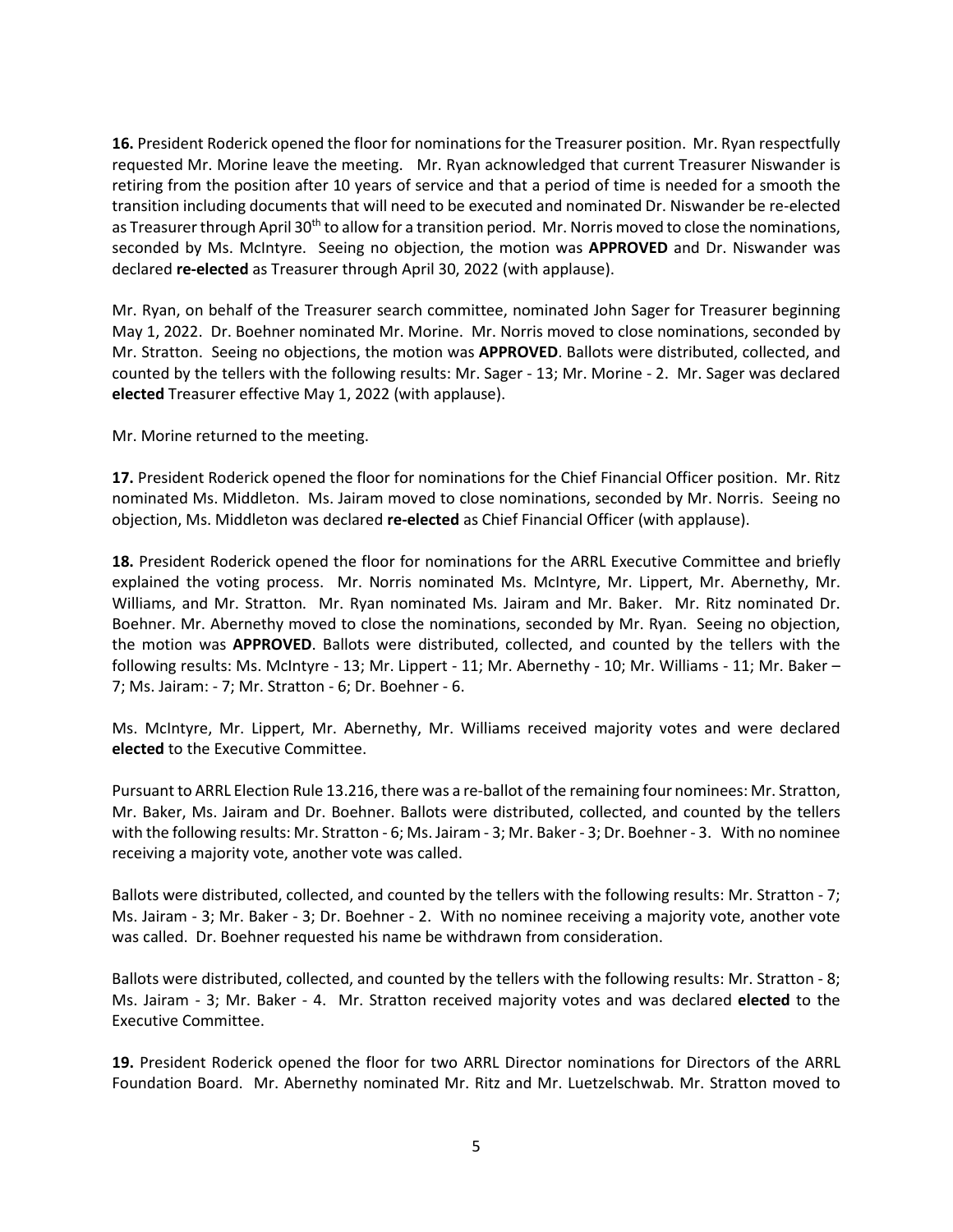**16.** President Roderick opened the floor for nominations for the Treasurer position.Mr. Ryan respectfully requested Mr. Morine leave the meeting. Mr. Ryan acknowledged that current Treasurer Niswander is retiring from the position after 10 years of service and that a period of time is needed for a smooth the transition including documents that will need to be executed and nominated Dr. Niswander be re-elected as Treasurer through April 30<sup>th</sup> to allow for a transition period. Mr. Norris moved to close the nominations, seconded by Ms. McIntyre. Seeing no objection, the motion was **APPROVED** and Dr. Niswander was declared **re-elected** as Treasurer through April 30, 2022 (with applause).

Mr. Ryan, on behalf of the Treasurer search committee, nominated John Sager for Treasurer beginning May 1, 2022. Dr. Boehner nominated Mr. Morine. Mr. Norris moved to close nominations, seconded by Mr. Stratton. Seeing no objections, the motion was **APPROVED**. Ballots were distributed, collected, and counted by the tellers with the following results: Mr. Sager - 13; Mr. Morine - 2. Mr. Sager was declared **elected** Treasurer effective May 1, 2022 (with applause).

Mr. Morine returned to the meeting.

**17.** President Roderick opened the floor for nominations for the Chief Financial Officer position. Mr. Ritz nominated Ms. Middleton. Ms. Jairam moved to close nominations, seconded by Mr. Norris. Seeing no objection, Ms. Middleton was declared **re-elected** as Chief Financial Officer (with applause).

**18.** President Roderick opened the floor for nominations for the ARRL Executive Committee and briefly explained the voting process. Mr. Norris nominated Ms. McIntyre, Mr. Lippert, Mr. Abernethy, Mr. Williams, and Mr. Stratton. Mr. Ryan nominated Ms. Jairam and Mr. Baker. Mr. Ritz nominated Dr. Boehner. Mr. Abernethy moved to close the nominations, seconded by Mr. Ryan. Seeing no objection, the motion was **APPROVED**. Ballots were distributed, collected, and counted by the tellers with the following results: Ms. McIntyre - 13; Mr. Lippert - 11; Mr. Abernethy - 10; Mr. Williams - 11; Mr. Baker – 7; Ms. Jairam: - 7; Mr. Stratton - 6; Dr. Boehner - 6.

Ms. McIntyre, Mr. Lippert, Mr. Abernethy, Mr. Williams received majority votes and were declared **elected** to the Executive Committee.

Pursuant to ARRL Election Rule 13.216, there was a re-ballot of the remaining four nominees: Mr. Stratton, Mr. Baker, Ms. Jairam and Dr. Boehner. Ballots were distributed, collected, and counted by the tellers with the following results: Mr. Stratton - 6; Ms. Jairam - 3; Mr. Baker- 3; Dr. Boehner - 3. With no nominee receiving a majority vote, another vote was called.

Ballots were distributed, collected, and counted by the tellers with the following results: Mr. Stratton - 7; Ms. Jairam - 3; Mr. Baker - 3; Dr. Boehner - 2. With no nominee receiving a majority vote, another vote was called. Dr. Boehner requested his name be withdrawn from consideration.

Ballots were distributed, collected, and counted by the tellers with the following results: Mr. Stratton - 8; Ms. Jairam - 3; Mr. Baker - 4. Mr. Stratton received majority votes and was declared **elected** to the Executive Committee.

**19.** President Roderick opened the floor for two ARRL Director nominations for Directors of the ARRL Foundation Board. Mr. Abernethy nominated Mr. Ritz and Mr. Luetzelschwab. Mr. Stratton moved to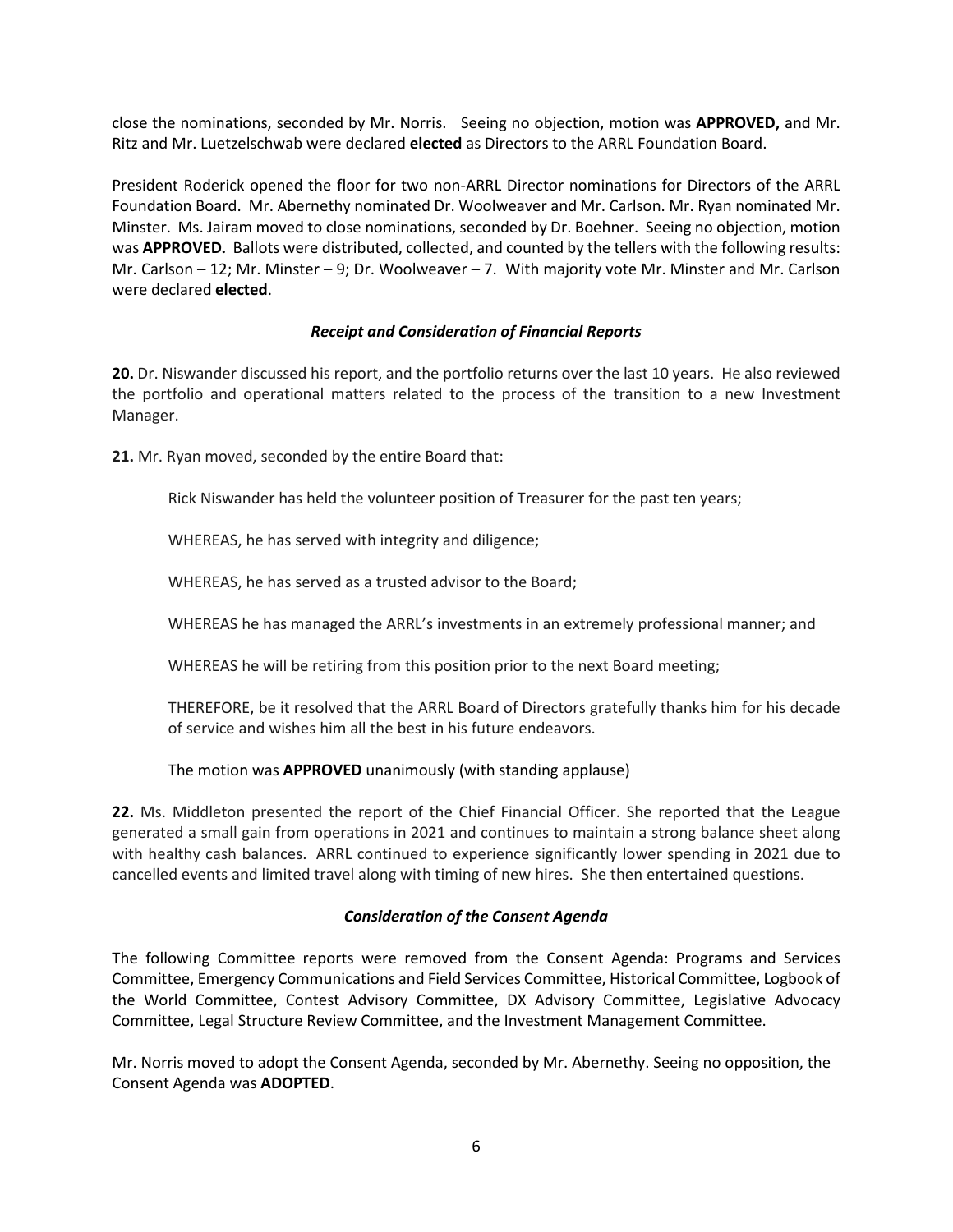close the nominations, seconded by Mr. Norris. Seeing no objection, motion was **APPROVED,** and Mr. Ritz and Mr. Luetzelschwab were declared **elected** as Directors to the ARRL Foundation Board.

President Roderick opened the floor for two non-ARRL Director nominations for Directors of the ARRL Foundation Board. Mr. Abernethy nominated Dr. Woolweaver and Mr. Carlson. Mr. Ryan nominated Mr. Minster. Ms. Jairam moved to close nominations, seconded by Dr. Boehner. Seeing no objection, motion was **APPROVED.** Ballots were distributed, collected, and counted by the tellers with the following results: Mr. Carlson – 12; Mr. Minster – 9; Dr. Woolweaver – 7. With majority vote Mr. Minster and Mr. Carlson were declared **elected**.

#### *Receipt and Consideration of Financial Reports*

**20.** Dr. Niswander discussed his report, and the portfolio returns over the last 10 years. He also reviewed the portfolio and operational matters related to the process of the transition to a new Investment Manager.

**21.** Mr. Ryan moved, seconded by the entire Board that:

Rick Niswander has held the volunteer position of Treasurer for the past ten years;

WHEREAS, he has served with integrity and diligence;

WHEREAS, he has served as a trusted advisor to the Board;

WHEREAS he has managed the ARRL's investments in an extremely professional manner; and

WHEREAS he will be retiring from this position prior to the next Board meeting;

THEREFORE, be it resolved that the ARRL Board of Directors gratefully thanks him for his decade of service and wishes him all the best in his future endeavors.

The motion was **APPROVED** unanimously (with standing applause)

**22.** Ms. Middleton presented the report of the Chief Financial Officer. She reported that the League generated a small gain from operations in 2021 and continues to maintain a strong balance sheet along with healthy cash balances. ARRL continued to experience significantly lower spending in 2021 due to cancelled events and limited travel along with timing of new hires. She then entertained questions.

#### *Consideration of the Consent Agenda*

The following Committee reports were removed from the Consent Agenda: Programs and Services Committee, Emergency Communications and Field Services Committee, Historical Committee, Logbook of the World Committee, Contest Advisory Committee, DX Advisory Committee, Legislative Advocacy Committee, Legal Structure Review Committee, and the Investment Management Committee.

Mr. Norris moved to adopt the Consent Agenda, seconded by Mr. Abernethy. Seeing no opposition, the Consent Agenda was **ADOPTED**.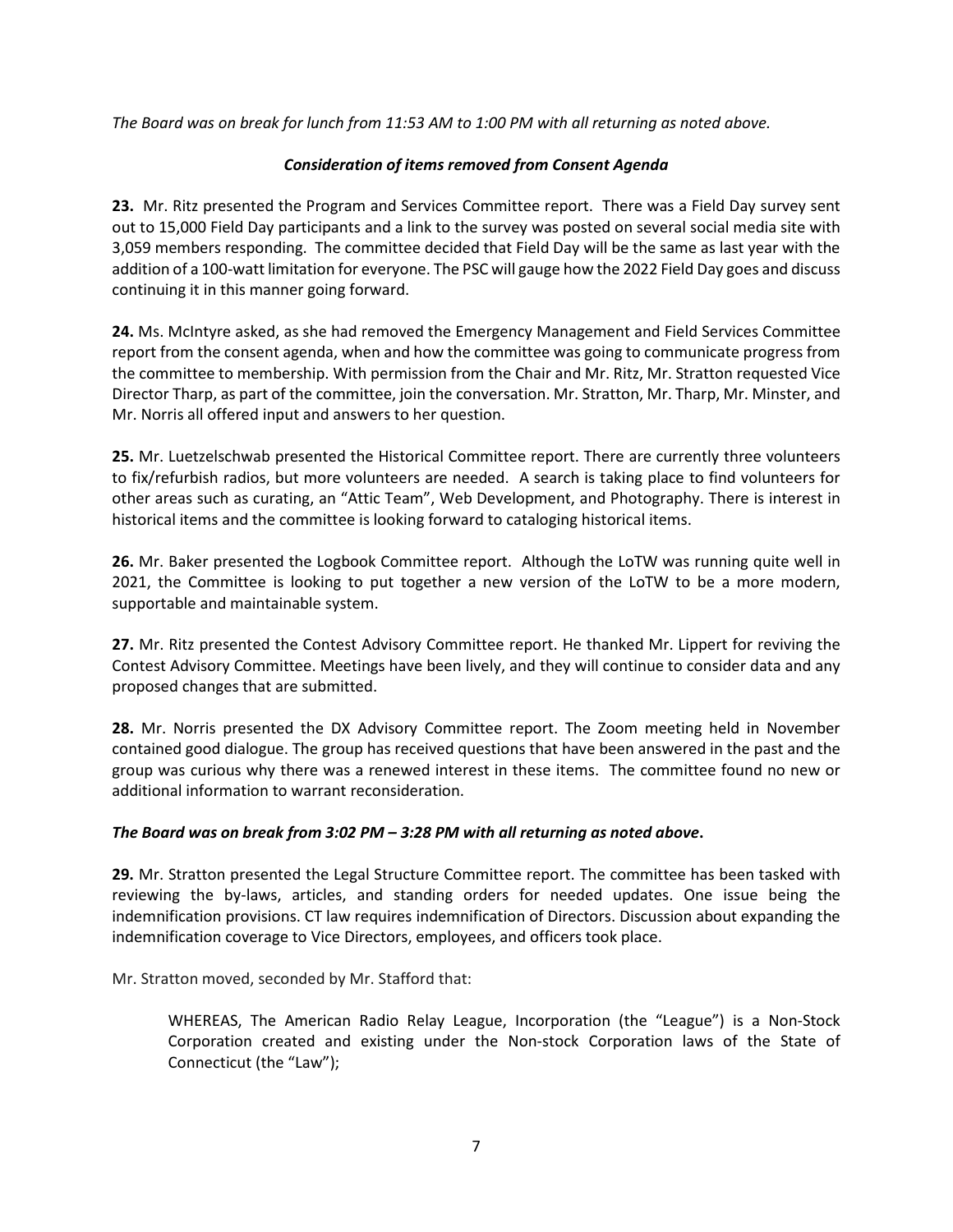*The Board was on break for lunch from 11:53 AM to 1:00 PM with all returning as noted above.*

#### *Consideration of items removed from Consent Agenda*

**23.** Mr. Ritz presented the Program and Services Committee report. There was a Field Day survey sent out to 15,000 Field Day participants and a link to the survey was posted on several social media site with 3,059 members responding. The committee decided that Field Day will be the same as last year with the addition of a 100-watt limitation for everyone. The PSC will gauge how the 2022 Field Day goes and discuss continuing it in this manner going forward.

**24.** Ms. McIntyre asked, as she had removed the Emergency Management and Field Services Committee report from the consent agenda, when and how the committee was going to communicate progress from the committee to membership. With permission from the Chair and Mr. Ritz, Mr. Stratton requested Vice Director Tharp, as part of the committee, join the conversation. Mr. Stratton, Mr. Tharp, Mr. Minster, and Mr. Norris all offered input and answers to her question.

**25.** Mr. Luetzelschwab presented the Historical Committee report. There are currently three volunteers to fix/refurbish radios, but more volunteers are needed. A search is taking place to find volunteers for other areas such as curating, an "Attic Team", Web Development, and Photography. There is interest in historical items and the committee is looking forward to cataloging historical items.

**26.** Mr. Baker presented the Logbook Committee report. Although the LoTW was running quite well in 2021, the Committee is looking to put together a new version of the LoTW to be a more modern, supportable and maintainable system.

**27.** Mr. Ritz presented the Contest Advisory Committee report. He thanked Mr. Lippert for reviving the Contest Advisory Committee. Meetings have been lively, and they will continue to consider data and any proposed changes that are submitted.

**28.** Mr. Norris presented the DX Advisory Committee report. The Zoom meeting held in November contained good dialogue. The group has received questions that have been answered in the past and the group was curious why there was a renewed interest in these items. The committee found no new or additional information to warrant reconsideration.

#### *The Board was on break from 3:02 PM – 3:28 PM with all returning as noted above***.**

**29.** Mr. Stratton presented the Legal Structure Committee report. The committee has been tasked with reviewing the by-laws, articles, and standing orders for needed updates. One issue being the indemnification provisions. CT law requires indemnification of Directors. Discussion about expanding the indemnification coverage to Vice Directors, employees, and officers took place.

Mr. Stratton moved, seconded by Mr. Stafford that:

WHEREAS, The American Radio Relay League, Incorporation (the "League") is a Non-Stock Corporation created and existing under the Non-stock Corporation laws of the State of Connecticut (the "Law");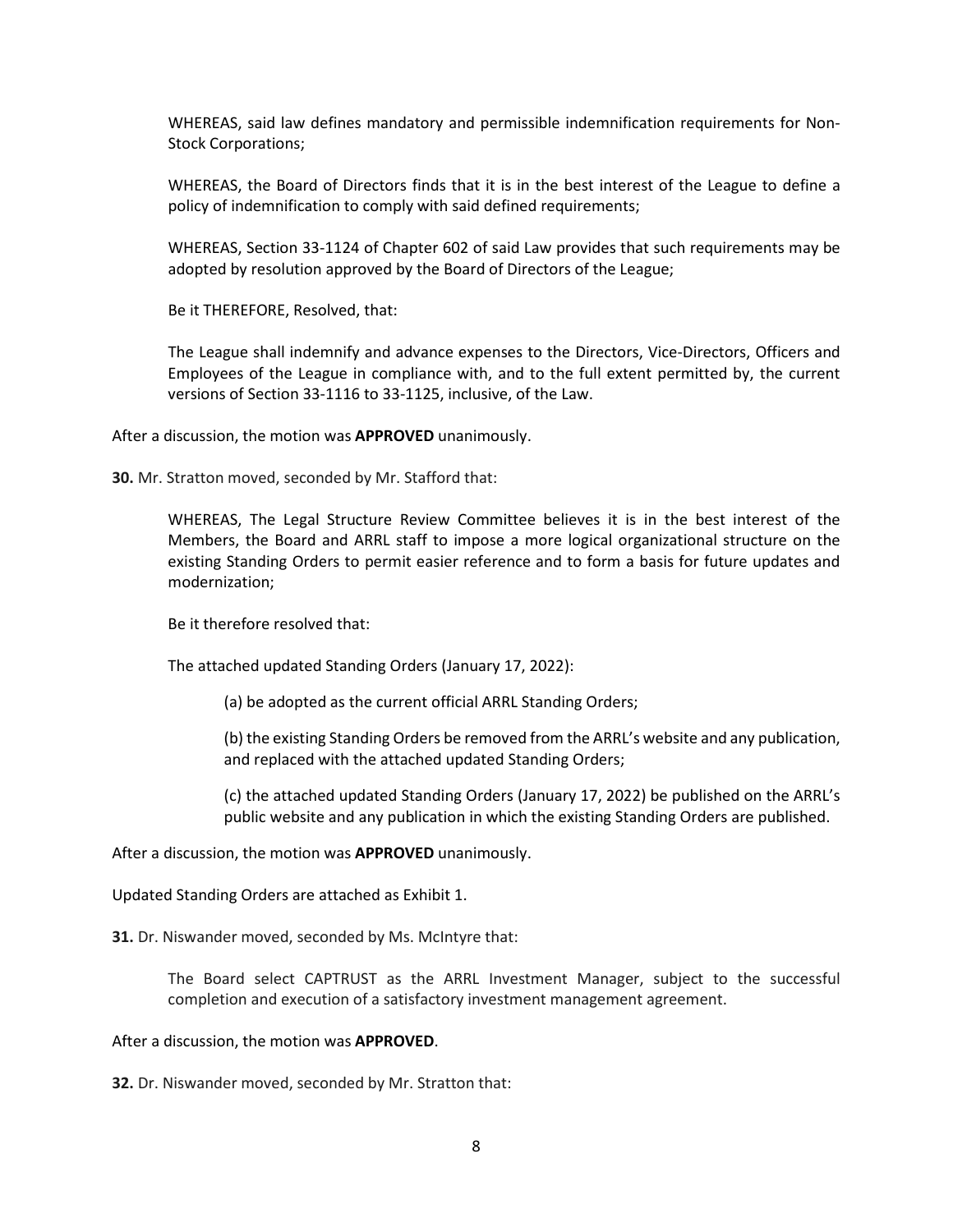WHEREAS, said law defines mandatory and permissible indemnification requirements for Non-Stock Corporations;

WHEREAS, the Board of Directors finds that it is in the best interest of the League to define a policy of indemnification to comply with said defined requirements;

WHEREAS, Section 33-1124 of Chapter 602 of said Law provides that such requirements may be adopted by resolution approved by the Board of Directors of the League;

Be it THEREFORE, Resolved, that:

The League shall indemnify and advance expenses to the Directors, Vice-Directors, Officers and Employees of the League in compliance with, and to the full extent permitted by, the current versions of Section 33-1116 to 33-1125, inclusive, of the Law.

After a discussion, the motion was **APPROVED** unanimously.

**30.** Mr. Stratton moved, seconded by Mr. Stafford that:

WHEREAS, The Legal Structure Review Committee believes it is in the best interest of the Members, the Board and ARRL staff to impose a more logical organizational structure on the existing Standing Orders to permit easier reference and to form a basis for future updates and modernization;

Be it therefore resolved that:

The attached updated Standing Orders (January 17, 2022):

(a) be adopted as the current official ARRL Standing Orders;

(b) the existing Standing Orders be removed from the ARRL's website and any publication, and replaced with the attached updated Standing Orders;

(c) the attached updated Standing Orders (January 17, 2022) be published on the ARRL's public website and any publication in which the existing Standing Orders are published.

After a discussion, the motion was **APPROVED** unanimously.

Updated Standing Orders are attached as Exhibit 1.

**31.** Dr. Niswander moved, seconded by Ms. McIntyre that:

The Board select CAPTRUST as the ARRL Investment Manager, subject to the successful completion and execution of a satisfactory investment management agreement.

After a discussion, the motion was **APPROVED**.

**32.** Dr. Niswander moved, seconded by Mr. Stratton that: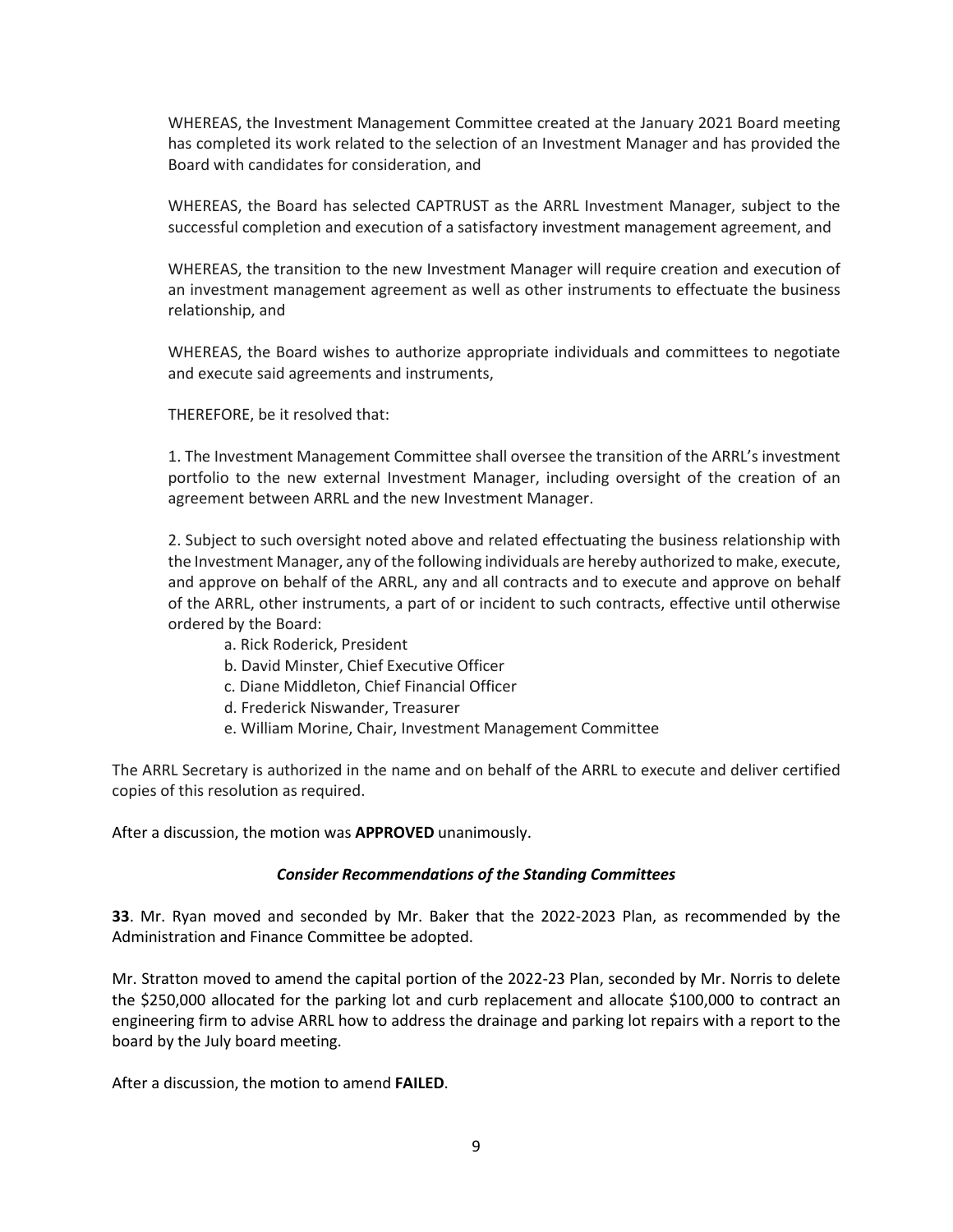WHEREAS, the Investment Management Committee created at the January 2021 Board meeting has completed its work related to the selection of an Investment Manager and has provided the Board with candidates for consideration, and

WHEREAS, the Board has selected CAPTRUST as the ARRL Investment Manager, subject to the successful completion and execution of a satisfactory investment management agreement, and

WHEREAS, the transition to the new Investment Manager will require creation and execution of an investment management agreement as well as other instruments to effectuate the business relationship, and

WHEREAS, the Board wishes to authorize appropriate individuals and committees to negotiate and execute said agreements and instruments,

THEREFORE, be it resolved that:

1. The Investment Management Committee shall oversee the transition of the ARRL's investment portfolio to the new external Investment Manager, including oversight of the creation of an agreement between ARRL and the new Investment Manager.

2. Subject to such oversight noted above and related effectuating the business relationship with the Investment Manager, any of the following individuals are hereby authorized to make, execute, and approve on behalf of the ARRL, any and all contracts and to execute and approve on behalf of the ARRL, other instruments, a part of or incident to such contracts, effective until otherwise ordered by the Board:

- a. Rick Roderick, President
- b. David Minster, Chief Executive Officer
- c. Diane Middleton, Chief Financial Officer
- d. Frederick Niswander, Treasurer
- e. William Morine, Chair, Investment Management Committee

The ARRL Secretary is authorized in the name and on behalf of the ARRL to execute and deliver certified copies of this resolution as required.

After a discussion, the motion was **APPROVED** unanimously.

#### *Consider Recommendations of the Standing Committees*

**33**. Mr. Ryan moved and seconded by Mr. Baker that the 2022-2023 Plan, as recommended by the Administration and Finance Committee be adopted.

Mr. Stratton moved to amend the capital portion of the 2022-23 Plan, seconded by Mr. Norris to delete the \$250,000 allocated for the parking lot and curb replacement and allocate \$100,000 to contract an engineering firm to advise ARRL how to address the drainage and parking lot repairs with a report to the board by the July board meeting.

After a discussion, the motion to amend **FAILED**.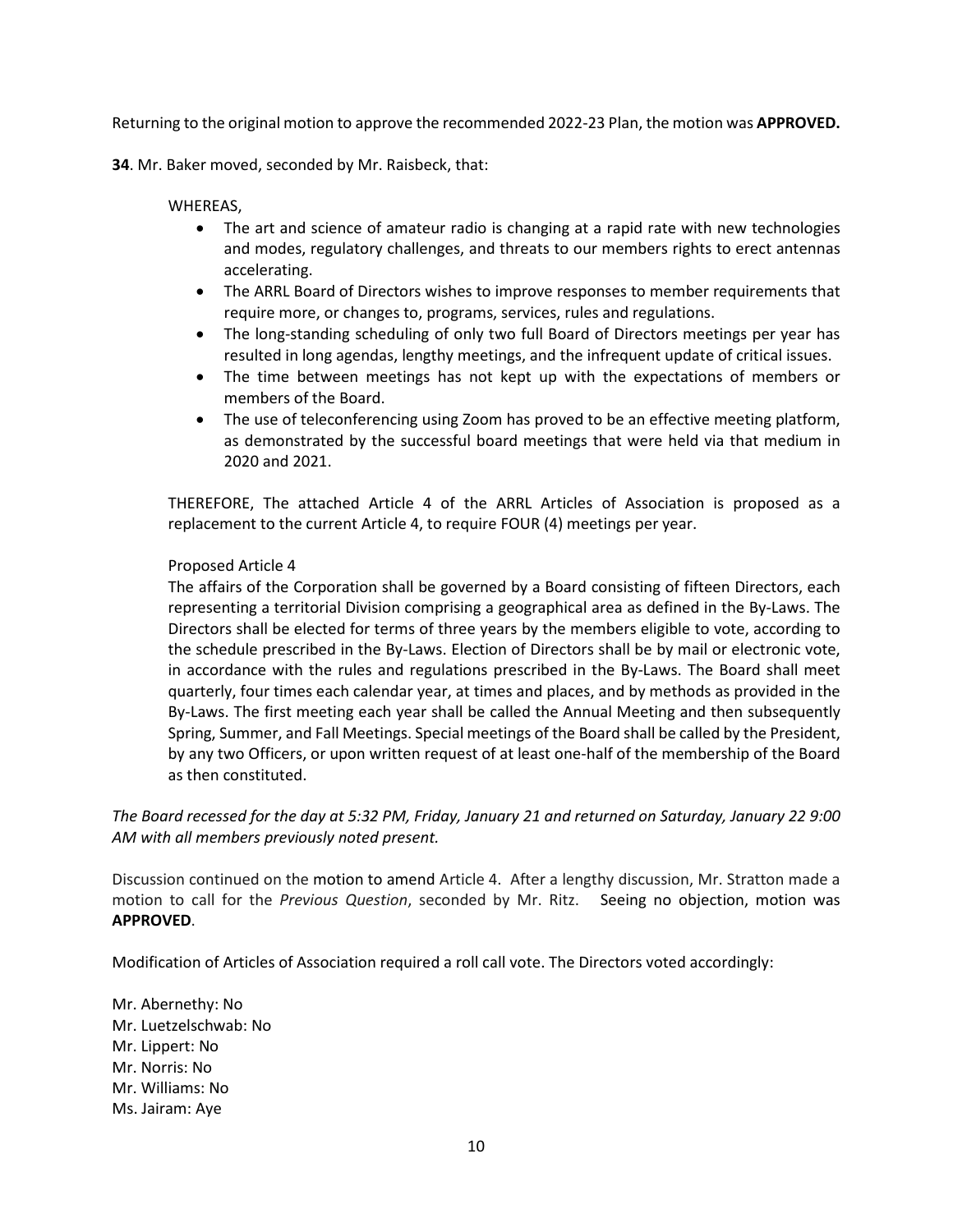Returning to the original motion to approve the recommended 2022-23 Plan, the motion was **APPROVED.**

**34**. Mr. Baker moved, seconded by Mr. Raisbeck, that:

#### WHEREAS,

- The art and science of amateur radio is changing at a rapid rate with new technologies and modes, regulatory challenges, and threats to our members rights to erect antennas accelerating.
- The ARRL Board of Directors wishes to improve responses to member requirements that require more, or changes to, programs, services, rules and regulations.
- The long-standing scheduling of only two full Board of Directors meetings per year has resulted in long agendas, lengthy meetings, and the infrequent update of critical issues.
- The time between meetings has not kept up with the expectations of members or members of the Board.
- The use of teleconferencing using Zoom has proved to be an effective meeting platform, as demonstrated by the successful board meetings that were held via that medium in 2020 and 2021.

THEREFORE, The attached Article 4 of the ARRL Articles of Association is proposed as a replacement to the current Article 4, to require FOUR (4) meetings per year.

#### Proposed Article 4

The affairs of the Corporation shall be governed by a Board consisting of fifteen Directors, each representing a territorial Division comprising a geographical area as defined in the By-Laws. The Directors shall be elected for terms of three years by the members eligible to vote, according to the schedule prescribed in the By-Laws. Election of Directors shall be by mail or electronic vote, in accordance with the rules and regulations prescribed in the By-Laws. The Board shall meet quarterly, four times each calendar year, at times and places, and by methods as provided in the By-Laws. The first meeting each year shall be called the Annual Meeting and then subsequently Spring, Summer, and Fall Meetings. Special meetings of the Board shall be called by the President, by any two Officers, or upon written request of at least one-half of the membership of the Board as then constituted.

*The Board recessed for the day at 5:32 PM, Friday, January 21 and returned on Saturday, January 22 9:00 AM with all members previously noted present.*

Discussion continued on the motion to amend Article 4. After a lengthy discussion, Mr. Stratton made a motion to call for the *Previous Question*, seconded by Mr. Ritz. Seeing no objection, motion was **APPROVED**.

Modification of Articles of Association required a roll call vote. The Directors voted accordingly:

Mr. Abernethy: No Mr. Luetzelschwab: No Mr. Lippert: No Mr. Norris: No Mr. Williams: No Ms. Jairam: Aye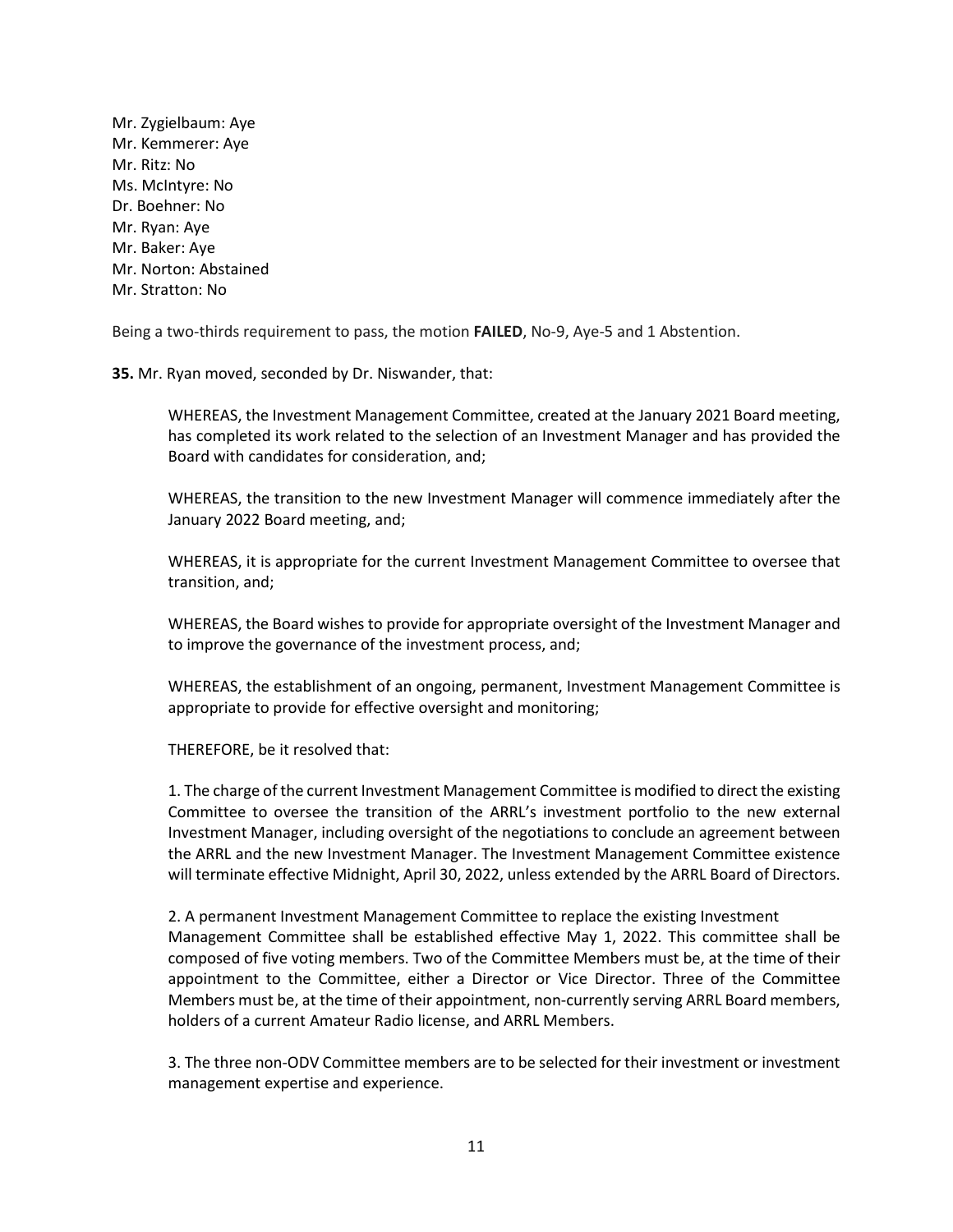Mr. Zygielbaum: Aye Mr. Kemmerer: Aye Mr. Ritz: No Ms. McIntyre: No Dr. Boehner: No Mr. Ryan: Aye Mr. Baker: Aye Mr. Norton: Abstained Mr. Stratton: No

Being a two-thirds requirement to pass, the motion **FAILED**, No-9, Aye-5 and 1 Abstention.

**35.** Mr. Ryan moved, seconded by Dr. Niswander, that:

WHEREAS, the Investment Management Committee, created at the January 2021 Board meeting, has completed its work related to the selection of an Investment Manager and has provided the Board with candidates for consideration, and;

WHEREAS, the transition to the new Investment Manager will commence immediately after the January 2022 Board meeting, and;

WHEREAS, it is appropriate for the current Investment Management Committee to oversee that transition, and;

WHEREAS, the Board wishes to provide for appropriate oversight of the Investment Manager and to improve the governance of the investment process, and;

WHEREAS, the establishment of an ongoing, permanent, Investment Management Committee is appropriate to provide for effective oversight and monitoring;

THEREFORE, be it resolved that:

1. The charge of the current Investment Management Committee is modified to direct the existing Committee to oversee the transition of the ARRL's investment portfolio to the new external Investment Manager, including oversight of the negotiations to conclude an agreement between the ARRL and the new Investment Manager. The Investment Management Committee existence will terminate effective Midnight, April 30, 2022, unless extended by the ARRL Board of Directors.

2. A permanent Investment Management Committee to replace the existing Investment Management Committee shall be established effective May 1, 2022. This committee shall be composed of five voting members. Two of the Committee Members must be, at the time of their appointment to the Committee, either a Director or Vice Director. Three of the Committee Members must be, at the time of their appointment, non-currently serving ARRL Board members, holders of a current Amateur Radio license, and ARRL Members.

3. The three non-ODV Committee members are to be selected for their investment or investment management expertise and experience.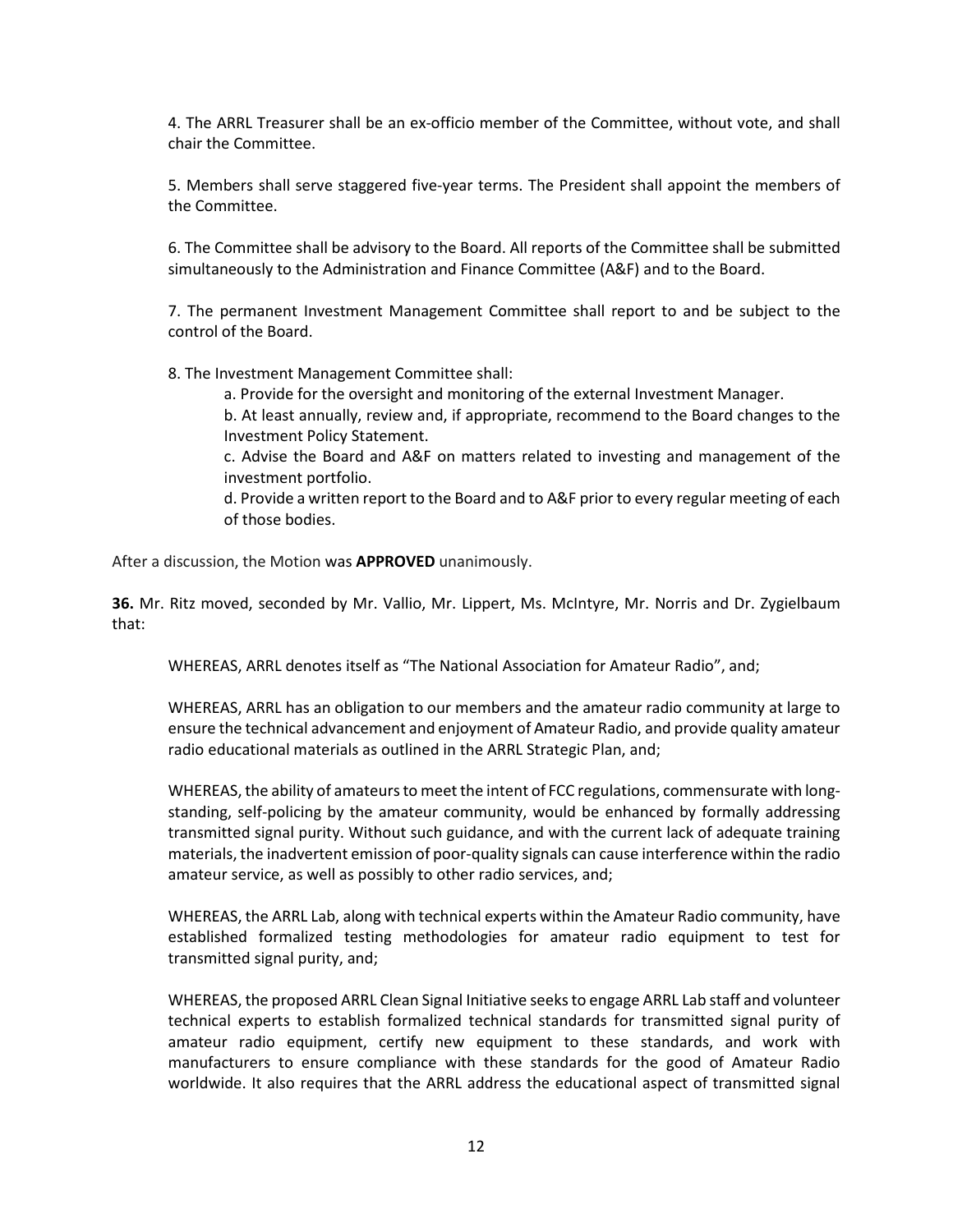4. The ARRL Treasurer shall be an ex-officio member of the Committee, without vote, and shall chair the Committee.

5. Members shall serve staggered five-year terms. The President shall appoint the members of the Committee.

6. The Committee shall be advisory to the Board. All reports of the Committee shall be submitted simultaneously to the Administration and Finance Committee (A&F) and to the Board.

7. The permanent Investment Management Committee shall report to and be subject to the control of the Board.

8. The Investment Management Committee shall:

a. Provide for the oversight and monitoring of the external Investment Manager.

b. At least annually, review and, if appropriate, recommend to the Board changes to the Investment Policy Statement.

c. Advise the Board and A&F on matters related to investing and management of the investment portfolio.

d. Provide a written report to the Board and to A&F prior to every regular meeting of each of those bodies.

After a discussion, the Motion was **APPROVED** unanimously.

**36.** Mr. Ritz moved, seconded by Mr. Vallio, Mr. Lippert, Ms. McIntyre, Mr. Norris and Dr. Zygielbaum that:

WHEREAS, ARRL denotes itself as "The National Association for Amateur Radio", and;

WHEREAS, ARRL has an obligation to our members and the amateur radio community at large to ensure the technical advancement and enjoyment of Amateur Radio, and provide quality amateur radio educational materials as outlined in the ARRL Strategic Plan, and;

WHEREAS, the ability of amateurs to meet the intent of FCC regulations, commensurate with longstanding, self-policing by the amateur community, would be enhanced by formally addressing transmitted signal purity. Without such guidance, and with the current lack of adequate training materials, the inadvertent emission of poor-quality signals can cause interference within the radio amateur service, as well as possibly to other radio services, and;

WHEREAS, the ARRL Lab, along with technical experts within the Amateur Radio community, have established formalized testing methodologies for amateur radio equipment to test for transmitted signal purity, and;

WHEREAS, the proposed ARRL Clean Signal Initiative seeks to engage ARRL Lab staff and volunteer technical experts to establish formalized technical standards for transmitted signal purity of amateur radio equipment, certify new equipment to these standards, and work with manufacturers to ensure compliance with these standards for the good of Amateur Radio worldwide. It also requires that the ARRL address the educational aspect of transmitted signal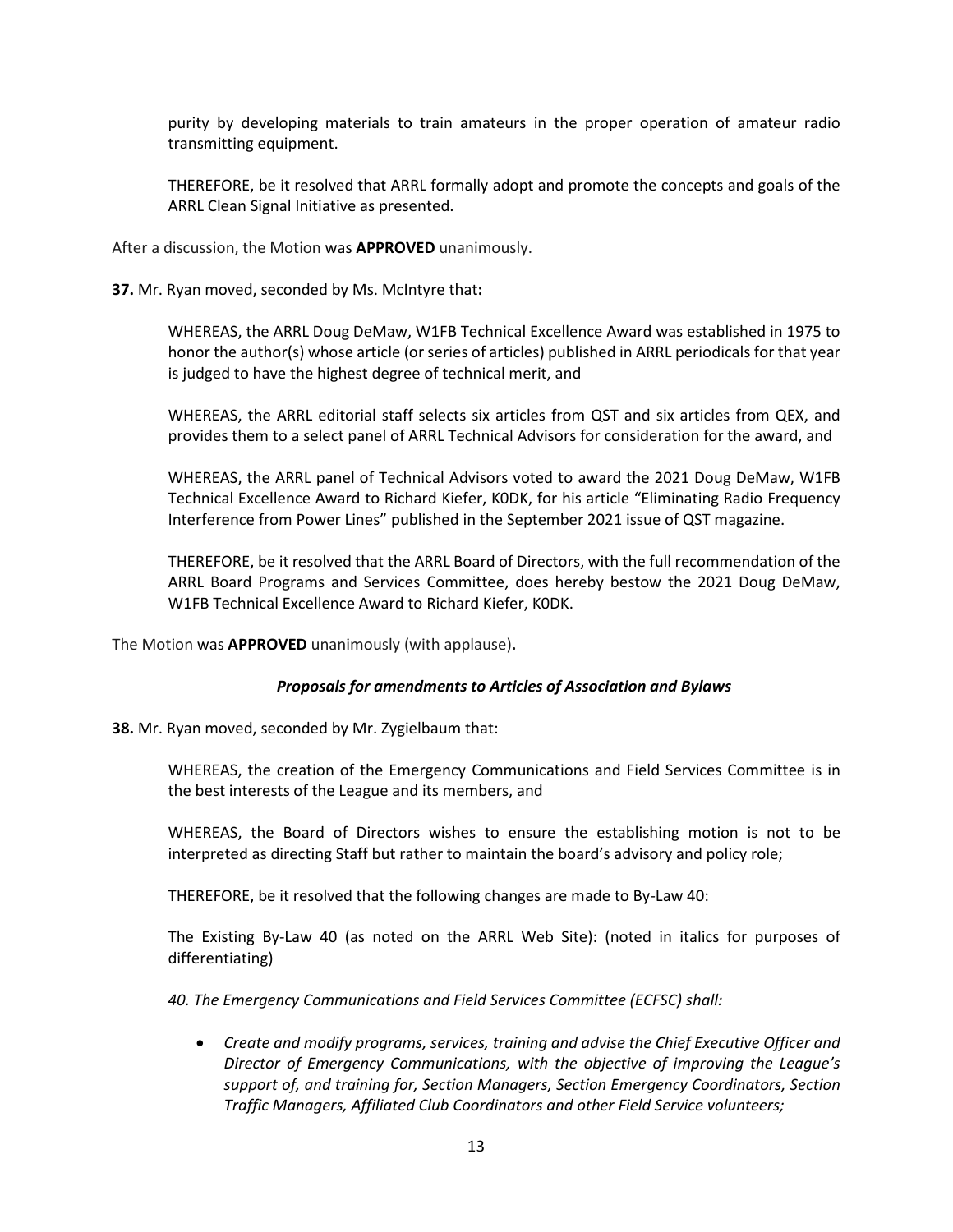purity by developing materials to train amateurs in the proper operation of amateur radio transmitting equipment.

THEREFORE, be it resolved that ARRL formally adopt and promote the concepts and goals of the ARRL Clean Signal Initiative as presented.

After a discussion, the Motion was **APPROVED** unanimously.

**37.** Mr. Ryan moved, seconded by Ms. McIntyre that**:**

WHEREAS, the ARRL Doug DeMaw, W1FB Technical Excellence Award was established in 1975 to honor the author(s) whose article (or series of articles) published in ARRL periodicals for that year is judged to have the highest degree of technical merit, and

WHEREAS, the ARRL editorial staff selects six articles from QST and six articles from QEX, and provides them to a select panel of ARRL Technical Advisors for consideration for the award, and

WHEREAS, the ARRL panel of Technical Advisors voted to award the 2021 Doug DeMaw, W1FB Technical Excellence Award to Richard Kiefer, K0DK, for his article "Eliminating Radio Frequency Interference from Power Lines" published in the September 2021 issue of QST magazine.

THEREFORE, be it resolved that the ARRL Board of Directors, with the full recommendation of the ARRL Board Programs and Services Committee, does hereby bestow the 2021 Doug DeMaw, W1FB Technical Excellence Award to Richard Kiefer, K0DK.

The Motion was **APPROVED** unanimously (with applause)**.**

#### *Proposals for amendments to Articles of Association and Bylaws*

**38.** Mr. Ryan moved, seconded by Mr. Zygielbaum that:

WHEREAS, the creation of the Emergency Communications and Field Services Committee is in the best interests of the League and its members, and

WHEREAS, the Board of Directors wishes to ensure the establishing motion is not to be interpreted as directing Staff but rather to maintain the board's advisory and policy role;

THEREFORE, be it resolved that the following changes are made to By-Law 40:

The Existing By-Law 40 (as noted on the ARRL Web Site): (noted in italics for purposes of differentiating)

*40. The Emergency Communications and Field Services Committee (ECFSC) shall:*

• *Create and modify programs, services, training and advise the Chief Executive Officer and Director of Emergency Communications, with the objective of improving the League's support of, and training for, Section Managers, Section Emergency Coordinators, Section Traffic Managers, Affiliated Club Coordinators and other Field Service volunteers;*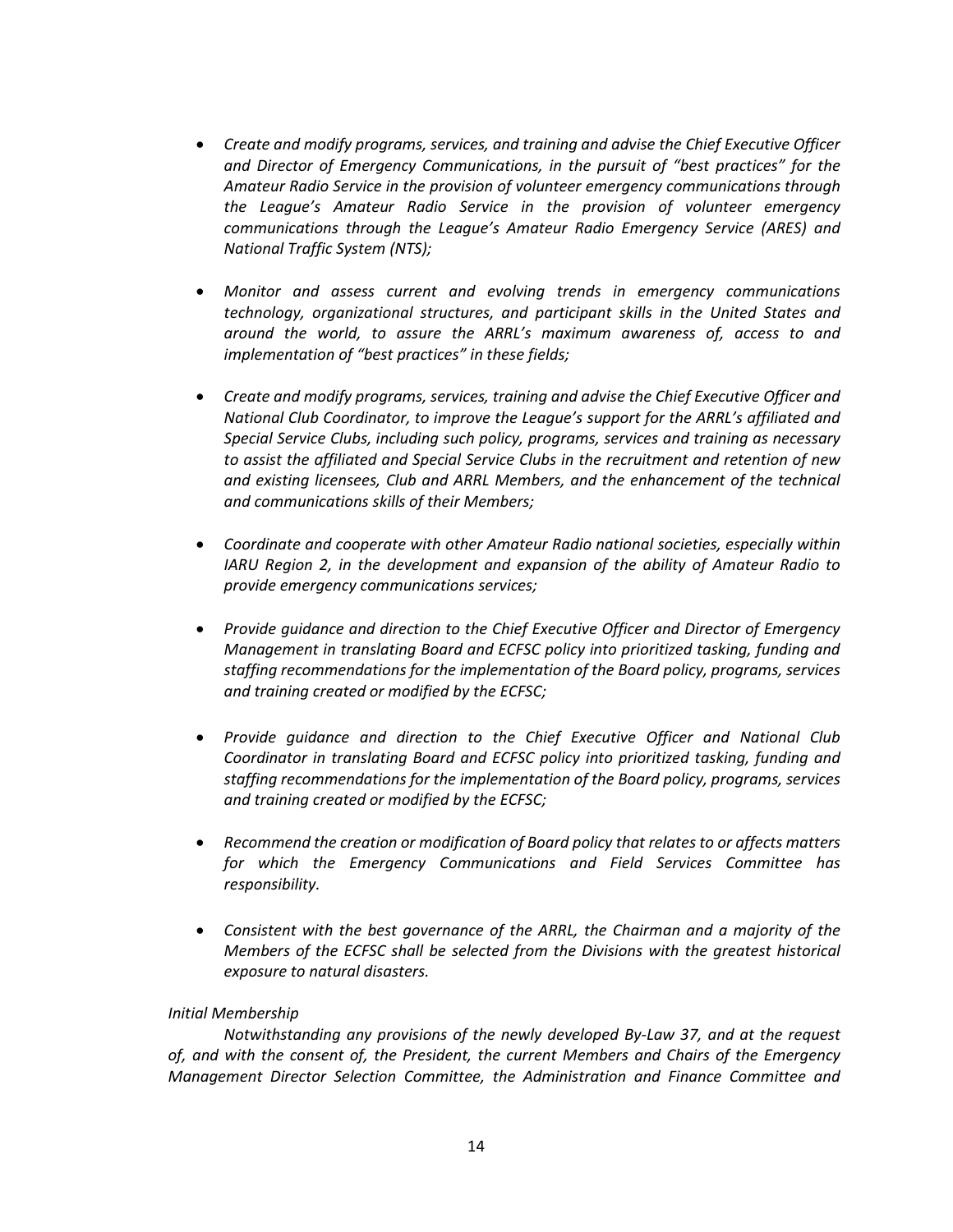- *Create and modify programs, services, and training and advise the Chief Executive Officer and Director of Emergency Communications, in the pursuit of "best practices" for the Amateur Radio Service in the provision of volunteer emergency communications through the League's Amateur Radio Service in the provision of volunteer emergency communications through the League's Amateur Radio Emergency Service (ARES) and National Traffic System (NTS);*
- *Monitor and assess current and evolving trends in emergency communications technology, organizational structures, and participant skills in the United States and around the world, to assure the ARRL's maximum awareness of, access to and implementation of "best practices" in these fields;*
- *Create and modify programs, services, training and advise the Chief Executive Officer and National Club Coordinator, to improve the League's support for the ARRL's affiliated and Special Service Clubs, including such policy, programs, services and training as necessary to assist the affiliated and Special Service Clubs in the recruitment and retention of new and existing licensees, Club and ARRL Members, and the enhancement of the technical and communications skills of their Members;*
- *Coordinate and cooperate with other Amateur Radio national societies, especially within IARU Region 2, in the development and expansion of the ability of Amateur Radio to provide emergency communications services;*
- *Provide guidance and direction to the Chief Executive Officer and Director of Emergency Management in translating Board and ECFSC policy into prioritized tasking, funding and staffing recommendations for the implementation of the Board policy, programs, services and training created or modified by the ECFSC;*
- *Provide guidance and direction to the Chief Executive Officer and National Club Coordinator in translating Board and ECFSC policy into prioritized tasking, funding and staffing recommendations for the implementation of the Board policy, programs, services and training created or modified by the ECFSC;*
- *Recommend the creation or modification of Board policy that relates to or affects matters for which the Emergency Communications and Field Services Committee has responsibility.*
- *Consistent with the best governance of the ARRL, the Chairman and a majority of the Members of the ECFSC shall be selected from the Divisions with the greatest historical exposure to natural disasters.*

#### *Initial Membership*

*Notwithstanding any provisions of the newly developed By-Law 37, and at the request of, and with the consent of, the President, the current Members and Chairs of the Emergency Management Director Selection Committee, the Administration and Finance Committee and*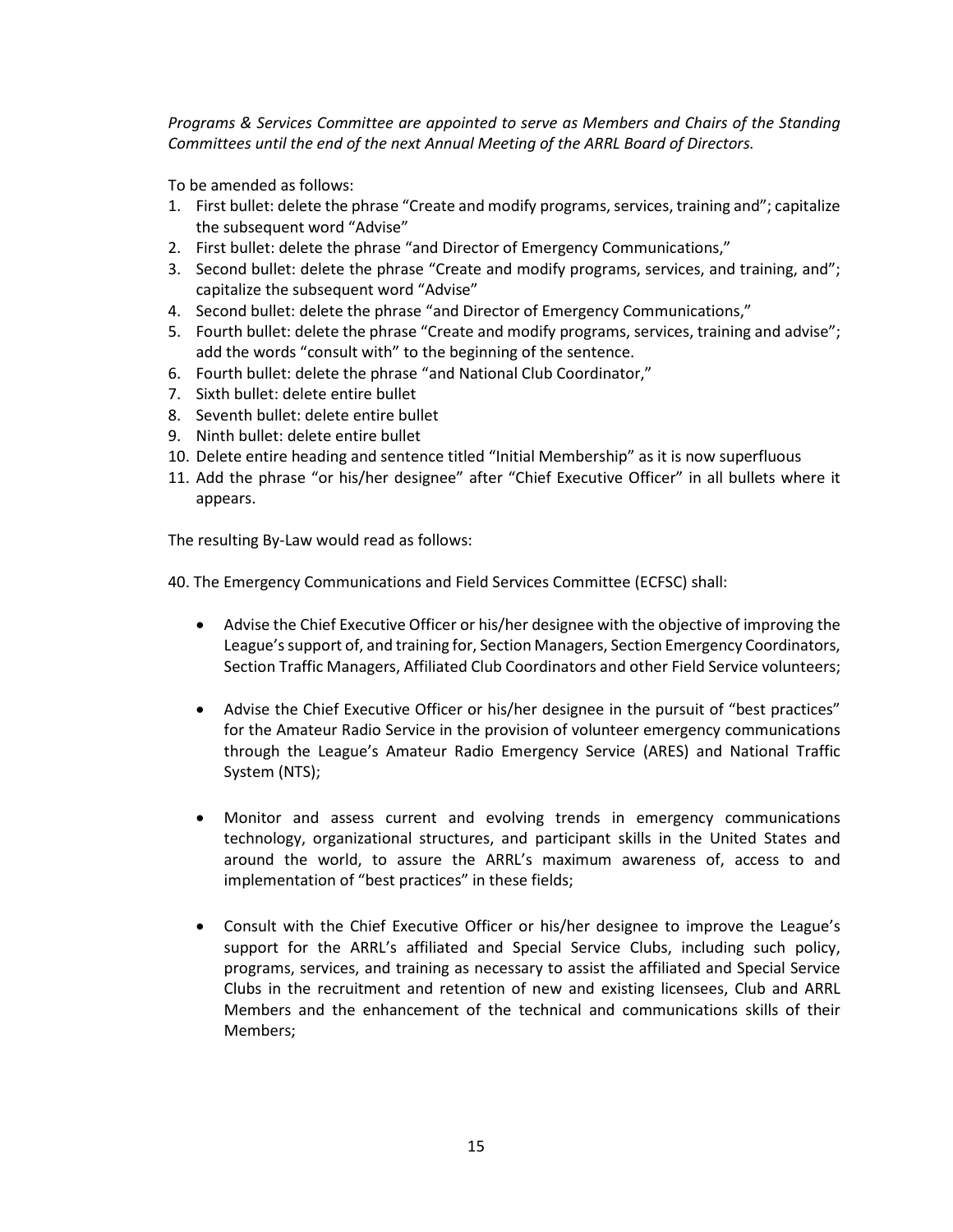*Programs & Services Committee are appointed to serve as Members and Chairs of the Standing Committees until the end of the next Annual Meeting of the ARRL Board of Directors.*

To be amended as follows:

- 1. First bullet: delete the phrase "Create and modify programs, services, training and"; capitalize the subsequent word "Advise"
- 2. First bullet: delete the phrase "and Director of Emergency Communications,"
- 3. Second bullet: delete the phrase "Create and modify programs, services, and training, and"; capitalize the subsequent word "Advise"
- 4. Second bullet: delete the phrase "and Director of Emergency Communications,"
- 5. Fourth bullet: delete the phrase "Create and modify programs, services, training and advise"; add the words "consult with" to the beginning of the sentence.
- 6. Fourth bullet: delete the phrase "and National Club Coordinator,"
- 7. Sixth bullet: delete entire bullet
- 8. Seventh bullet: delete entire bullet
- 9. Ninth bullet: delete entire bullet
- 10. Delete entire heading and sentence titled "Initial Membership" as it is now superfluous
- 11. Add the phrase "or his/her designee" after "Chief Executive Officer" in all bullets where it appears.

The resulting By-Law would read as follows:

40. The Emergency Communications and Field Services Committee (ECFSC) shall:

- Advise the Chief Executive Officer or his/her designee with the objective of improving the League's support of, and training for, Section Managers, Section Emergency Coordinators, Section Traffic Managers, Affiliated Club Coordinators and other Field Service volunteers;
- Advise the Chief Executive Officer or his/her designee in the pursuit of "best practices" for the Amateur Radio Service in the provision of volunteer emergency communications through the League's Amateur Radio Emergency Service (ARES) and National Traffic System (NTS);
- Monitor and assess current and evolving trends in emergency communications technology, organizational structures, and participant skills in the United States and around the world, to assure the ARRL's maximum awareness of, access to and implementation of "best practices" in these fields;
- Consult with the Chief Executive Officer or his/her designee to improve the League's support for the ARRL's affiliated and Special Service Clubs, including such policy, programs, services, and training as necessary to assist the affiliated and Special Service Clubs in the recruitment and retention of new and existing licensees, Club and ARRL Members and the enhancement of the technical and communications skills of their Members;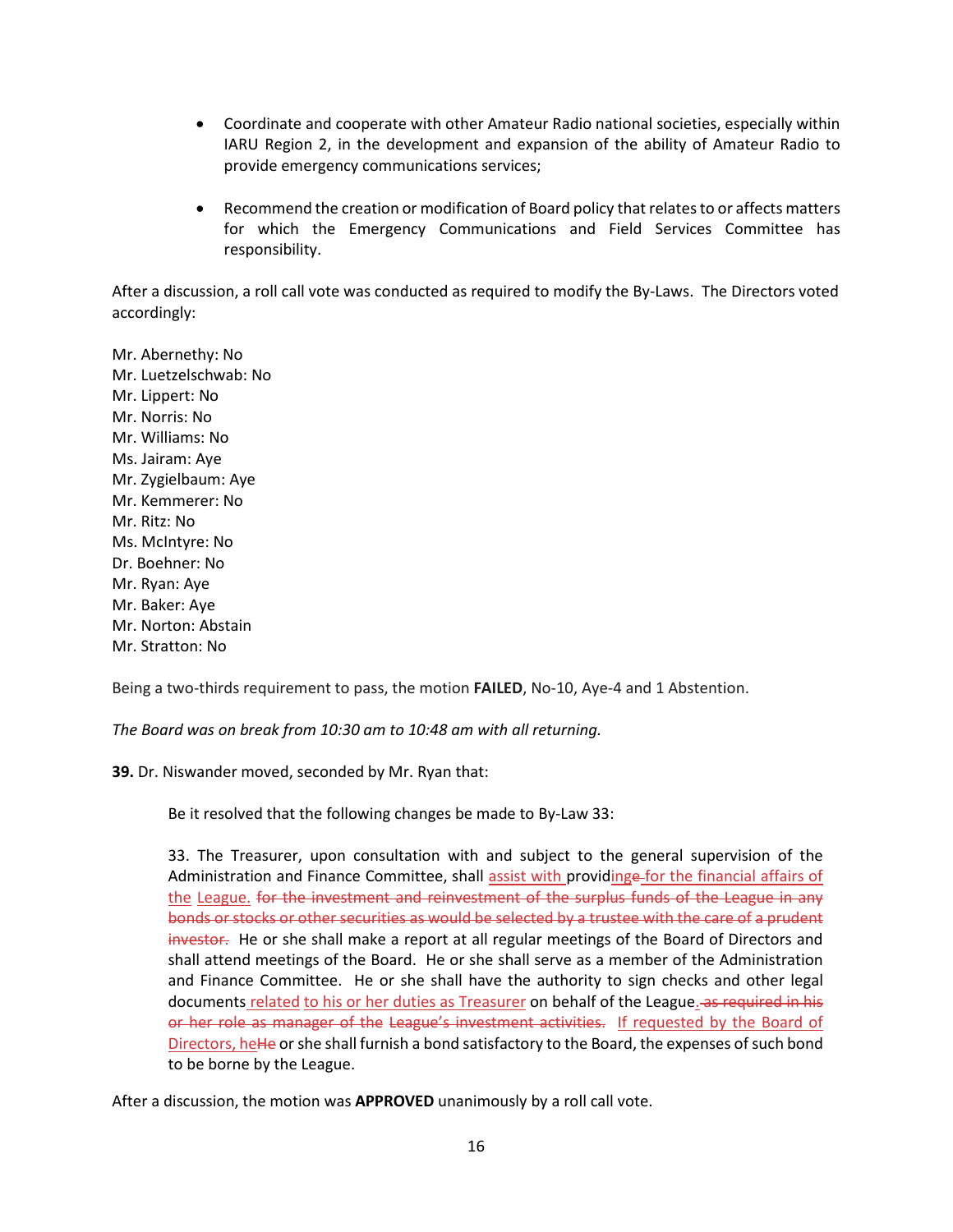- Coordinate and cooperate with other Amateur Radio national societies, especially within IARU Region 2, in the development and expansion of the ability of Amateur Radio to provide emergency communications services;
- Recommend the creation or modification of Board policy that relates to or affects matters for which the Emergency Communications and Field Services Committee has responsibility.

After a discussion, a roll call vote was conducted as required to modify the By-Laws. The Directors voted accordingly:

Mr. Abernethy: No Mr. Luetzelschwab: No Mr. Lippert: No Mr. Norris: No Mr. Williams: No Ms. Jairam: Aye Mr. Zygielbaum: Aye Mr. Kemmerer: No Mr. Ritz: No Ms. McIntyre: No Dr. Boehner: No Mr. Ryan: Aye Mr. Baker: Aye Mr. Norton: Abstain Mr. Stratton: No

Being a two-thirds requirement to pass, the motion **FAILED**, No-10, Aye-4 and 1 Abstention.

*The Board was on break from 10:30 am to 10:48 am with all returning.*

**39.** Dr. Niswander moved, seconded by Mr. Ryan that:

Be it resolved that the following changes be made to By-Law 33:

33. The Treasurer, upon consultation with and subject to the general supervision of the Administration and Finance Committee, shall assist with providinge-for the financial affairs of the League. for the investment and reinvestment of the surplus funds of the League in any bonds or stocks or other securities as would be selected by a trustee with the care of a prudent investor. He or she shall make a report at all regular meetings of the Board of Directors and shall attend meetings of the Board. He or she shall serve as a member of the Administration and Finance Committee. He or she shall have the authority to sign checks and other legal documents related to his or her duties as Treasurer on behalf of the League. as required in his or her role as manager of the League's investment activities. If requested by the Board of Directors, heHe or she shall furnish a bond satisfactory to the Board, the expenses of such bond to be borne by the League.

After a discussion, the motion was **APPROVED** unanimously by a roll call vote.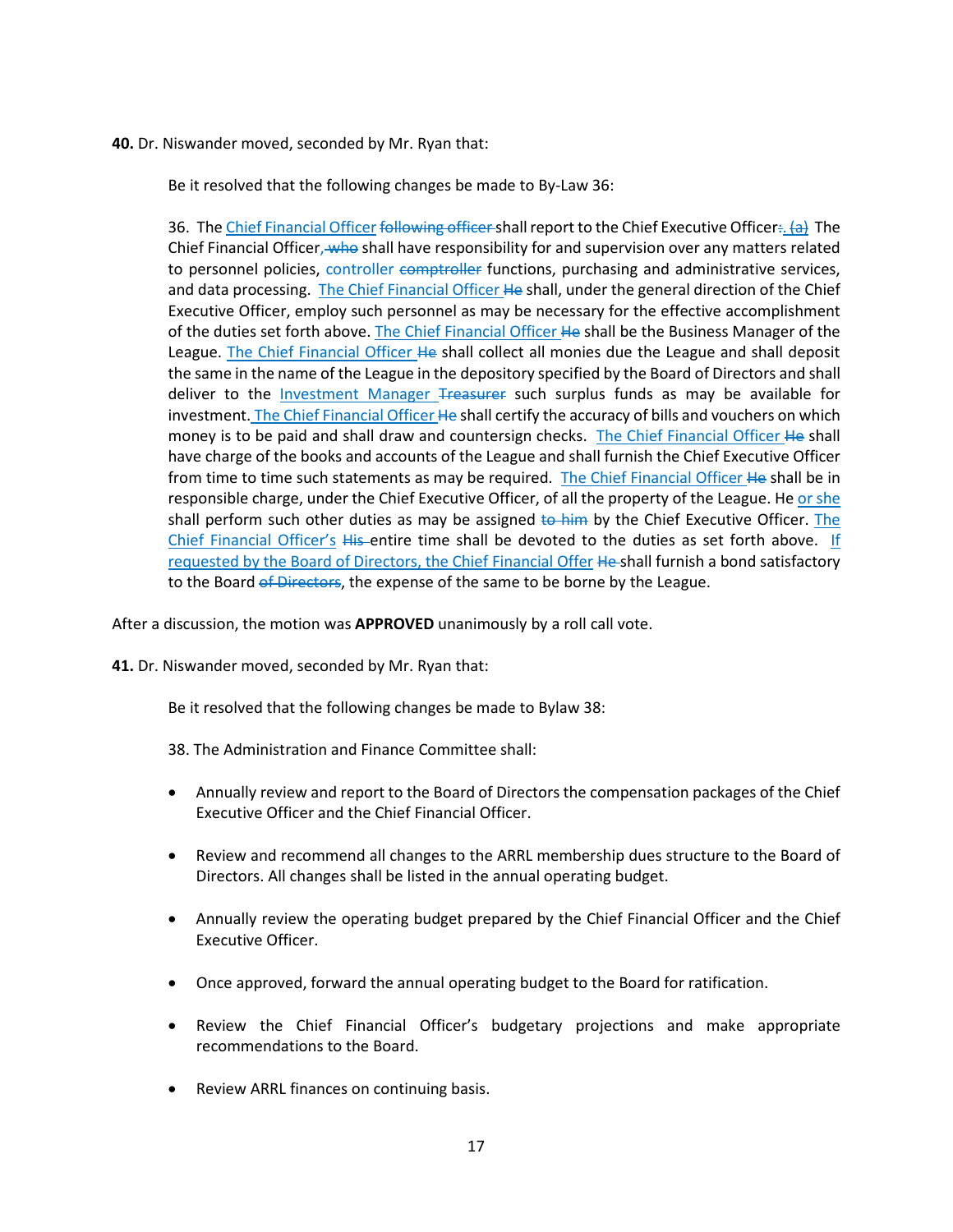**40.** Dr. Niswander moved, seconded by Mr. Ryan that:

Be it resolved that the following changes be made to By-Law 36:

36. The Chief Financial Officer following officer-shall report to the Chief Executive Officer:. (a) The Chief Financial Officer, who shall have responsibility for and supervision over any matters related to personnel policies, controller comptroller functions, purchasing and administrative services, and data processing. The Chief Financial Officer He shall, under the general direction of the Chief Executive Officer, employ such personnel as may be necessary for the effective accomplishment of the duties set forth above. The Chief Financial Officer He shall be the Business Manager of the League. The Chief Financial Officer He shall collect all monies due the League and shall deposit the same in the name of the League in the depository specified by the Board of Directors and shall deliver to the Investment Manager Treasurer such surplus funds as may be available for investment. The Chief Financial Officer He shall certify the accuracy of bills and vouchers on which money is to be paid and shall draw and countersign checks. The Chief Financial Officer He shall have charge of the books and accounts of the League and shall furnish the Chief Executive Officer from time to time such statements as may be required. The Chief Financial Officer He shall be in responsible charge, under the Chief Executive Officer, of all the property of the League. He or she shall perform such other duties as may be assigned to him by the Chief Executive Officer. The Chief Financial Officer's His entire time shall be devoted to the duties as set forth above. If requested by the Board of Directors, the Chief Financial Offer He-shall furnish a bond satisfactory to the Board of Directors, the expense of the same to be borne by the League.

After a discussion, the motion was **APPROVED** unanimously by a roll call vote.

**41.** Dr. Niswander moved, seconded by Mr. Ryan that:

Be it resolved that the following changes be made to Bylaw 38:

38. The Administration and Finance Committee shall:

- Annually review and report to the Board of Directors the compensation packages of the Chief Executive Officer and the Chief Financial Officer.
- Review and recommend all changes to the ARRL membership dues structure to the Board of Directors. All changes shall be listed in the annual operating budget.
- Annually review the operating budget prepared by the Chief Financial Officer and the Chief Executive Officer.
- Once approved, forward the annual operating budget to the Board for ratification.
- Review the Chief Financial Officer's budgetary projections and make appropriate recommendations to the Board.
- Review ARRL finances on continuing basis.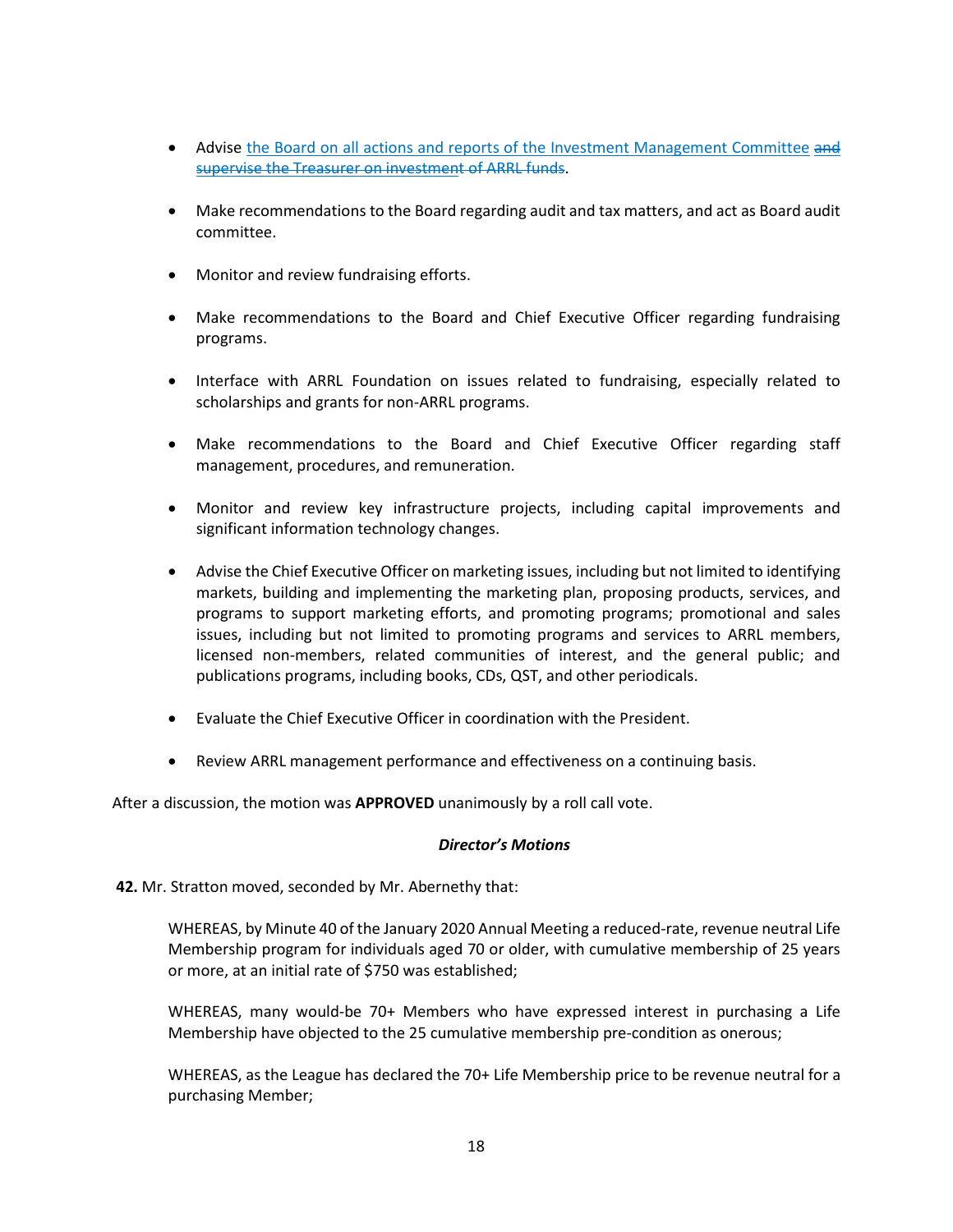- Advise the Board on all actions and reports of the Investment Management Committee and supervise the Treasurer on investment of ARRL funds.
- Make recommendations to the Board regarding audit and tax matters, and act as Board audit committee.
- Monitor and review fundraising efforts.
- Make recommendations to the Board and Chief Executive Officer regarding fundraising programs.
- Interface with ARRL Foundation on issues related to fundraising, especially related to scholarships and grants for non-ARRL programs.
- Make recommendations to the Board and Chief Executive Officer regarding staff management, procedures, and remuneration.
- Monitor and review key infrastructure projects, including capital improvements and significant information technology changes.
- Advise the Chief Executive Officer on marketing issues, including but not limited to identifying markets, building and implementing the marketing plan, proposing products, services, and programs to support marketing efforts, and promoting programs; promotional and sales issues, including but not limited to promoting programs and services to ARRL members, licensed non-members, related communities of interest, and the general public; and publications programs, including books, CDs, QST, and other periodicals.
- Evaluate the Chief Executive Officer in coordination with the President.
- Review ARRL management performance and effectiveness on a continuing basis.

After a discussion, the motion was **APPROVED** unanimously by a roll call vote.

#### *Director's Motions*

#### **42.** Mr. Stratton moved, seconded by Mr. Abernethy that:

WHEREAS, by Minute 40 of the January 2020 Annual Meeting a reduced-rate, revenue neutral Life Membership program for individuals aged 70 or older, with cumulative membership of 25 years or more, at an initial rate of \$750 was established;

WHEREAS, many would-be 70+ Members who have expressed interest in purchasing a Life Membership have objected to the 25 cumulative membership pre-condition as onerous;

WHEREAS, as the League has declared the 70+ Life Membership price to be revenue neutral for a purchasing Member;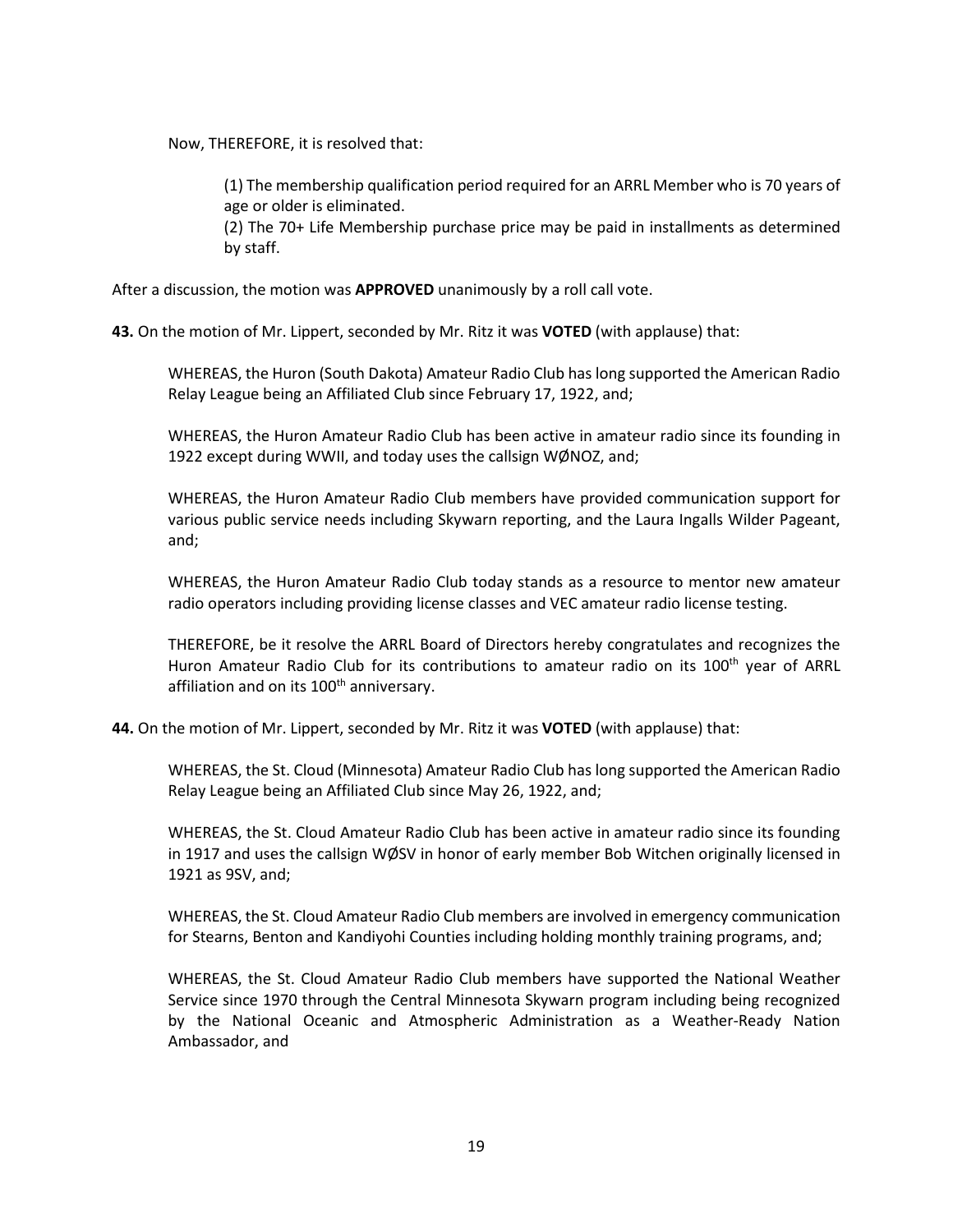Now, THEREFORE, it is resolved that:

by staff.

(1) The membership qualification period required for an ARRL Member who is 70 years of age or older is eliminated. (2) The 70+ Life Membership purchase price may be paid in installments as determined

After a discussion, the motion was **APPROVED** unanimously by a roll call vote.

**43.** On the motion of Mr. Lippert, seconded by Mr. Ritz it was **VOTED** (with applause) that:

WHEREAS, the Huron (South Dakota) Amateur Radio Club has long supported the American Radio Relay League being an Affiliated Club since February 17, 1922, and;

WHEREAS, the Huron Amateur Radio Club has been active in amateur radio since its founding in 1922 except during WWII, and today uses the callsign WØNOZ, and;

WHEREAS, the Huron Amateur Radio Club members have provided communication support for various public service needs including Skywarn reporting, and the Laura Ingalls Wilder Pageant, and;

WHEREAS, the Huron Amateur Radio Club today stands as a resource to mentor new amateur radio operators including providing license classes and VEC amateur radio license testing.

THEREFORE, be it resolve the ARRL Board of Directors hereby congratulates and recognizes the Huron Amateur Radio Club for its contributions to amateur radio on its 100<sup>th</sup> year of ARRL affiliation and on its 100<sup>th</sup> anniversary.

**44.** On the motion of Mr. Lippert, seconded by Mr. Ritz it was **VOTED** (with applause) that:

WHEREAS, the St. Cloud (Minnesota) Amateur Radio Club has long supported the American Radio Relay League being an Affiliated Club since May 26, 1922, and;

WHEREAS, the St. Cloud Amateur Radio Club has been active in amateur radio since its founding in 1917 and uses the callsign WØSV in honor of early member Bob Witchen originally licensed in 1921 as 9SV, and;

WHEREAS, the St. Cloud Amateur Radio Club members are involved in emergency communication for Stearns, Benton and Kandiyohi Counties including holding monthly training programs, and;

WHEREAS, the St. Cloud Amateur Radio Club members have supported the National Weather Service since 1970 through the Central Minnesota Skywarn program including being recognized by the National Oceanic and Atmospheric Administration as a Weather-Ready Nation Ambassador, and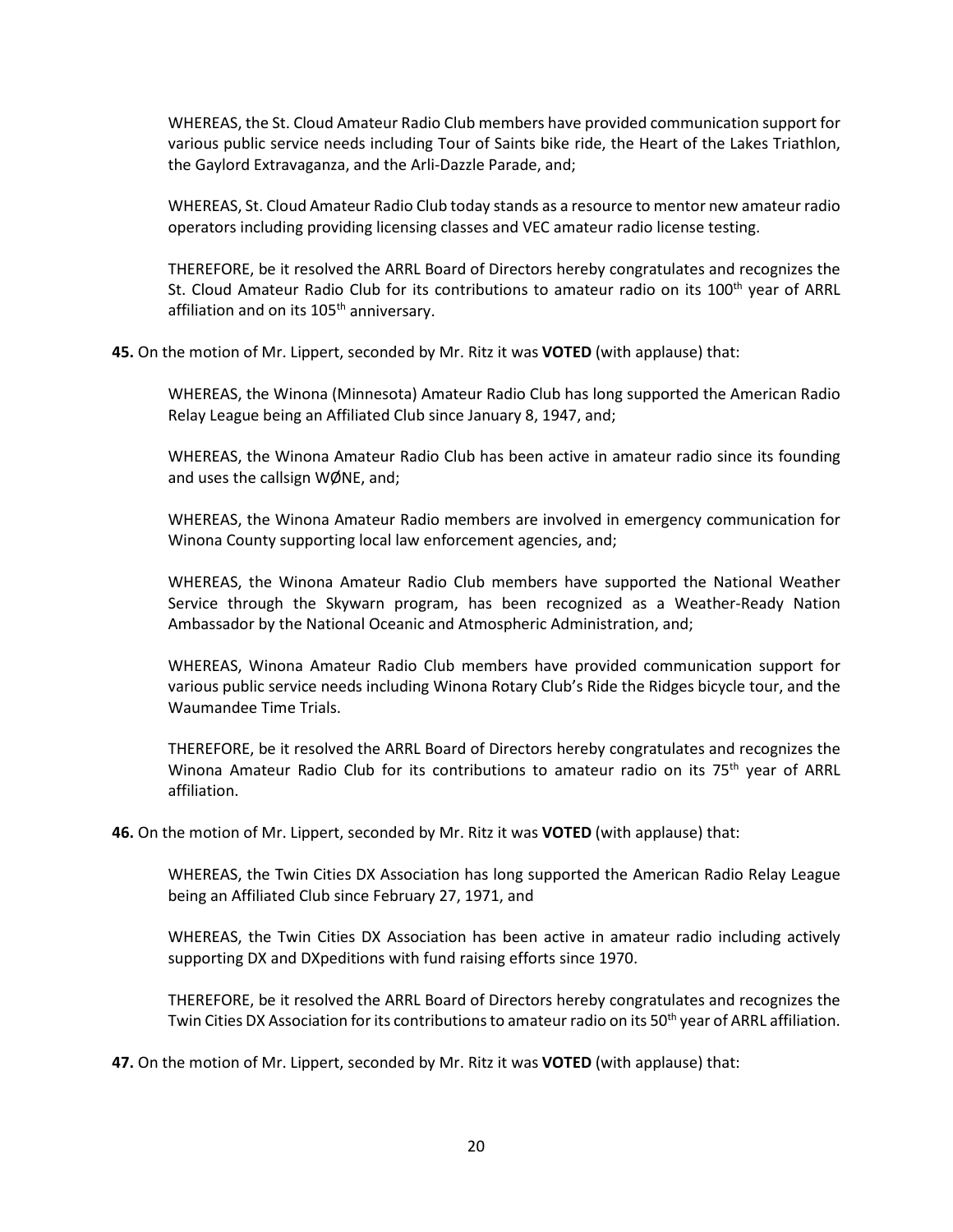WHEREAS, the St. Cloud Amateur Radio Club members have provided communication support for various public service needs including Tour of Saints bike ride, the Heart of the Lakes Triathlon, the Gaylord Extravaganza, and the Arli-Dazzle Parade, and;

WHEREAS, St. Cloud Amateur Radio Club today stands as a resource to mentor new amateur radio operators including providing licensing classes and VEC amateur radio license testing.

THEREFORE, be it resolved the ARRL Board of Directors hereby congratulates and recognizes the St. Cloud Amateur Radio Club for its contributions to amateur radio on its 100<sup>th</sup> year of ARRL affiliation and on its 105<sup>th</sup> anniversary.

**45.** On the motion of Mr. Lippert, seconded by Mr. Ritz it was **VOTED** (with applause) that:

WHEREAS, the Winona (Minnesota) Amateur Radio Club has long supported the American Radio Relay League being an Affiliated Club since January 8, 1947, and;

WHEREAS, the Winona Amateur Radio Club has been active in amateur radio since its founding and uses the callsign WØNE, and;

WHEREAS, the Winona Amateur Radio members are involved in emergency communication for Winona County supporting local law enforcement agencies, and;

WHEREAS, the Winona Amateur Radio Club members have supported the National Weather Service through the Skywarn program, has been recognized as a Weather-Ready Nation Ambassador by the National Oceanic and Atmospheric Administration, and;

WHEREAS, Winona Amateur Radio Club members have provided communication support for various public service needs including Winona Rotary Club's Ride the Ridges bicycle tour, and the Waumandee Time Trials.

THEREFORE, be it resolved the ARRL Board of Directors hereby congratulates and recognizes the Winona Amateur Radio Club for its contributions to amateur radio on its 75<sup>th</sup> year of ARRL affiliation.

**46.** On the motion of Mr. Lippert, seconded by Mr. Ritz it was **VOTED** (with applause) that:

WHEREAS, the Twin Cities DX Association has long supported the American Radio Relay League being an Affiliated Club since February 27, 1971, and

WHEREAS, the Twin Cities DX Association has been active in amateur radio including actively supporting DX and DXpeditions with fund raising efforts since 1970.

THEREFORE, be it resolved the ARRL Board of Directors hereby congratulates and recognizes the Twin Cities DX Association for its contributions to amateur radio on its 50<sup>th</sup> year of ARRL affiliation.

**47.** On the motion of Mr. Lippert, seconded by Mr. Ritz it was **VOTED** (with applause) that: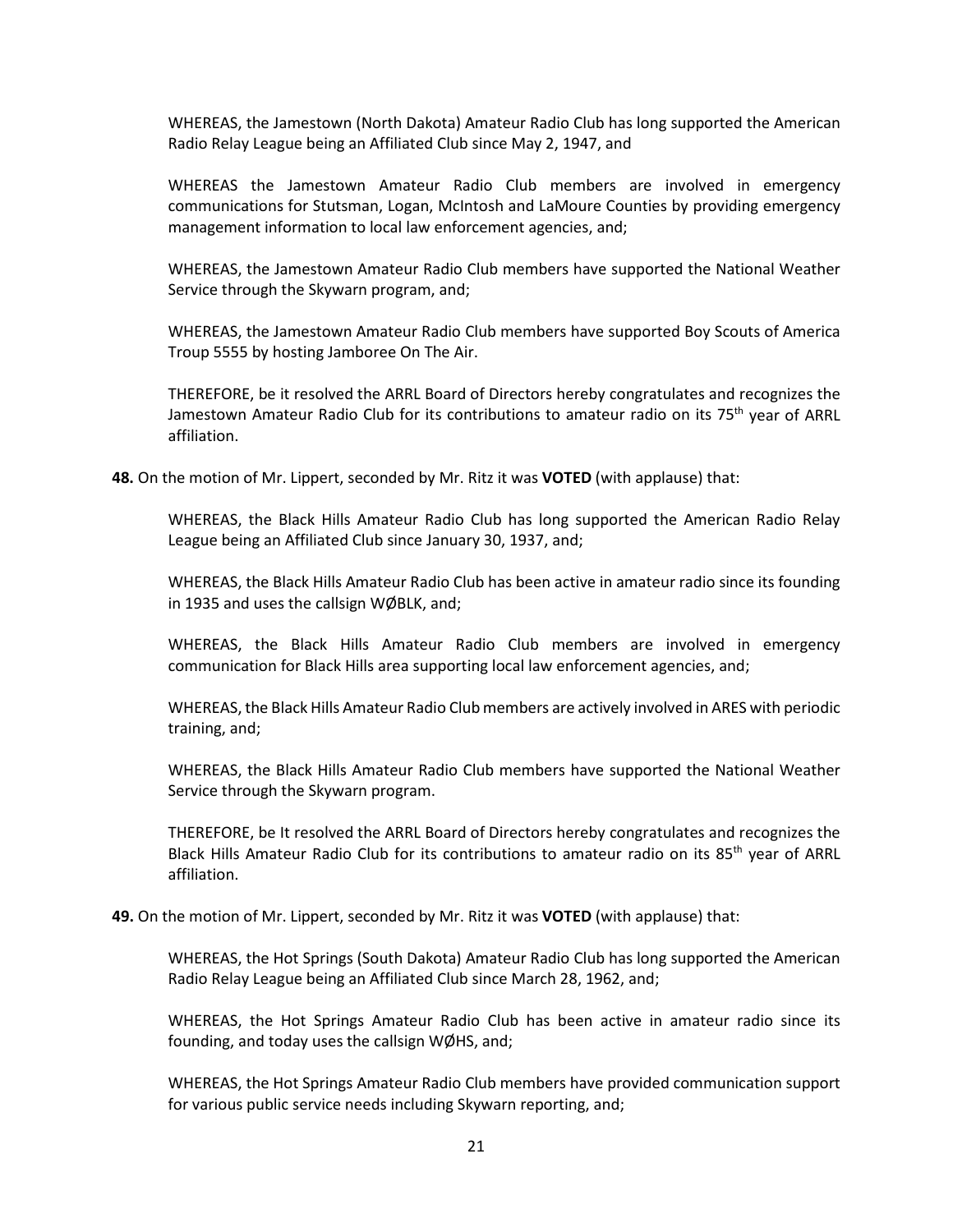WHEREAS, the Jamestown (North Dakota) Amateur Radio Club has long supported the American Radio Relay League being an Affiliated Club since May 2, 1947, and

WHEREAS the Jamestown Amateur Radio Club members are involved in emergency communications for Stutsman, Logan, McIntosh and LaMoure Counties by providing emergency management information to local law enforcement agencies, and;

WHEREAS, the Jamestown Amateur Radio Club members have supported the National Weather Service through the Skywarn program, and;

WHEREAS, the Jamestown Amateur Radio Club members have supported Boy Scouts of America Troup 5555 by hosting Jamboree On The Air.

THEREFORE, be it resolved the ARRL Board of Directors hereby congratulates and recognizes the Jamestown Amateur Radio Club for its contributions to amateur radio on its 75<sup>th</sup> year of ARRL affiliation.

**48.** On the motion of Mr. Lippert, seconded by Mr. Ritz it was **VOTED** (with applause) that:

WHEREAS, the Black Hills Amateur Radio Club has long supported the American Radio Relay League being an Affiliated Club since January 30, 1937, and;

WHEREAS, the Black Hills Amateur Radio Club has been active in amateur radio since its founding in 1935 and uses the callsign WØBLK, and;

WHEREAS, the Black Hills Amateur Radio Club members are involved in emergency communication for Black Hills area supporting local law enforcement agencies, and;

WHEREAS, the Black Hills Amateur Radio Club members are actively involved in ARES with periodic training, and;

WHEREAS, the Black Hills Amateur Radio Club members have supported the National Weather Service through the Skywarn program.

THEREFORE, be It resolved the ARRL Board of Directors hereby congratulates and recognizes the Black Hills Amateur Radio Club for its contributions to amateur radio on its 85<sup>th</sup> year of ARRL affiliation.

**49.** On the motion of Mr. Lippert, seconded by Mr. Ritz it was **VOTED** (with applause) that:

WHEREAS, the Hot Springs (South Dakota) Amateur Radio Club has long supported the American Radio Relay League being an Affiliated Club since March 28, 1962, and;

WHEREAS, the Hot Springs Amateur Radio Club has been active in amateur radio since its founding, and today uses the callsign WØHS, and;

WHEREAS, the Hot Springs Amateur Radio Club members have provided communication support for various public service needs including Skywarn reporting, and;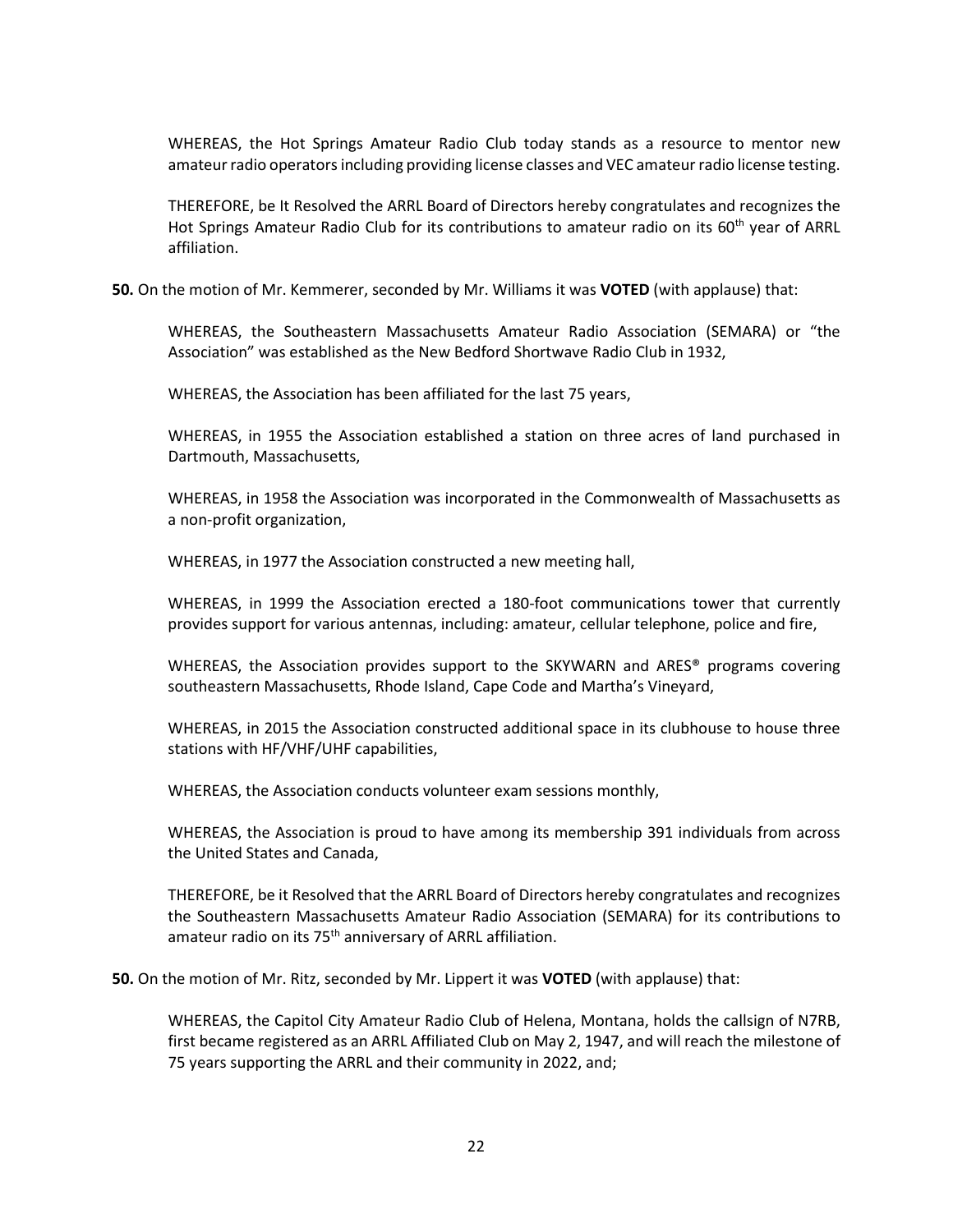WHEREAS, the Hot Springs Amateur Radio Club today stands as a resource to mentor new amateur radio operators including providing license classes and VEC amateur radio license testing.

THEREFORE, be It Resolved the ARRL Board of Directors hereby congratulates and recognizes the Hot Springs Amateur Radio Club for its contributions to amateur radio on its 60<sup>th</sup> year of ARRL affiliation.

**50.** On the motion of Mr. Kemmerer, seconded by Mr. Williams it was **VOTED** (with applause) that:

WHEREAS, the Southeastern Massachusetts Amateur Radio Association (SEMARA) or "the Association" was established as the New Bedford Shortwave Radio Club in 1932,

WHEREAS, the Association has been affiliated for the last 75 years,

WHEREAS, in 1955 the Association established a station on three acres of land purchased in Dartmouth, Massachusetts,

WHEREAS, in 1958 the Association was incorporated in the Commonwealth of Massachusetts as a non-profit organization,

WHEREAS, in 1977 the Association constructed a new meeting hall,

WHEREAS, in 1999 the Association erected a 180-foot communications tower that currently provides support for various antennas, including: amateur, cellular telephone, police and fire,

WHEREAS, the Association provides support to the SKYWARN and ARES® programs covering southeastern Massachusetts, Rhode Island, Cape Code and Martha's Vineyard,

WHEREAS, in 2015 the Association constructed additional space in its clubhouse to house three stations with HF/VHF/UHF capabilities,

WHEREAS, the Association conducts volunteer exam sessions monthly,

WHEREAS, the Association is proud to have among its membership 391 individuals from across the United States and Canada,

THEREFORE, be it Resolved that the ARRL Board of Directors hereby congratulates and recognizes the Southeastern Massachusetts Amateur Radio Association (SEMARA) for its contributions to amateur radio on its 75<sup>th</sup> anniversary of ARRL affiliation.

**50.** On the motion of Mr. Ritz, seconded by Mr. Lippert it was **VOTED** (with applause) that:

WHEREAS, the Capitol City Amateur Radio Club of Helena, Montana, holds the callsign of N7RB, first became registered as an ARRL Affiliated Club on May 2, 1947, and will reach the milestone of 75 years supporting the ARRL and their community in 2022, and;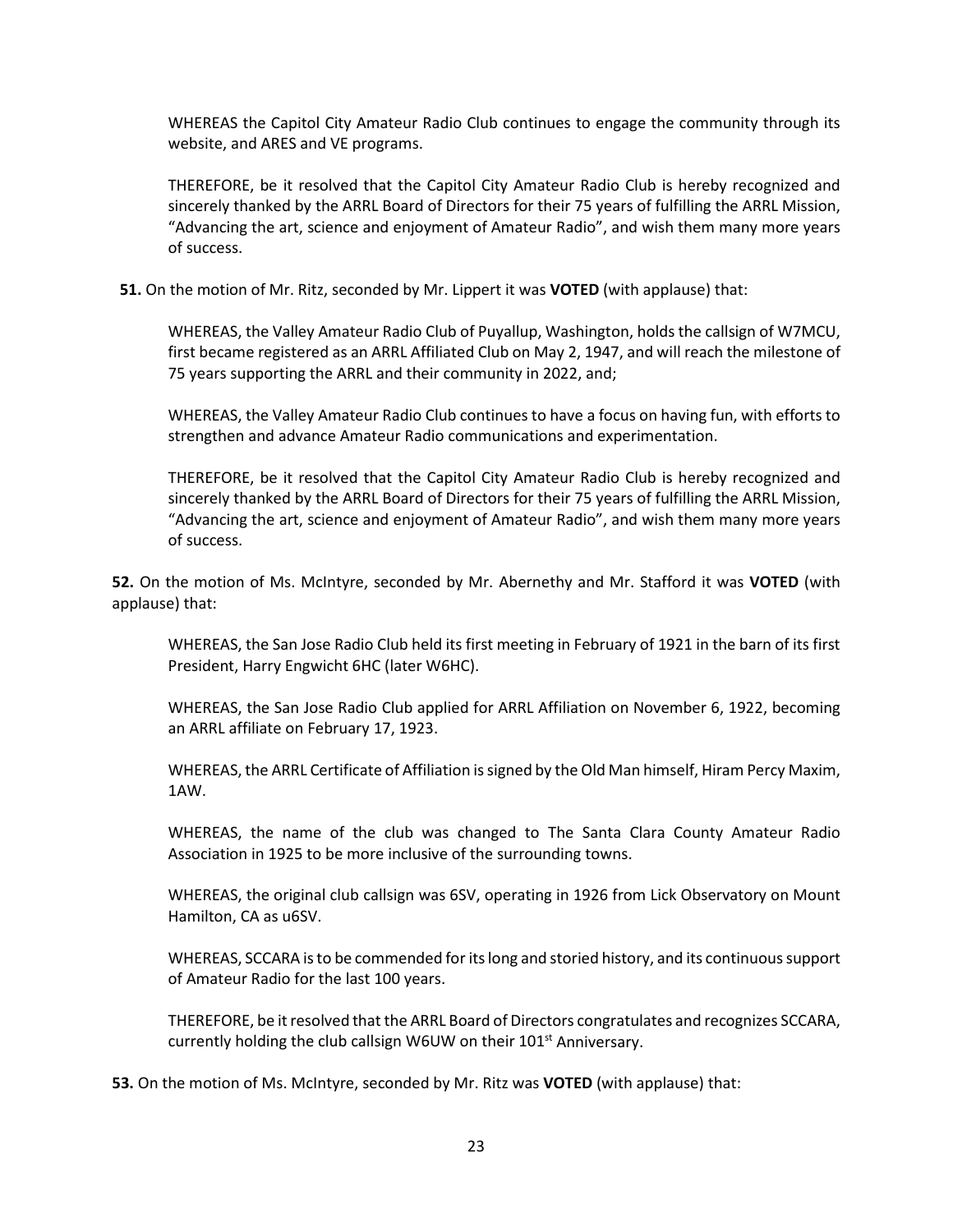WHEREAS the Capitol City Amateur Radio Club continues to engage the community through its website, and ARES and VE programs.

THEREFORE, be it resolved that the Capitol City Amateur Radio Club is hereby recognized and sincerely thanked by the ARRL Board of Directors for their 75 years of fulfilling the ARRL Mission, "Advancing the art, science and enjoyment of Amateur Radio", and wish them many more years of success.

**51.** On the motion of Mr. Ritz, seconded by Mr. Lippert it was **VOTED** (with applause) that:

WHEREAS, the Valley Amateur Radio Club of Puyallup, Washington, holds the callsign of W7MCU, first became registered as an ARRL Affiliated Club on May 2, 1947, and will reach the milestone of 75 years supporting the ARRL and their community in 2022, and;

WHEREAS, the Valley Amateur Radio Club continues to have a focus on having fun, with efforts to strengthen and advance Amateur Radio communications and experimentation.

THEREFORE, be it resolved that the Capitol City Amateur Radio Club is hereby recognized and sincerely thanked by the ARRL Board of Directors for their 75 years of fulfilling the ARRL Mission, "Advancing the art, science and enjoyment of Amateur Radio", and wish them many more years of success.

**52.** On the motion of Ms. McIntyre, seconded by Mr. Abernethy and Mr. Stafford it was **VOTED** (with applause) that:

WHEREAS, the San Jose Radio Club held its first meeting in February of 1921 in the barn of its first President, Harry Engwicht 6HC (later W6HC).

WHEREAS, the San Jose Radio Club applied for ARRL Affiliation on November 6, 1922, becoming an ARRL affiliate on February 17, 1923.

WHEREAS, the ARRL Certificate of Affiliation is signed by the Old Man himself, Hiram Percy Maxim, 1AW.

WHEREAS, the name of the club was changed to The Santa Clara County Amateur Radio Association in 1925 to be more inclusive of the surrounding towns.

WHEREAS, the original club callsign was 6SV, operating in 1926 from Lick Observatory on Mount Hamilton, CA as u6SV.

WHEREAS, SCCARA is to be commended for its long and storied history, and its continuous support of Amateur Radio for the last 100 years.

THEREFORE, be it resolved that the ARRL Board of Directors congratulates and recognizes SCCARA, currently holding the club callsign W6UW on their  $101<sup>st</sup>$  Anniversary.

**53.** On the motion of Ms. McIntyre, seconded by Mr. Ritz was **VOTED** (with applause) that: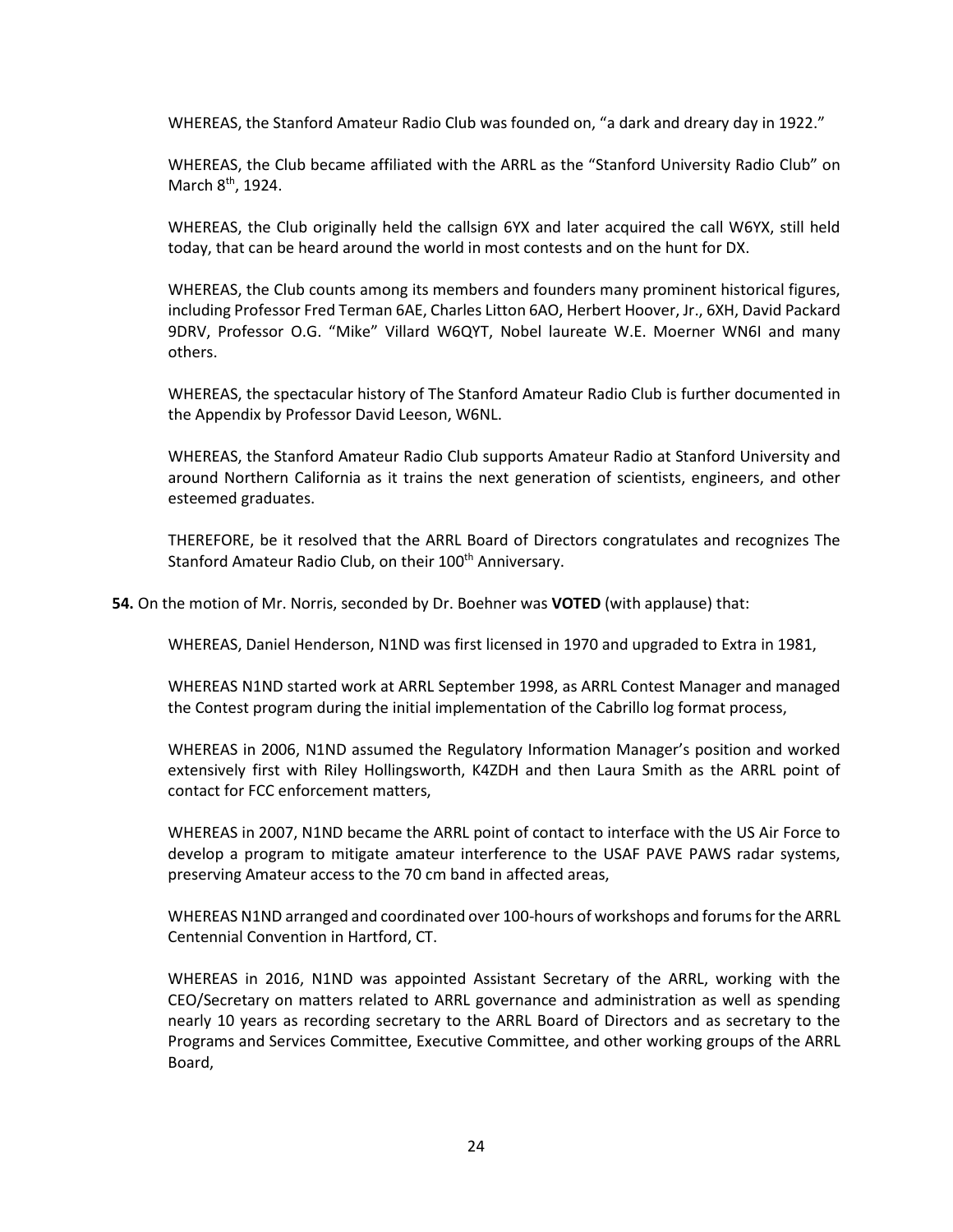WHEREAS, the Stanford Amateur Radio Club was founded on, "a dark and dreary day in 1922."

WHEREAS, the Club became affiliated with the ARRL as the "Stanford University Radio Club" on March 8<sup>th</sup>, 1924.

WHEREAS, the Club originally held the callsign 6YX and later acquired the call W6YX, still held today, that can be heard around the world in most contests and on the hunt for DX.

WHEREAS, the Club counts among its members and founders many prominent historical figures, including Professor Fred Terman 6AE, Charles Litton 6AO, Herbert Hoover, Jr., 6XH, David Packard 9DRV, Professor O.G. "Mike" Villard W6QYT, Nobel laureate W.E. Moerner WN6I and many others.

WHEREAS, the spectacular history of The Stanford Amateur Radio Club is further documented in the Appendix by Professor David Leeson, W6NL.

WHEREAS, the Stanford Amateur Radio Club supports Amateur Radio at Stanford University and around Northern California as it trains the next generation of scientists, engineers, and other esteemed graduates.

THEREFORE, be it resolved that the ARRL Board of Directors congratulates and recognizes The Stanford Amateur Radio Club, on their 100<sup>th</sup> Anniversary.

**54.** On the motion of Mr. Norris, seconded by Dr. Boehner was **VOTED** (with applause) that:

WHEREAS, Daniel Henderson, N1ND was first licensed in 1970 and upgraded to Extra in 1981,

WHEREAS N1ND started work at ARRL September 1998, as ARRL Contest Manager and managed the Contest program during the initial implementation of the Cabrillo log format process,

WHEREAS in 2006, N1ND assumed the Regulatory Information Manager's position and worked extensively first with Riley Hollingsworth, K4ZDH and then Laura Smith as the ARRL point of contact for FCC enforcement matters,

WHEREAS in 2007, N1ND became the ARRL point of contact to interface with the US Air Force to develop a program to mitigate amateur interference to the USAF PAVE PAWS radar systems, preserving Amateur access to the 70 cm band in affected areas,

WHEREAS N1ND arranged and coordinated over 100-hours of workshops and forums for the ARRL Centennial Convention in Hartford, CT.

WHEREAS in 2016, N1ND was appointed Assistant Secretary of the ARRL, working with the CEO/Secretary on matters related to ARRL governance and administration as well as spending nearly 10 years as recording secretary to the ARRL Board of Directors and as secretary to the Programs and Services Committee, Executive Committee, and other working groups of the ARRL Board,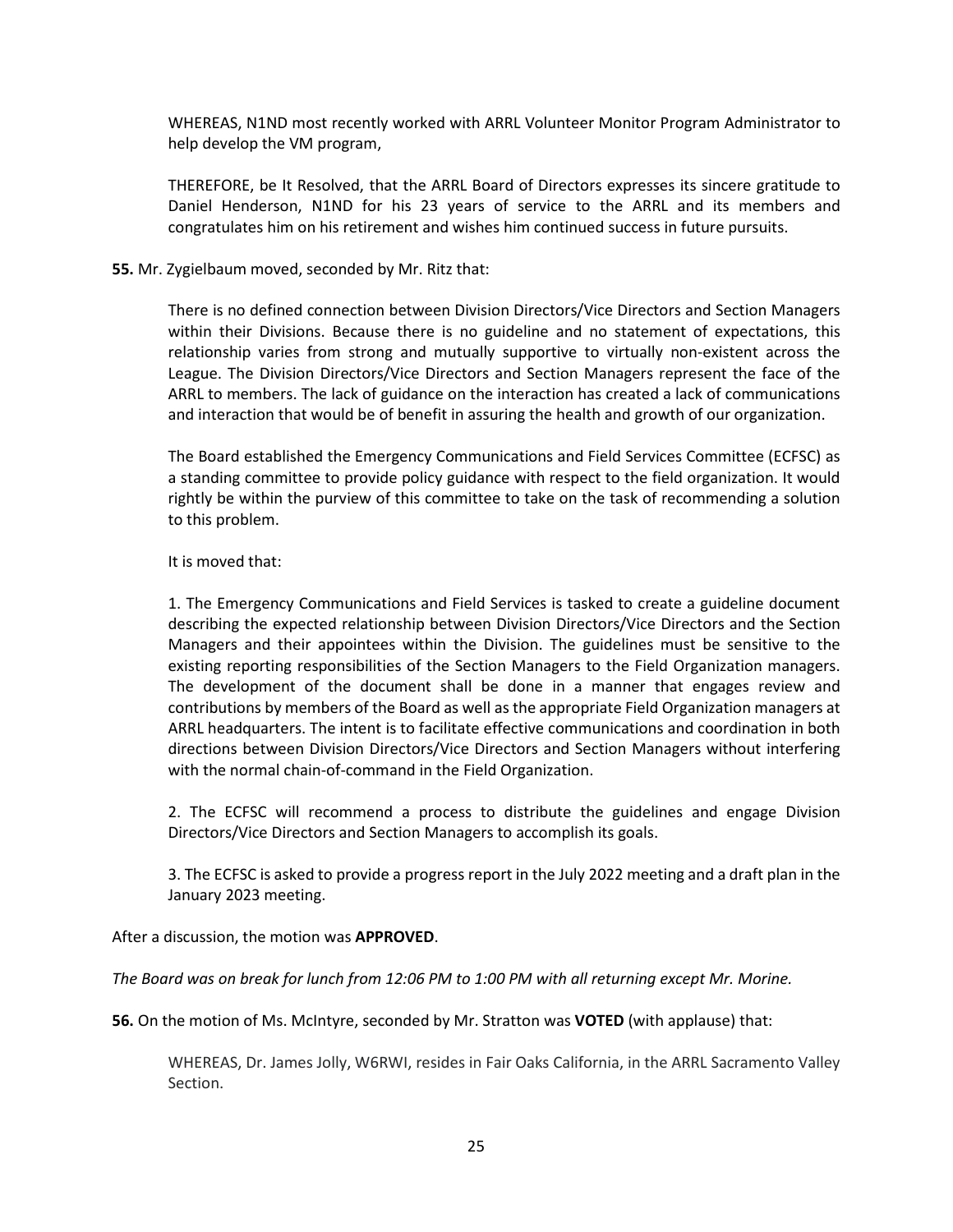WHEREAS, N1ND most recently worked with ARRL Volunteer Monitor Program Administrator to help develop the VM program,

THEREFORE, be It Resolved, that the ARRL Board of Directors expresses its sincere gratitude to Daniel Henderson, N1ND for his 23 years of service to the ARRL and its members and congratulates him on his retirement and wishes him continued success in future pursuits.

#### **55.** Mr. Zygielbaum moved, seconded by Mr. Ritz that:

There is no defined connection between Division Directors/Vice Directors and Section Managers within their Divisions. Because there is no guideline and no statement of expectations, this relationship varies from strong and mutually supportive to virtually non-existent across the League. The Division Directors/Vice Directors and Section Managers represent the face of the ARRL to members. The lack of guidance on the interaction has created a lack of communications and interaction that would be of benefit in assuring the health and growth of our organization.

The Board established the Emergency Communications and Field Services Committee (ECFSC) as a standing committee to provide policy guidance with respect to the field organization. It would rightly be within the purview of this committee to take on the task of recommending a solution to this problem.

#### It is moved that:

1. The Emergency Communications and Field Services is tasked to create a guideline document describing the expected relationship between Division Directors/Vice Directors and the Section Managers and their appointees within the Division. The guidelines must be sensitive to the existing reporting responsibilities of the Section Managers to the Field Organization managers. The development of the document shall be done in a manner that engages review and contributions by members of the Board as well as the appropriate Field Organization managers at ARRL headquarters. The intent is to facilitate effective communications and coordination in both directions between Division Directors/Vice Directors and Section Managers without interfering with the normal chain-of-command in the Field Organization.

2. The ECFSC will recommend a process to distribute the guidelines and engage Division Directors/Vice Directors and Section Managers to accomplish its goals.

3. The ECFSC is asked to provide a progress report in the July 2022 meeting and a draft plan in the January 2023 meeting.

After a discussion, the motion was **APPROVED**.

*The Board was on break for lunch from 12:06 PM to 1:00 PM with all returning except Mr. Morine.*

**56.** On the motion of Ms. McIntyre, seconded by Mr. Stratton was **VOTED** (with applause) that:

WHEREAS, Dr. James Jolly, W6RWI, resides in Fair Oaks California, in the ARRL Sacramento Valley Section.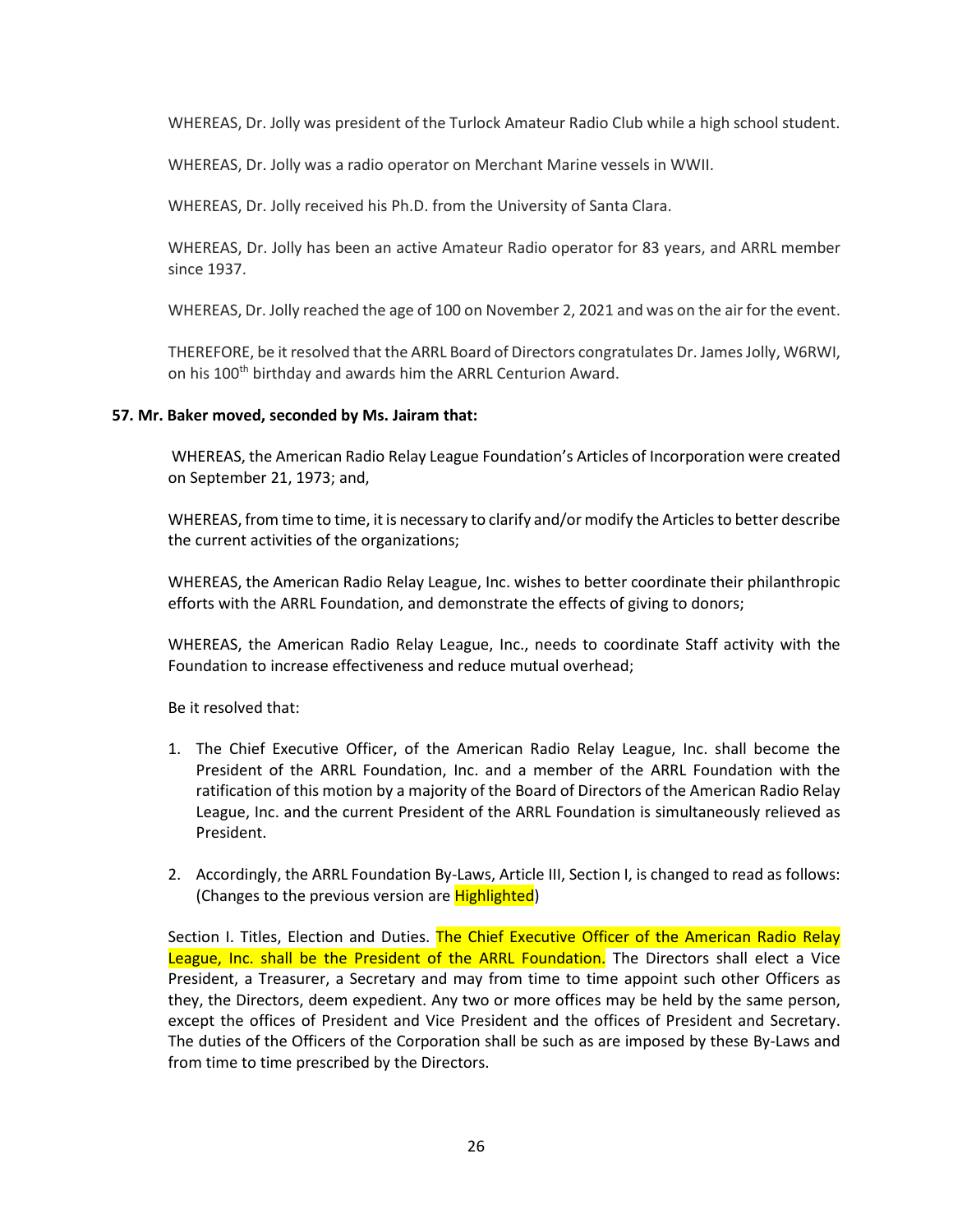WHEREAS, Dr. Jolly was president of the Turlock Amateur Radio Club while a high school student.

WHEREAS, Dr. Jolly was a radio operator on Merchant Marine vessels in WWII.

WHEREAS, Dr. Jolly received his Ph.D. from the University of Santa Clara.

WHEREAS, Dr. Jolly has been an active Amateur Radio operator for 83 years, and ARRL member since 1937.

WHEREAS, Dr. Jolly reached the age of 100 on November 2, 2021 and was on the air for the event.

THEREFORE, be it resolved that the ARRL Board of Directors congratulates Dr. James Jolly, W6RWI, on his 100<sup>th</sup> birthday and awards him the ARRL Centurion Award.

#### **57. Mr. Baker moved, seconded by Ms. Jairam that:**

WHEREAS, the American Radio Relay League Foundation's Articles of Incorporation were created on September 21, 1973; and,

WHEREAS, from time to time, it is necessary to clarify and/or modify the Articles to better describe the current activities of the organizations;

WHEREAS, the American Radio Relay League, Inc. wishes to better coordinate their philanthropic efforts with the ARRL Foundation, and demonstrate the effects of giving to donors;

WHEREAS, the American Radio Relay League, Inc., needs to coordinate Staff activity with the Foundation to increase effectiveness and reduce mutual overhead;

Be it resolved that:

- 1. The Chief Executive Officer, of the American Radio Relay League, Inc. shall become the President of the ARRL Foundation, Inc. and a member of the ARRL Foundation with the ratification of this motion by a majority of the Board of Directors of the American Radio Relay League, Inc. and the current President of the ARRL Foundation is simultaneously relieved as President.
- 2. Accordingly, the ARRL Foundation By-Laws, Article III, Section I, is changed to read as follows: (Changes to the previous version are **Highlighted)**

Section I. Titles, Election and Duties. The Chief Executive Officer of the American Radio Relay League, Inc. shall be the President of the ARRL Foundation. The Directors shall elect a Vice President, a Treasurer, a Secretary and may from time to time appoint such other Officers as they, the Directors, deem expedient. Any two or more offices may be held by the same person, except the offices of President and Vice President and the offices of President and Secretary. The duties of the Officers of the Corporation shall be such as are imposed by these By-Laws and from time to time prescribed by the Directors.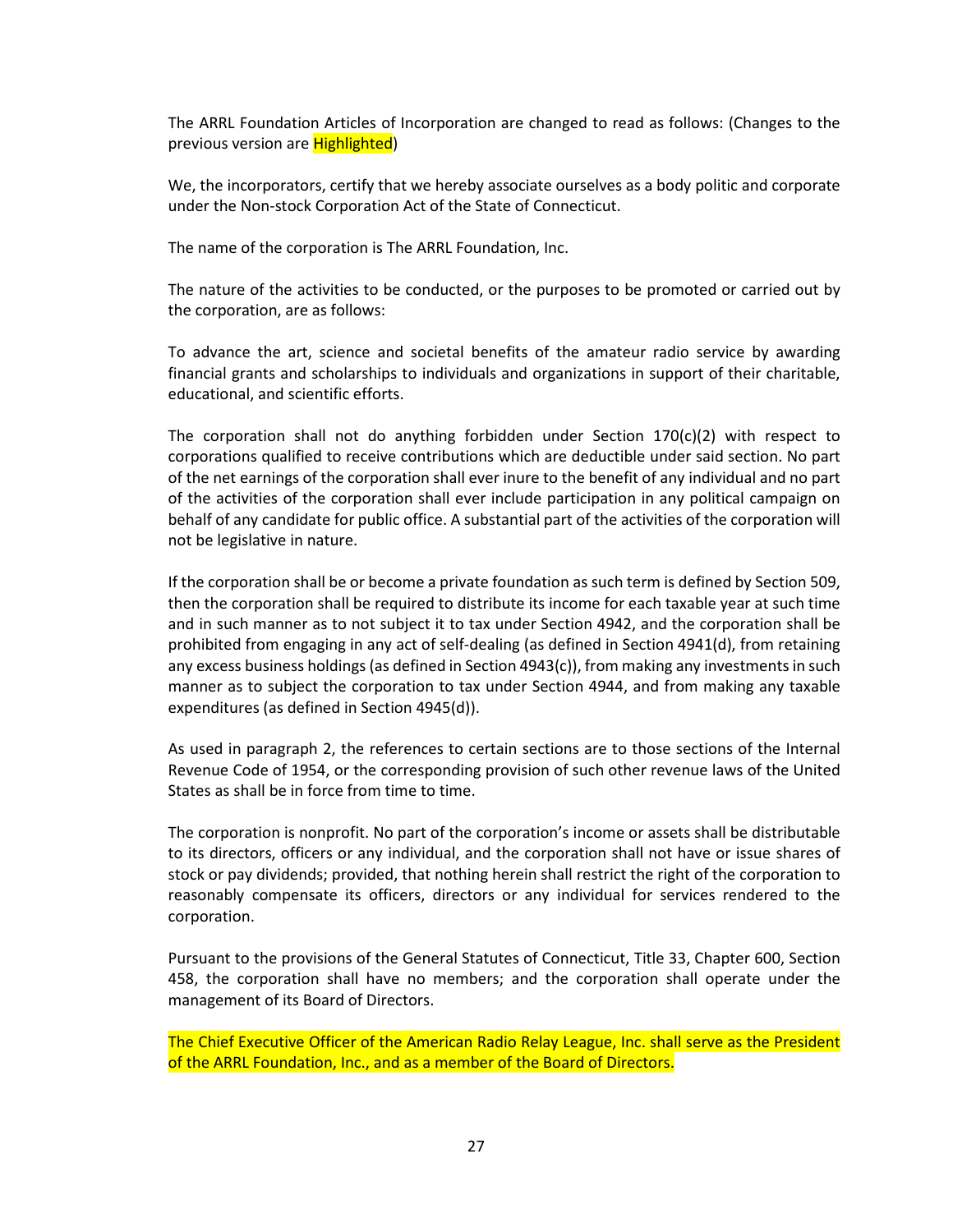The ARRL Foundation Articles of Incorporation are changed to read as follows: (Changes to the previous version are **Highlighted**)

We, the incorporators, certify that we hereby associate ourselves as a body politic and corporate under the Non-stock Corporation Act of the State of Connecticut.

The name of the corporation is The ARRL Foundation, Inc.

The nature of the activities to be conducted, or the purposes to be promoted or carried out by the corporation, are as follows:

To advance the art, science and societal benefits of the amateur radio service by awarding financial grants and scholarships to individuals and organizations in support of their charitable, educational, and scientific efforts.

The corporation shall not do anything forbidden under Section  $170(c)(2)$  with respect to corporations qualified to receive contributions which are deductible under said section. No part of the net earnings of the corporation shall ever inure to the benefit of any individual and no part of the activities of the corporation shall ever include participation in any political campaign on behalf of any candidate for public office. A substantial part of the activities of the corporation will not be legislative in nature.

If the corporation shall be or become a private foundation as such term is defined by Section 509, then the corporation shall be required to distribute its income for each taxable year at such time and in such manner as to not subject it to tax under Section 4942, and the corporation shall be prohibited from engaging in any act of self-dealing (as defined in Section 4941(d), from retaining any excess business holdings (as defined in Section 4943(c)), from making any investments in such manner as to subject the corporation to tax under Section 4944, and from making any taxable expenditures (as defined in Section 4945(d)).

As used in paragraph 2, the references to certain sections are to those sections of the Internal Revenue Code of 1954, or the corresponding provision of such other revenue laws of the United States as shall be in force from time to time.

The corporation is nonprofit. No part of the corporation's income or assets shall be distributable to its directors, officers or any individual, and the corporation shall not have or issue shares of stock or pay dividends; provided, that nothing herein shall restrict the right of the corporation to reasonably compensate its officers, directors or any individual for services rendered to the corporation.

Pursuant to the provisions of the General Statutes of Connecticut, Title 33, Chapter 600, Section 458, the corporation shall have no members; and the corporation shall operate under the management of its Board of Directors.

The Chief Executive Officer of the American Radio Relay League, Inc. shall serve as the President of the ARRL Foundation, Inc., and as a member of the Board of Directors.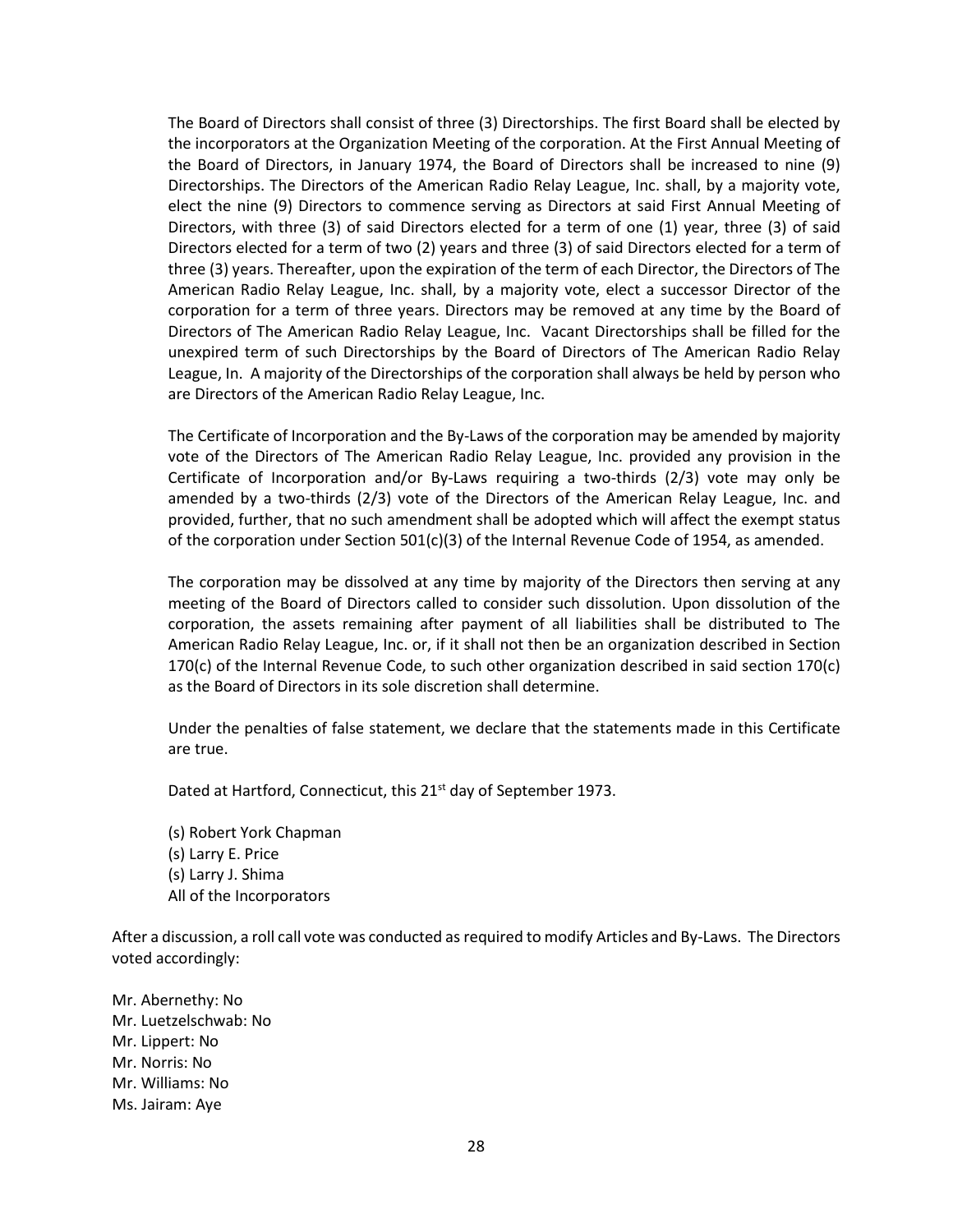The Board of Directors shall consist of three (3) Directorships. The first Board shall be elected by the incorporators at the Organization Meeting of the corporation. At the First Annual Meeting of the Board of Directors, in January 1974, the Board of Directors shall be increased to nine (9) Directorships. The Directors of the American Radio Relay League, Inc. shall, by a majority vote, elect the nine (9) Directors to commence serving as Directors at said First Annual Meeting of Directors, with three (3) of said Directors elected for a term of one (1) year, three (3) of said Directors elected for a term of two (2) years and three (3) of said Directors elected for a term of three (3) years. Thereafter, upon the expiration of the term of each Director, the Directors of The American Radio Relay League, Inc. shall, by a majority vote, elect a successor Director of the corporation for a term of three years. Directors may be removed at any time by the Board of Directors of The American Radio Relay League, Inc. Vacant Directorships shall be filled for the unexpired term of such Directorships by the Board of Directors of The American Radio Relay League, In. A majority of the Directorships of the corporation shall always be held by person who are Directors of the American Radio Relay League, Inc.

The Certificate of Incorporation and the By-Laws of the corporation may be amended by majority vote of the Directors of The American Radio Relay League, Inc. provided any provision in the Certificate of Incorporation and/or By-Laws requiring a two-thirds (2/3) vote may only be amended by a two-thirds (2/3) vote of the Directors of the American Relay League, Inc. and provided, further, that no such amendment shall be adopted which will affect the exempt status of the corporation under Section 501(c)(3) of the Internal Revenue Code of 1954, as amended.

The corporation may be dissolved at any time by majority of the Directors then serving at any meeting of the Board of Directors called to consider such dissolution. Upon dissolution of the corporation, the assets remaining after payment of all liabilities shall be distributed to The American Radio Relay League, Inc. or, if it shall not then be an organization described in Section 170(c) of the Internal Revenue Code, to such other organization described in said section 170(c) as the Board of Directors in its sole discretion shall determine.

Under the penalties of false statement, we declare that the statements made in this Certificate are true.

Dated at Hartford, Connecticut, this 21<sup>st</sup> day of September 1973.

(s) Robert York Chapman (s) Larry E. Price (s) Larry J. Shima All of the Incorporators

After a discussion, a roll call vote was conducted as required to modify Articles and By-Laws. The Directors voted accordingly:

Mr. Abernethy: No Mr. Luetzelschwab: No Mr. Lippert: No Mr. Norris: No Mr. Williams: No Ms. Jairam: Aye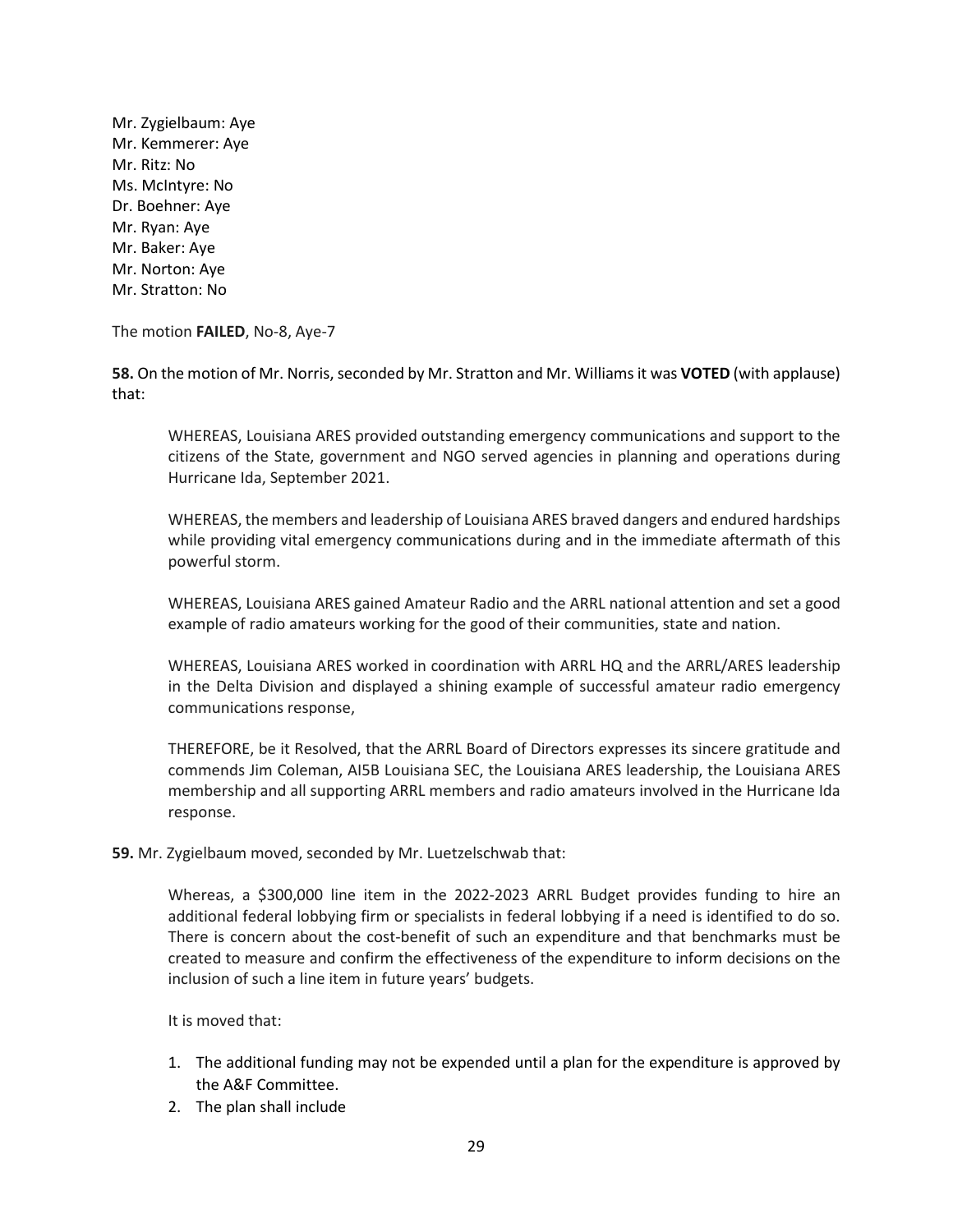Mr. Zygielbaum: Aye Mr. Kemmerer: Aye Mr. Ritz: No Ms. McIntyre: No Dr. Boehner: Aye Mr. Ryan: Aye Mr. Baker: Aye Mr. Norton: Aye Mr. Stratton: No

The motion **FAILED**, No-8, Aye-7

**58.** On the motion of Mr. Norris, seconded by Mr. Stratton and Mr. Williams it was **VOTED** (with applause) that:

WHEREAS, Louisiana ARES provided outstanding emergency communications and support to the citizens of the State, government and NGO served agencies in planning and operations during Hurricane Ida, September 2021.

WHEREAS, the members and leadership of Louisiana ARES braved dangers and endured hardships while providing vital emergency communications during and in the immediate aftermath of this powerful storm.

WHEREAS, Louisiana ARES gained Amateur Radio and the ARRL national attention and set a good example of radio amateurs working for the good of their communities, state and nation.

WHEREAS, Louisiana ARES worked in coordination with ARRL HQ and the ARRL/ARES leadership in the Delta Division and displayed a shining example of successful amateur radio emergency communications response,

THEREFORE, be it Resolved, that the ARRL Board of Directors expresses its sincere gratitude and commends Jim Coleman, AI5B Louisiana SEC, the Louisiana ARES leadership, the Louisiana ARES membership and all supporting ARRL members and radio amateurs involved in the Hurricane Ida response.

**59.** Mr. Zygielbaum moved, seconded by Mr. Luetzelschwab that:

Whereas, a \$300,000 line item in the 2022-2023 ARRL Budget provides funding to hire an additional federal lobbying firm or specialists in federal lobbying if a need is identified to do so. There is concern about the cost-benefit of such an expenditure and that benchmarks must be created to measure and confirm the effectiveness of the expenditure to inform decisions on the inclusion of such a line item in future years' budgets.

It is moved that:

- 1. The additional funding may not be expended until a plan for the expenditure is approved by the A&F Committee.
- 2. The plan shall include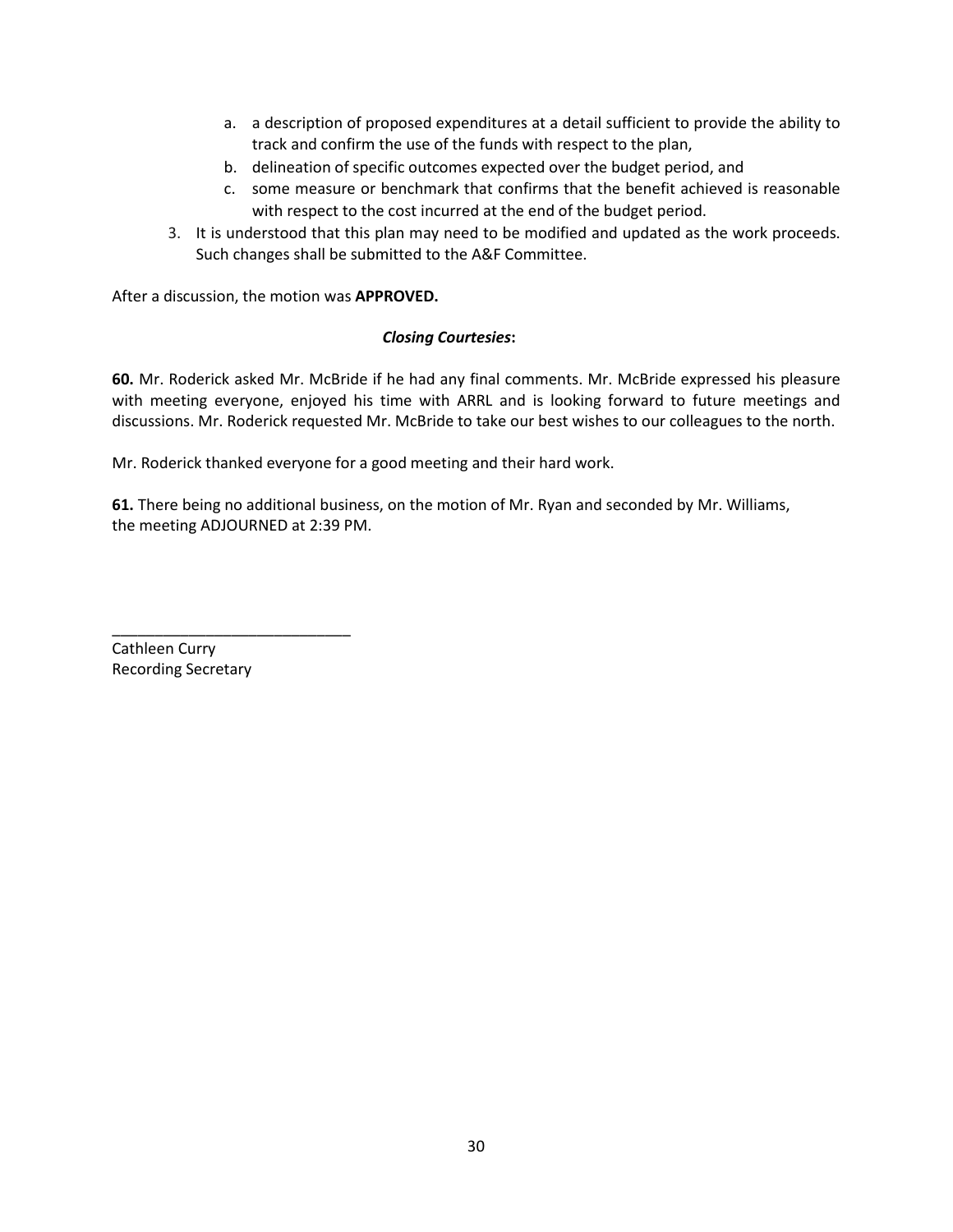- a. a description of proposed expenditures at a detail sufficient to provide the ability to track and confirm the use of the funds with respect to the plan,
- b. delineation of specific outcomes expected over the budget period, and
- c. some measure or benchmark that confirms that the benefit achieved is reasonable with respect to the cost incurred at the end of the budget period.
- 3. It is understood that this plan may need to be modified and updated as the work proceeds. Such changes shall be submitted to the A&F Committee.

After a discussion, the motion was **APPROVED.**

#### *Closing Courtesies***:**

**60.** Mr. Roderick asked Mr. McBride if he had any final comments. Mr. McBride expressed his pleasure with meeting everyone, enjoyed his time with ARRL and is looking forward to future meetings and discussions. Mr. Roderick requested Mr. McBride to take our best wishes to our colleagues to the north.

Mr. Roderick thanked everyone for a good meeting and their hard work.

**61.** There being no additional business, on the motion of Mr. Ryan and seconded by Mr. Williams, the meeting ADJOURNED at 2:39 PM.

Cathleen Curry Recording Secretary

\_\_\_\_\_\_\_\_\_\_\_\_\_\_\_\_\_\_\_\_\_\_\_\_\_\_\_\_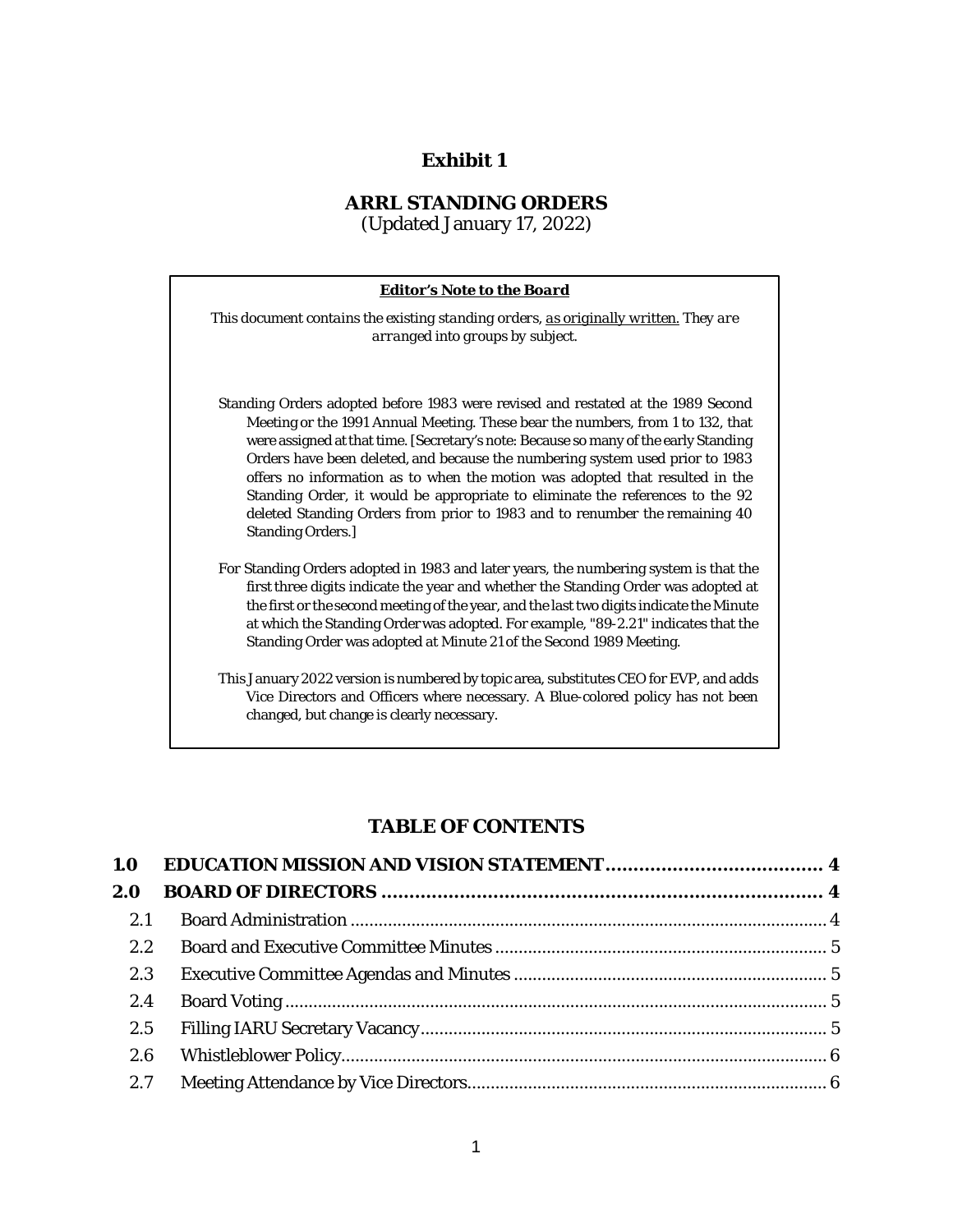## **Exhibit 1**

### **ARRL STANDING ORDERS**

(Updated January 17, 2022)



#### **TABLE OF CONTENTS**

| 2.0 |  |
|-----|--|
| 2.1 |  |
| 2.2 |  |
| 2.3 |  |
| 2.4 |  |
| 2.5 |  |
| 2.6 |  |
| 2.7 |  |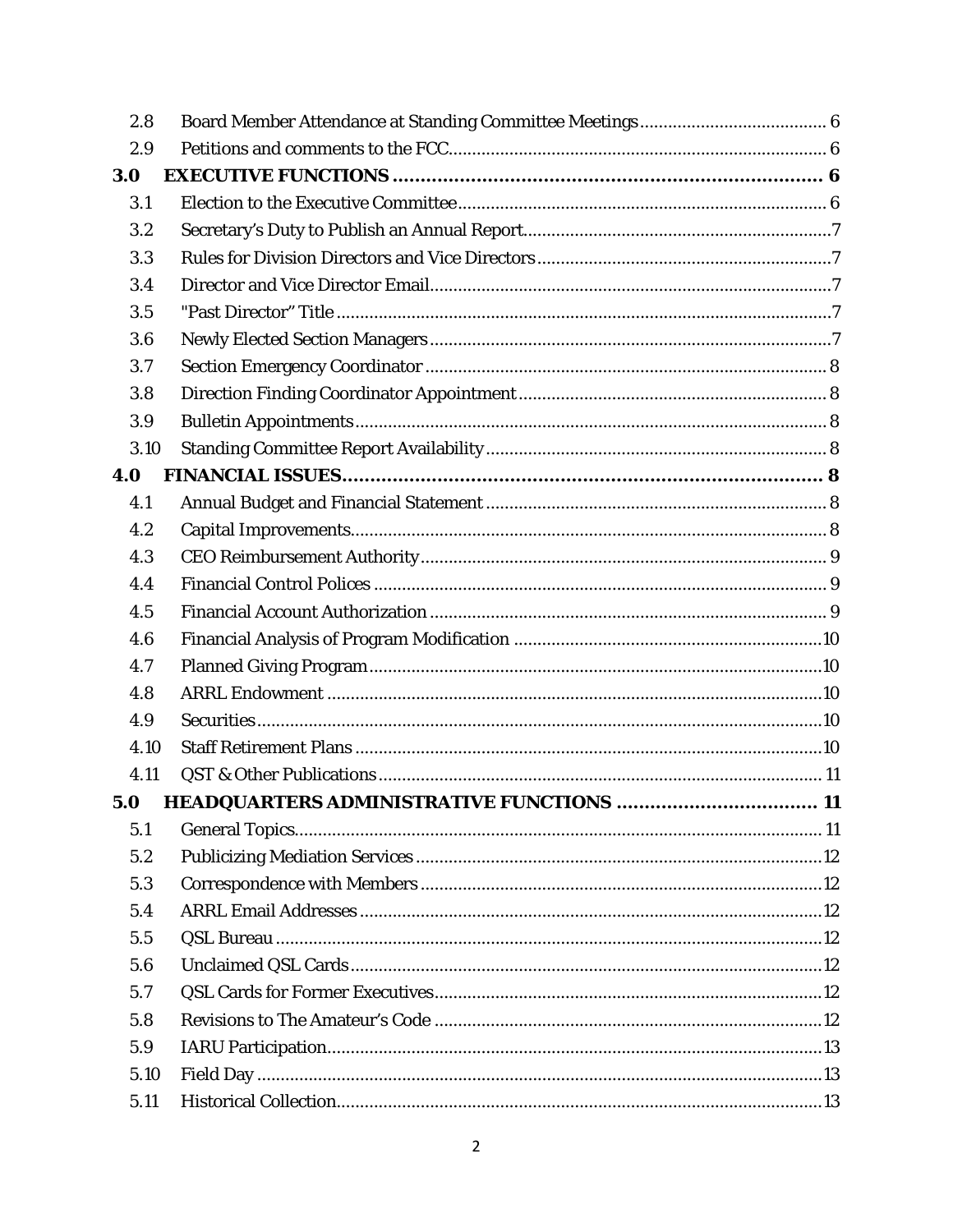| 2.8  |  |
|------|--|
| 2.9  |  |
| 3.0  |  |
| 3.1  |  |
| 3.2  |  |
| 3.3  |  |
| 3.4  |  |
| 3.5  |  |
| 3.6  |  |
| 3.7  |  |
| 3.8  |  |
| 3.9  |  |
| 3.10 |  |
| 4.0  |  |
| 4.1  |  |
| 4.2  |  |
| 4.3  |  |
| 4.4  |  |
| 4.5  |  |
| 4.6  |  |
| 4.7  |  |
| 4.8  |  |
| 4.9  |  |
| 4.10 |  |
| 4.11 |  |
| 5.0  |  |
| 5.1  |  |
| 5.2  |  |
| 5.3  |  |
| 5.4  |  |
| 5.5  |  |
| 5.6  |  |
| 5.7  |  |
| 5.8  |  |
| 5.9  |  |
| 5.10 |  |
| 5.11 |  |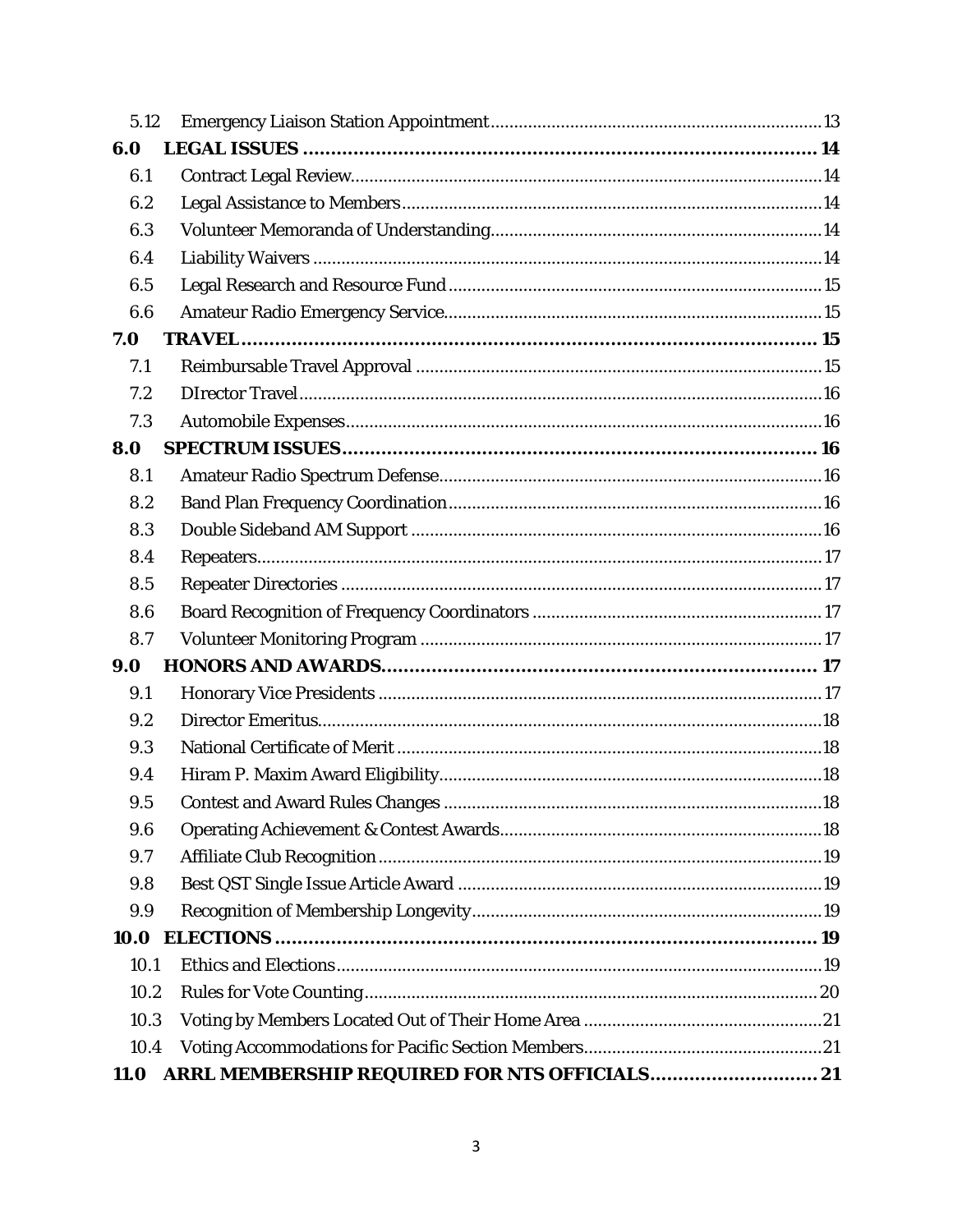| 5.12        |  |
|-------------|--|
| 6.0         |  |
| 6.1         |  |
| 6.2         |  |
| 6.3         |  |
| 6.4         |  |
| 6.5         |  |
| 6.6         |  |
| 7.0         |  |
| 7.1         |  |
| 7.2         |  |
| 7.3         |  |
| 8.0         |  |
| 8.1         |  |
| 8.2         |  |
| 8.3         |  |
| 8.4         |  |
| 8.5         |  |
| 8.6         |  |
| 8.7         |  |
| 9.0         |  |
| 9.1         |  |
| 9.2         |  |
| 9.3         |  |
| 9.4         |  |
| 9.5         |  |
| 9.6         |  |
| 9.7         |  |
| 9.8         |  |
| 9.9         |  |
| 10.0        |  |
| 10.1        |  |
| 10.2        |  |
| 10.3        |  |
| 10.4        |  |
| <b>11.0</b> |  |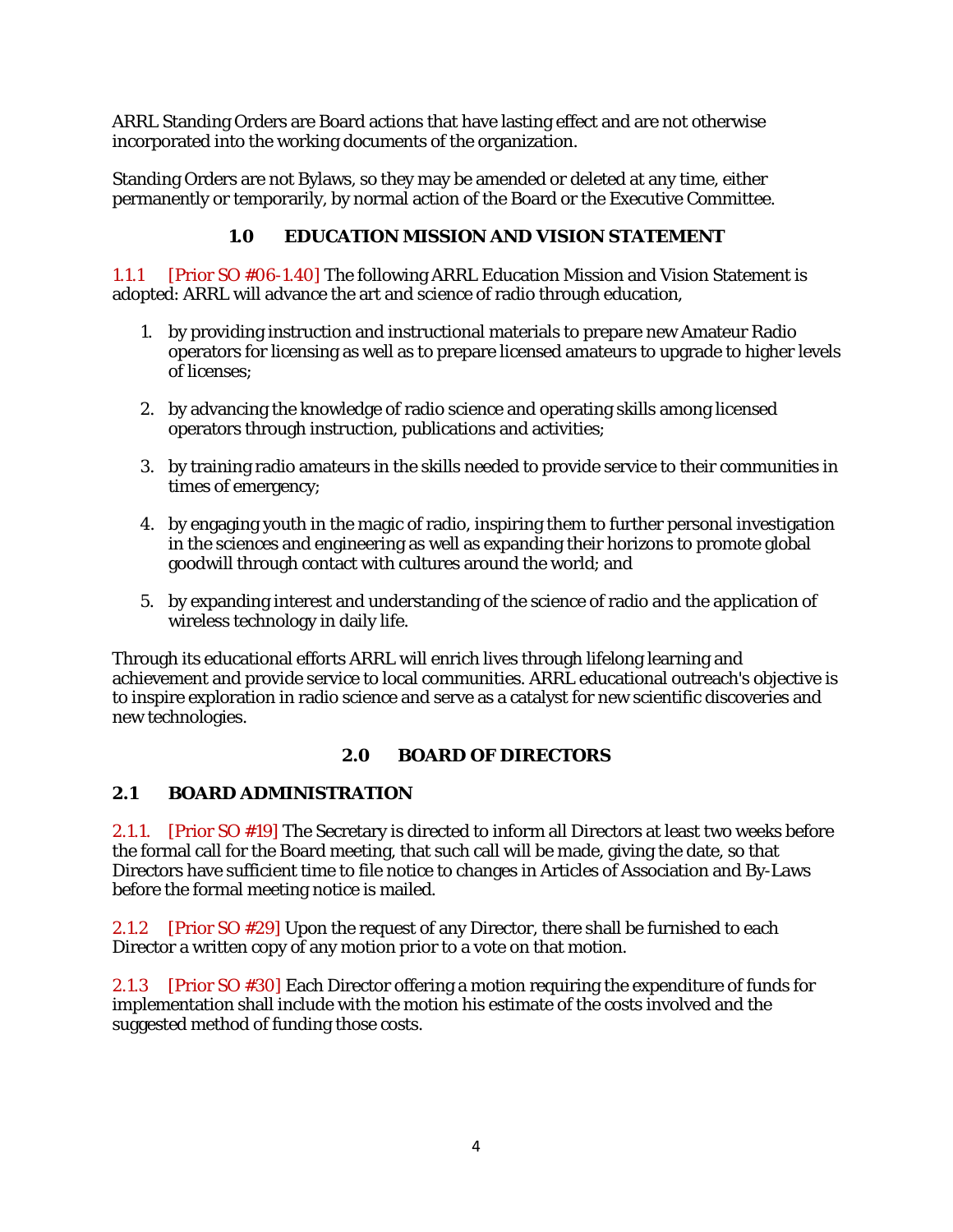ARRL Standing Orders are Board actions that have lasting effect and are not otherwise incorporated into the working documents of the organization.

Standing Orders are not Bylaws, so they may be amended or deleted at any time, either permanently or temporarily, by normal action of the Board or the Executive Committee.

## **1.0 EDUCATION MISSION AND VISION STATEMENT**

<span id="page-33-0"></span>1.1.1 [Prior SO #06-1.40] The following ARRL Education Mission and Vision Statement is adopted: ARRL will advance the art and science of radio through education,

- 1. by providing instruction and instructional materials to prepare new Amateur Radio operators for licensing as well as to prepare licensed amateurs to upgrade to higher levels of licenses;
- 2. by advancing the knowledge of radio science and operating skills among licensed operators through instruction, publications and activities;
- 3. by training radio amateurs in the skills needed to provide service to their communities in times of emergency;
- 4. by engaging youth in the magic of radio, inspiring them to further personal investigation in the sciences and engineering as well as expanding their horizons to promote global goodwill through contact with cultures around the world; and
- 5. by expanding interest and understanding of the science of radio and the application of wireless technology in daily life.

Through its educational efforts ARRL will enrich lives through lifelong learning and achievement and provide service to local communities. ARRL educational outreach's objective is to inspire exploration in radio science and serve as a catalyst for new scientific discoveries and new technologies.

## **2.0 BOARD OF DIRECTORS**

## <span id="page-33-2"></span><span id="page-33-1"></span>**2.1 BOARD ADMINISTRATION**

2.1.1. [Prior SO #19] The Secretary is directed to inform all Directors at least two weeks before the formal call for the Board meeting, that such call will be made, giving the date, so that Directors have sufficient time to file notice to changes in Articles of Association and By-Laws before the formal meeting notice is mailed.

2.1.2 [Prior SO #29] Upon the request of any Director, there shall be furnished to each Director a written copy of any motion prior to a vote on that motion.

2.1.3 [Prior SO #30] Each Director offering a motion requiring the expenditure of funds for implementation shall include with the motion his estimate of the costs involved and the suggested method of funding those costs.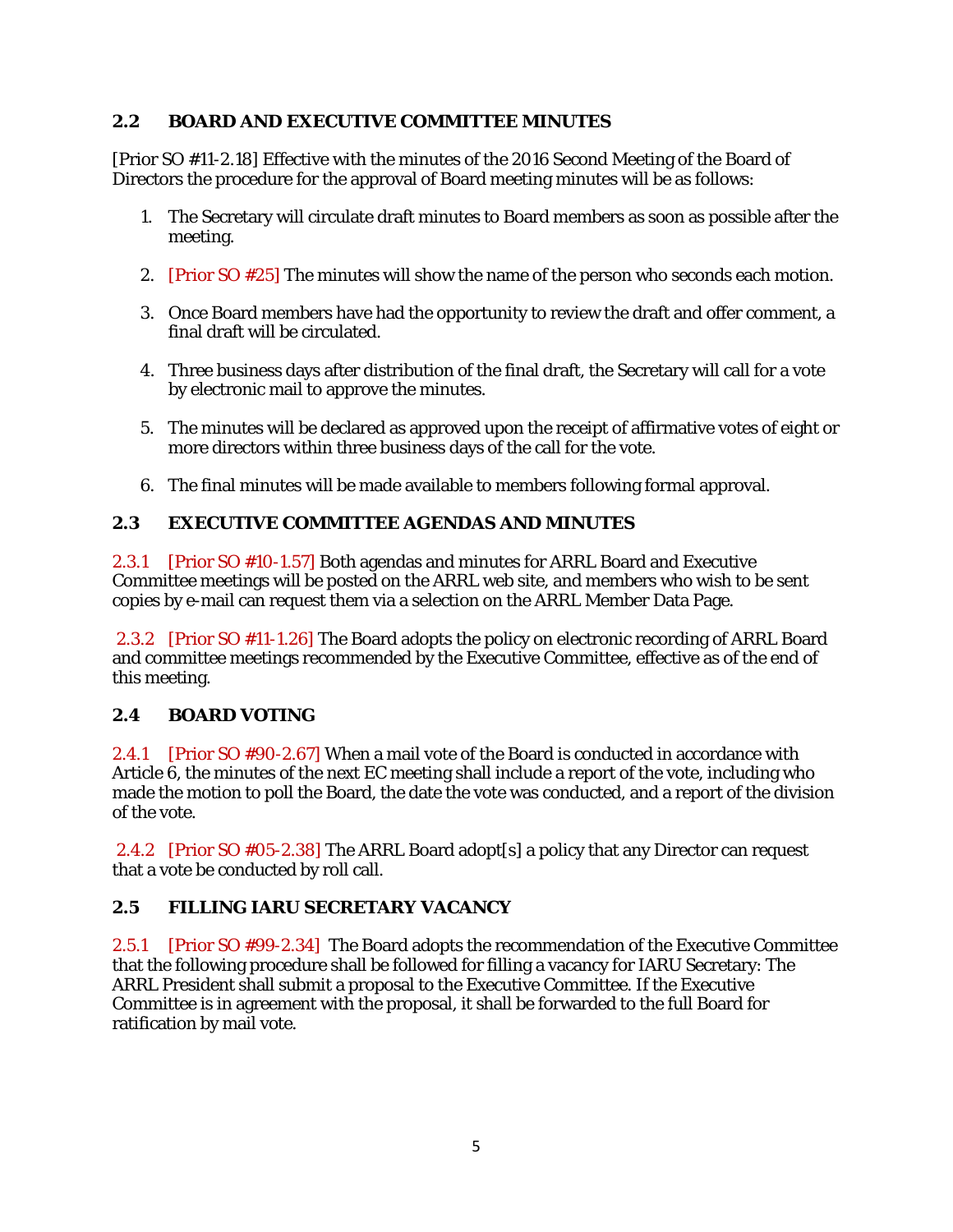#### <span id="page-34-0"></span>**2.2 BOARD AND EXECUTIVE COMMITTEE MINUTES**

[Prior SO #11-2.18] Effective with the minutes of the 2016 Second Meeting of the Board of Directors the procedure for the approval of Board meeting minutes will be as follows:

- 1. The Secretary will circulate draft minutes to Board members as soon as possible after the meeting.
- 2. [Prior SO #25] The minutes will show the name of the person who seconds each motion.
- 3. Once Board members have had the opportunity to review the draft and offer comment, a final draft will be circulated.
- 4. Three business days after distribution of the final draft, the Secretary will call for a vote by electronic mail to approve the minutes.
- 5. The minutes will be declared as approved upon the receipt of affirmative votes of eight or more directors within three business days of the call for the vote.
- 6. The final minutes will be made available to members following formal approval.

### <span id="page-34-1"></span>**2.3 EXECUTIVE COMMITTEE AGENDAS AND MINUTES**

2.3.1 [Prior SO #10-1.57] Both agendas and minutes for ARRL Board and Executive Committee meetings will be posted on the ARRL web site, and members who wish to be sent copies by e-mail can request them via a selection on the ARRL Member Data Page.

2.3.2 [Prior SO #11-1.26] The Board adopts the policy on electronic recording of ARRL Board and committee meetings recommended by the Executive Committee, effective as of the end of this meeting.

#### <span id="page-34-2"></span>**2.4 BOARD VOTING**

2.4.1 [Prior SO #90-2.67] When a mail vote of the Board is conducted in accordance with Article 6, the minutes of the next EC meeting shall include a report of the vote, including who made the motion to poll the Board, the date the vote was conducted, and a report of the division of the vote.

2.4.2 [Prior SO #05-2.38] The ARRL Board adopt[s] a policy that any Director can request that a vote be conducted by roll call.

## <span id="page-34-3"></span>**2.5 FILLING IARU SECRETARY VACANCY**

2.5.1 [Prior SO #99-2.34] The Board adopts the recommendation of the Executive Committee that the following procedure shall be followed for filling a vacancy for IARU Secretary: The ARRL President shall submit a proposal to the Executive Committee. If the Executive Committee is in agreement with the proposal, it shall be forwarded to the full Board for ratification by mail vote.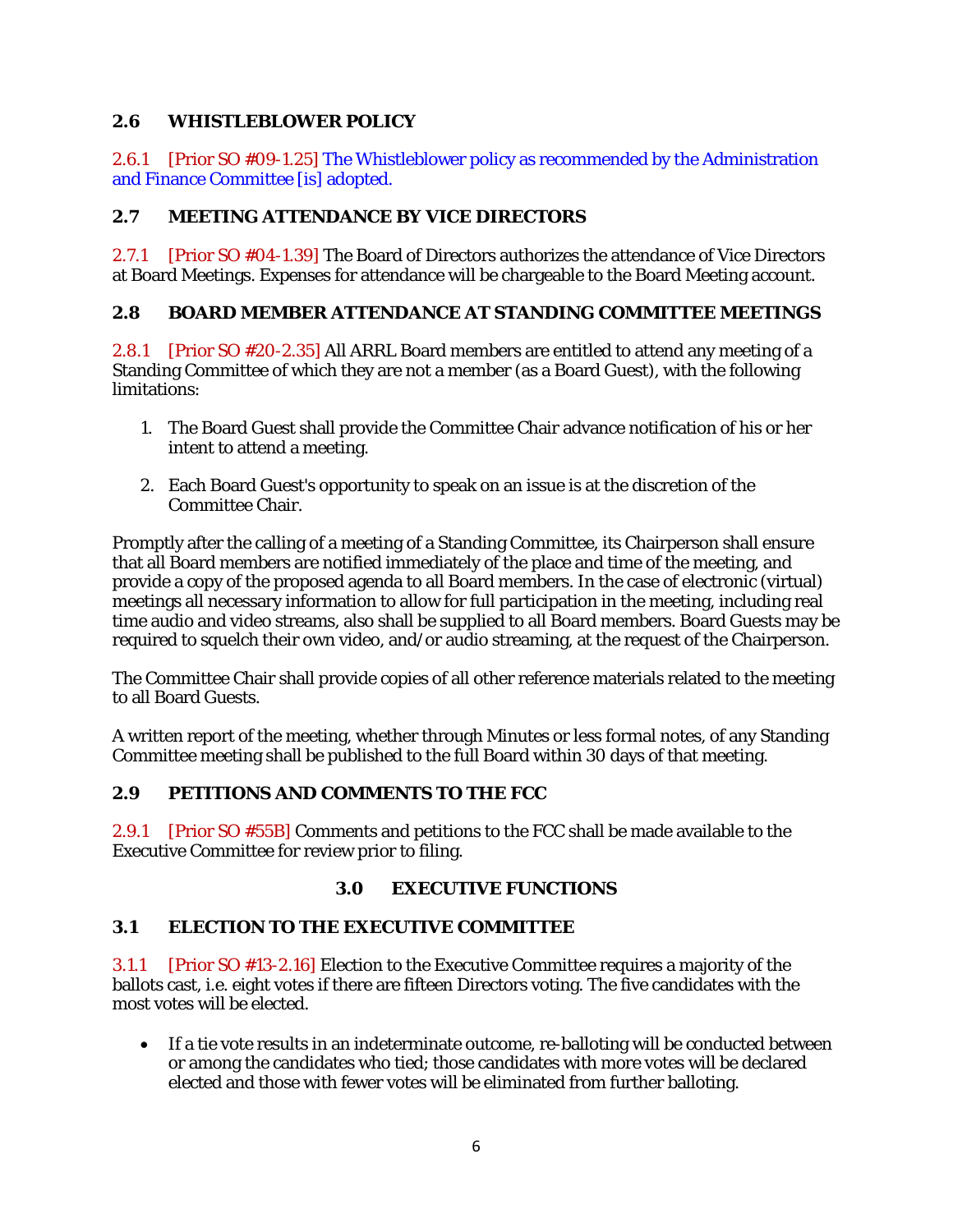### <span id="page-35-0"></span>**2.6 WHISTLEBLOWER POLICY**

2.6.1 [Prior SO #09-1.25] The Whistleblower policy as recommended by the Administration and Finance Committee [is] adopted.

### <span id="page-35-1"></span>**2.7 MEETING ATTENDANCE BY VICE DIRECTORS**

2.7.1 [Prior SO #04-1.39] The Board of Directors authorizes the attendance of Vice Directors at Board Meetings. Expenses for attendance will be chargeable to the Board Meeting account.

### <span id="page-35-2"></span>**2.8 BOARD MEMBER ATTENDANCE AT STANDING COMMITTEE MEETINGS**

2.8.1 [Prior SO #20-2.35] All ARRL Board members are entitled to attend any meeting of a Standing Committee of which they are not a member (as a Board Guest), with the following limitations:

- 1. The Board Guest shall provide the Committee Chair advance notification of his or her intent to attend a meeting.
- 2. Each Board Guest's opportunity to speak on an issue is at the discretion of the Committee Chair.

Promptly after the calling of a meeting of a Standing Committee, its Chairperson shall ensure that all Board members are notified immediately of the place and time of the meeting, and provide a copy of the proposed agenda to all Board members. In the case of electronic (virtual) meetings all necessary information to allow for full participation in the meeting, including real time audio and video streams, also shall be supplied to all Board members. Board Guests may be required to squelch their own video, and/or audio streaming, at the request of the Chairperson.

The Committee Chair shall provide copies of all other reference materials related to the meeting to all Board Guests.

A written report of the meeting, whether through Minutes or less formal notes, of any Standing Committee meeting shall be published to the full Board within 30 days of that meeting.

#### <span id="page-35-3"></span>**2.9 PETITIONS AND COMMENTS TO THE FCC**

2.9.1 [Prior SO #55B] Comments and petitions to the FCC shall be made available to the Executive Committee for review prior to filing.

#### **3.0 EXECUTIVE FUNCTIONS**

#### <span id="page-35-5"></span><span id="page-35-4"></span>**3.1 ELECTION TO THE EXECUTIVE COMMITTEE**

3.1.1 [Prior SO #13-2.16] Election to the Executive Committee requires a majority of the ballots cast, i.e. eight votes if there are fifteen Directors voting. The five candidates with the most votes will be elected.

• If a tie vote results in an indeterminate outcome, re-balloting will be conducted between or among the candidates who tied; those candidates with more votes will be declared elected and those with fewer votes will be eliminated from further balloting.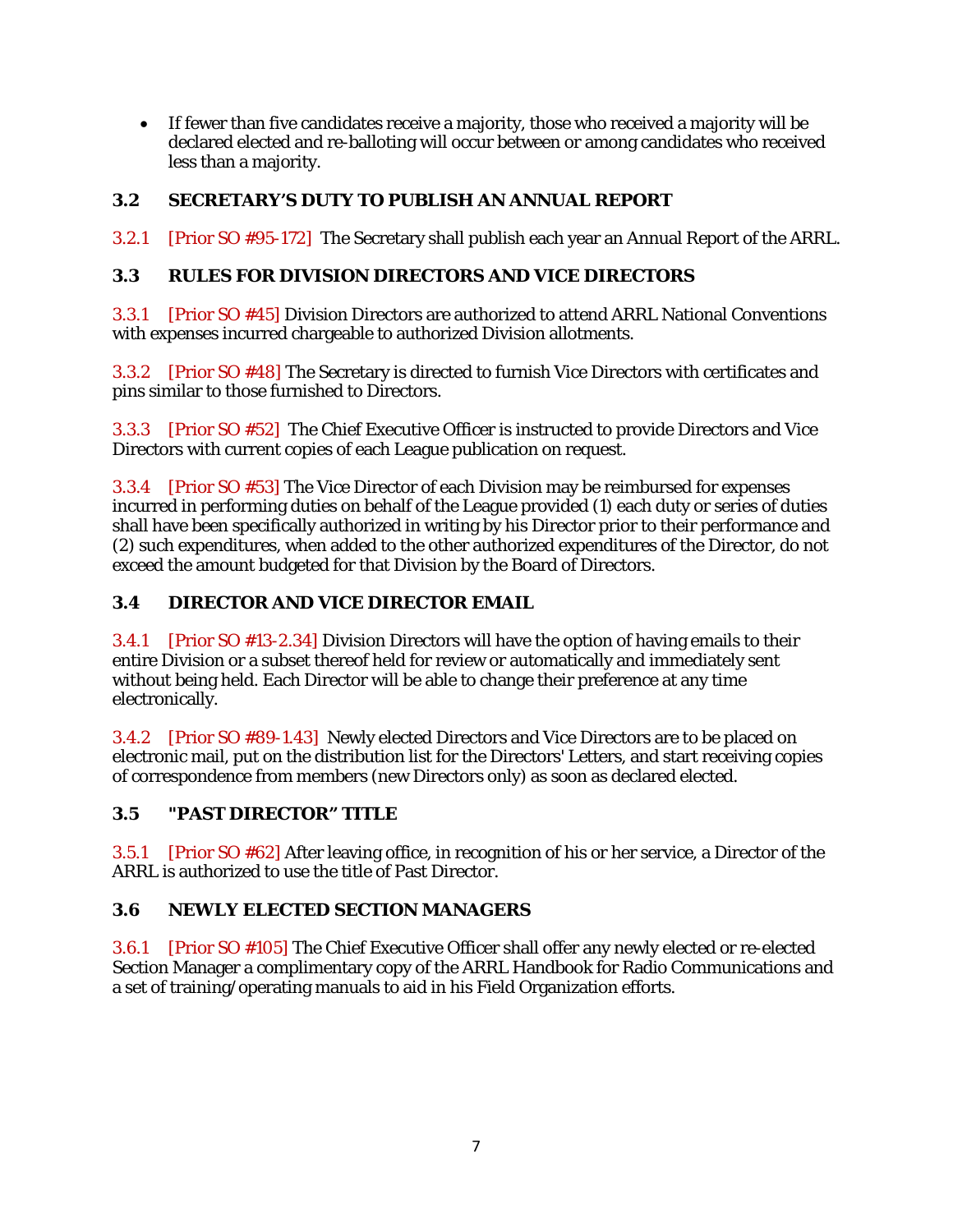• If fewer than five candidates receive a majority, those who received a majority will be declared elected and re-balloting will occur between or among candidates who received less than a majority.

# <span id="page-36-0"></span>**3.2 SECRETARY'S DUTY TO PUBLISH AN ANNUAL REPORT**

3.2.1 [Prior SO #95-172] The Secretary shall publish each year an Annual Report of the ARRL.

## <span id="page-36-1"></span>**3.3 RULES FOR DIVISION DIRECTORS AND VICE DIRECTORS**

3.3.1 [Prior SO #45] Division Directors are authorized to attend ARRL National Conventions with expenses incurred chargeable to authorized Division allotments.

3.3.2 [Prior SO #48] The Secretary is directed to furnish Vice Directors with certificates and pins similar to those furnished to Directors.

3.3.3 [Prior SO #52] The Chief Executive Officer is instructed to provide Directors and Vice Directors with current copies of each League publication on request.

3.3.4 [Prior SO #53] The Vice Director of each Division may be reimbursed for expenses incurred in performing duties on behalf of the League provided (1) each duty or series of duties shall have been specifically authorized in writing by his Director prior to their performance and (2) such expenditures, when added to the other authorized expenditures of the Director, do not exceed the amount budgeted for that Division by the Board of Directors.

# <span id="page-36-2"></span>**3.4 DIRECTOR AND VICE DIRECTOR EMAIL**

3.4.1 [Prior SO #13-2.34] Division Directors will have the option of having emails to their entire Division or a subset thereof held for review or automatically and immediately sent without being held. Each Director will be able to change their preference at any time electronically.

3.4.2 [Prior SO #89-1.43] Newly elected Directors and Vice Directors are to be placed on electronic mail, put on the distribution list for the Directors' Letters, and start receiving copies of correspondence from members (new Directors only) as soon as declared elected.

#### <span id="page-36-3"></span>**3.5 "PAST DIRECTOR" TITLE**

3.5.1 [Prior SO #62] After leaving office, in recognition of his or her service, a Director of the ARRL is authorized to use the title of Past Director.

## <span id="page-36-4"></span>**3.6 NEWLY ELECTED SECTION MANAGERS**

3.6.1 [Prior SO #105] The Chief Executive Officer shall offer any newly elected or re-elected Section Manager a complimentary copy of the ARRL Handbook for Radio Communications and a set of training/operating manuals to aid in his Field Organization efforts.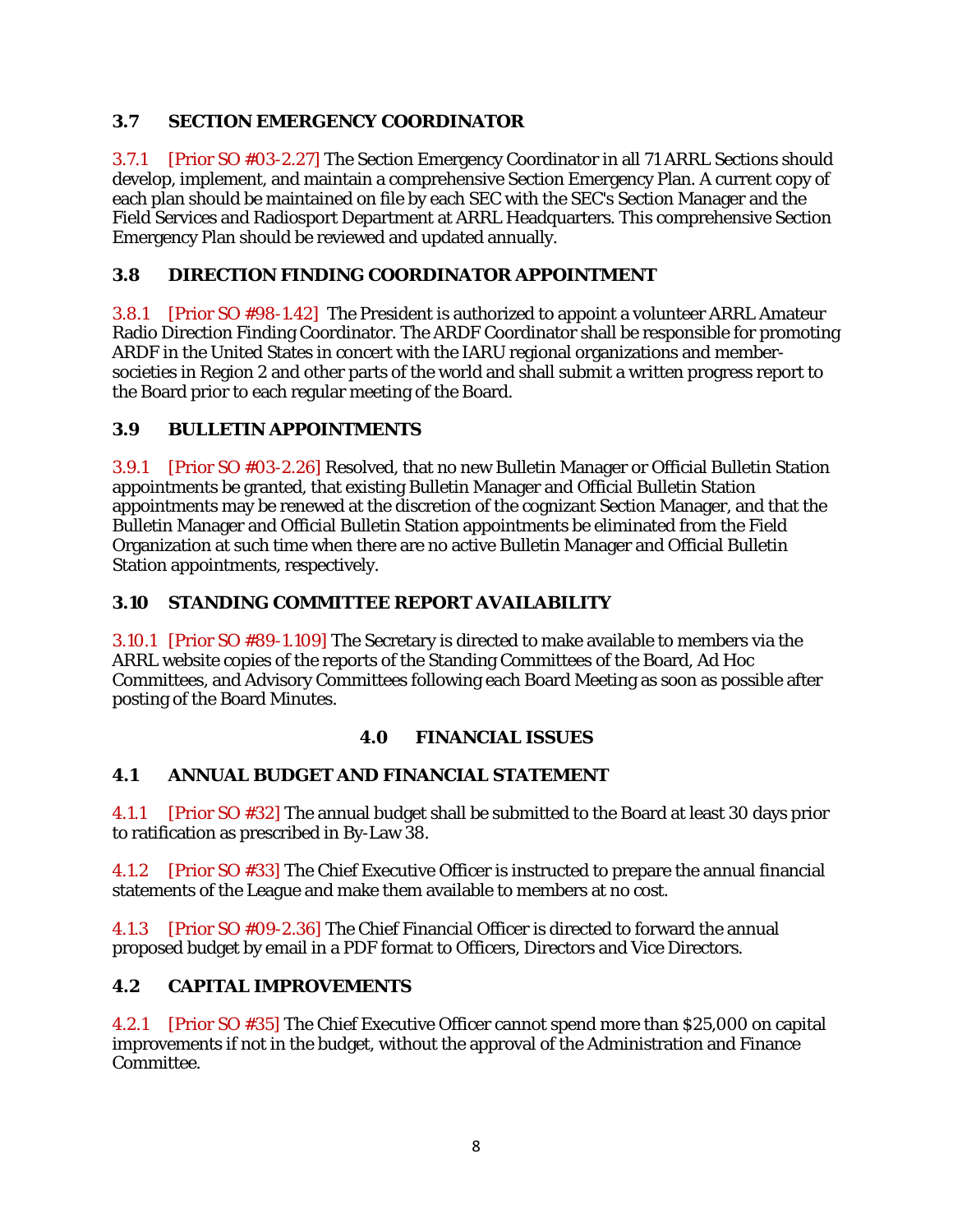# <span id="page-37-0"></span>**3.7 SECTION EMERGENCY COORDINATOR**

3.7.1 [Prior SO #03-2.27] The Section Emergency Coordinator in all 71 ARRL Sections should develop, implement, and maintain a comprehensive Section Emergency Plan. A current copy of each plan should be maintained on file by each SEC with the SEC's Section Manager and the Field Services and Radiosport Department at ARRL Headquarters. This comprehensive Section Emergency Plan should be reviewed and updated annually.

# <span id="page-37-1"></span>**3.8 DIRECTION FINDING COORDINATOR APPOINTMENT**

3.8.1 [Prior SO #98-1.42] The President is authorized to appoint a volunteer ARRL Amateur Radio Direction Finding Coordinator. The ARDF Coordinator shall be responsible for promoting ARDF in the United States in concert with the IARU regional organizations and membersocieties in Region 2 and other parts of the world and shall submit a written progress report to the Board prior to each regular meeting of the Board.

## <span id="page-37-2"></span>**3.9 BULLETIN APPOINTMENTS**

3.9.1 [Prior SO #03-2.26] Resolved, that no new Bulletin Manager or Official Bulletin Station appointments be granted, that existing Bulletin Manager and Official Bulletin Station appointments may be renewed at the discretion of the cognizant Section Manager, and that the Bulletin Manager and Official Bulletin Station appointments be eliminated from the Field Organization at such time when there are no active Bulletin Manager and Official Bulletin Station appointments, respectively.

# <span id="page-37-3"></span>**3.10 STANDING COMMITTEE REPORT AVAILABILITY**

3.10.1 [Prior SO #89-1.109] The Secretary is directed to make available to members via the ARRL website copies of the reports of the Standing Committees of the Board, Ad Hoc Committees, and Advisory Committees following each Board Meeting as soon as possible after posting of the Board Minutes.

## **4.0 FINANCIAL ISSUES**

## <span id="page-37-5"></span><span id="page-37-4"></span>**4.1 ANNUAL BUDGET AND FINANCIAL STATEMENT**

4.1.1 [Prior SO #32] The annual budget shall be submitted to the Board at least 30 days prior to ratification as prescribed in By-Law 38.

4.1.2 [Prior SO #33] The Chief Executive Officer is instructed to prepare the annual financial statements of the League and make them available to members at no cost.

4.1.3 [Prior SO #09-2.36] The Chief Financial Officer is directed to forward the annual proposed budget by email in a PDF format to Officers, Directors and Vice Directors.

## <span id="page-37-6"></span>**4.2 CAPITAL IMPROVEMENTS**

4.2.1 [Prior SO #35] The Chief Executive Officer cannot spend more than \$25,000 on capital improvements if not in the budget, without the approval of the Administration and Finance Committee.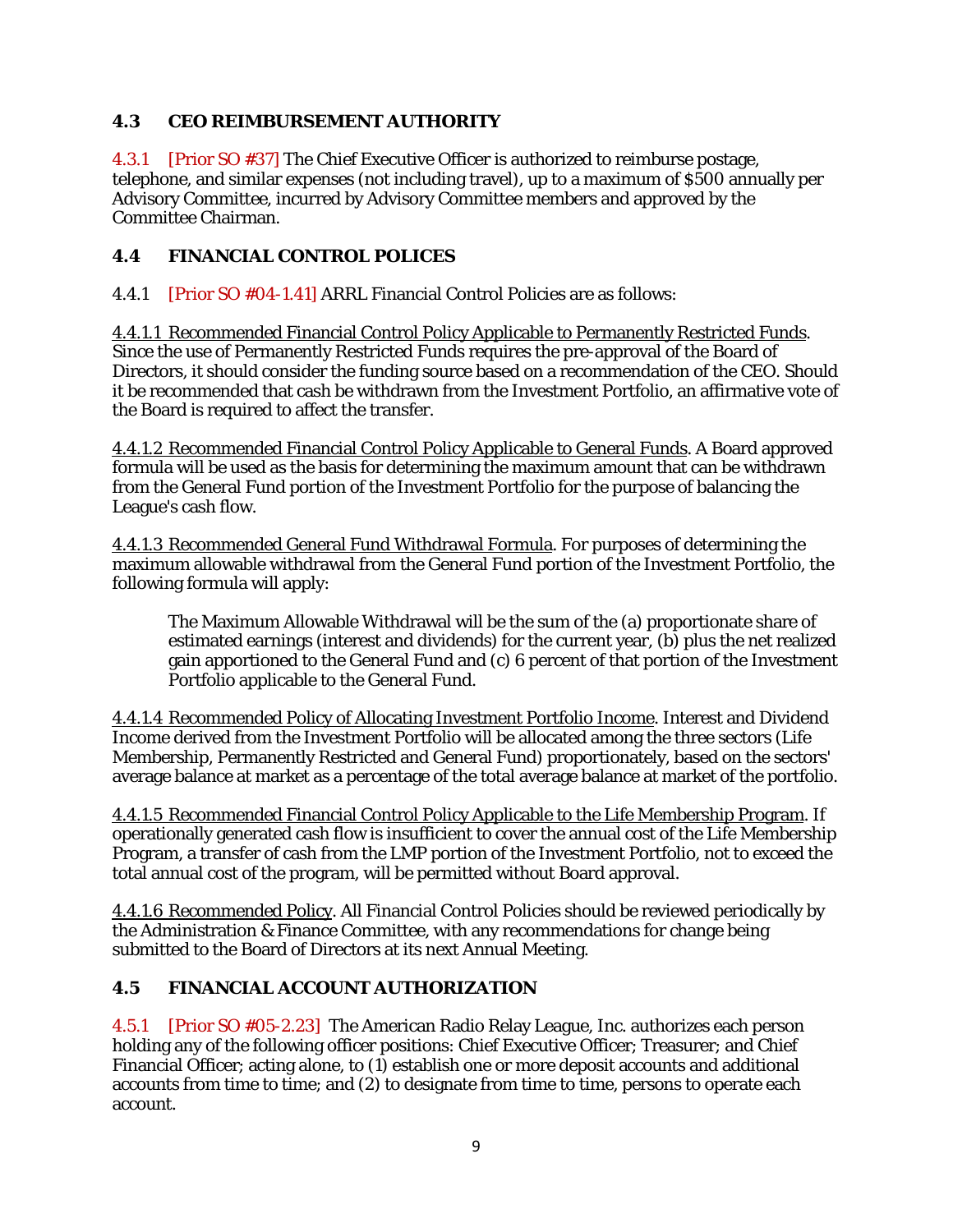## <span id="page-38-0"></span>**4.3 CEO REIMBURSEMENT AUTHORITY**

4.3.1 [Prior SO #37] The Chief Executive Officer is authorized to reimburse postage, telephone, and similar expenses (not including travel), up to a maximum of \$500 annually per Advisory Committee, incurred by Advisory Committee members and approved by the Committee Chairman.

## <span id="page-38-1"></span>**4.4 FINANCIAL CONTROL POLICES**

4.4.1 [Prior SO #04-1.41] ARRL Financial Control Policies are as follows:

4.4.1.1 Recommended Financial Control Policy Applicable to Permanently Restricted Funds. Since the use of Permanently Restricted Funds requires the pre-approval of the Board of Directors, it should consider the funding source based on a recommendation of the CEO. Should it be recommended that cash be withdrawn from the Investment Portfolio, an affirmative vote of the Board is required to affect the transfer.

4.4.1.2 Recommended Financial Control Policy Applicable to General Funds. A Board approved formula will be used as the basis for determining the maximum amount that can be withdrawn from the General Fund portion of the Investment Portfolio for the purpose of balancing the League's cash flow.

4.4.1.3 Recommended General Fund Withdrawal Formula. For purposes of determining the maximum allowable withdrawal from the General Fund portion of the Investment Portfolio, the following formula will apply:

The Maximum Allowable Withdrawal will be the sum of the (a) proportionate share of estimated earnings (interest and dividends) for the current year, (b) plus the net realized gain apportioned to the General Fund and (c) 6 percent of that portion of the Investment Portfolio applicable to the General Fund.

4.4.1.4 Recommended Policy of Allocating Investment Portfolio Income. Interest and Dividend Income derived from the Investment Portfolio will be allocated among the three sectors (Life Membership, Permanently Restricted and General Fund) proportionately, based on the sectors' average balance at market as a percentage of the total average balance at market of the portfolio.

4.4.1.5 Recommended Financial Control Policy Applicable to the Life Membership Program. If operationally generated cash flow is insufficient to cover the annual cost of the Life Membership Program, a transfer of cash from the LMP portion of the Investment Portfolio, not to exceed the total annual cost of the program, will be permitted without Board approval.

4.4.1.6 Recommended Policy. All Financial Control Policies should be reviewed periodically by the Administration & Finance Committee, with any recommendations for change being submitted to the Board of Directors at its next Annual Meeting.

# <span id="page-38-2"></span>**4.5 FINANCIAL ACCOUNT AUTHORIZATION**

4.5.1 [Prior SO #05-2.23] The American Radio Relay League, Inc. authorizes each person holding any of the following officer positions: Chief Executive Officer; Treasurer; and Chief Financial Officer; acting alone, to (1) establish one or more deposit accounts and additional accounts from time to time; and (2) to designate from time to time, persons to operate each account.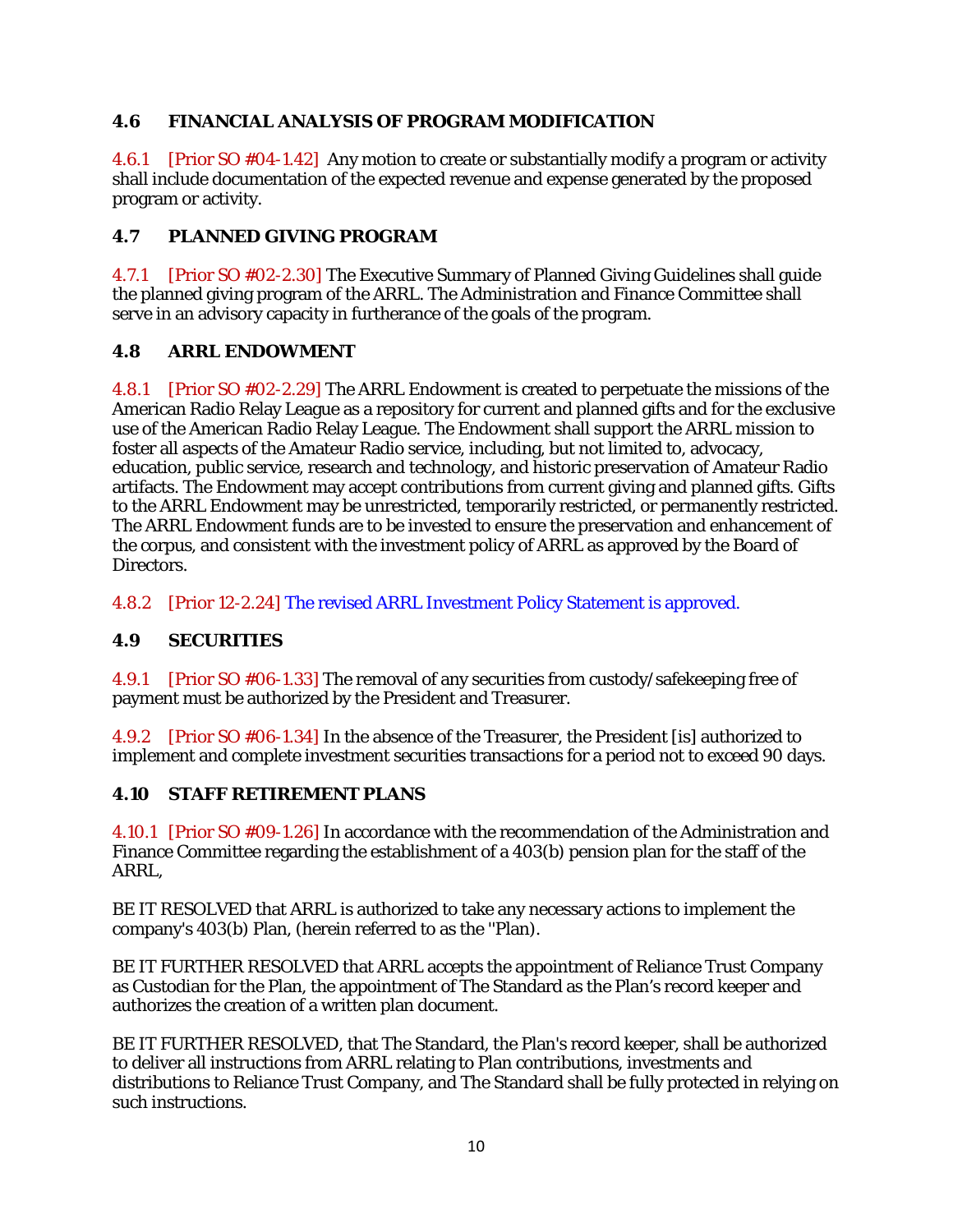## <span id="page-39-0"></span>**4.6 FINANCIAL ANALYSIS OF PROGRAM MODIFICATION**

4.6.1 [Prior SO #04-1.42] Any motion to create or substantially modify a program or activity shall include documentation of the expected revenue and expense generated by the proposed program or activity.

## <span id="page-39-1"></span>**4.7 PLANNED GIVING PROGRAM**

4.7.1 [Prior SO #02-2.30] The Executive Summary of Planned Giving Guidelines shall guide the planned giving program of the ARRL. The Administration and Finance Committee shall serve in an advisory capacity in furtherance of the goals of the program.

### <span id="page-39-2"></span>**4.8 ARRL ENDOWMENT**

4.8.1 [Prior SO #02-2.29] The ARRL Endowment is created to perpetuate the missions of the American Radio Relay League as a repository for current and planned gifts and for the exclusive use of the American Radio Relay League. The Endowment shall support the ARRL mission to foster all aspects of the Amateur Radio service, including, but not limited to, advocacy, education, public service, research and technology, and historic preservation of Amateur Radio artifacts. The Endowment may accept contributions from current giving and planned gifts. Gifts to the ARRL Endowment may be unrestricted, temporarily restricted, or permanently restricted. The ARRL Endowment funds are to be invested to ensure the preservation and enhancement of the corpus, and consistent with the investment policy of ARRL as approved by the Board of Directors.

4.8.2 [Prior 12-2.24] The revised ARRL Investment Policy Statement is approved.

## <span id="page-39-3"></span>**4.9 SECURITIES**

4.9.1 [Prior SO #06-1.33] The removal of any securities from custody/safekeeping free of payment must be authorized by the President and Treasurer.

4.9.2 [Prior SO #06-1.34] In the absence of the Treasurer, the President [is] authorized to implement and complete investment securities transactions for a period not to exceed 90 days.

## <span id="page-39-4"></span>**4.10 STAFF RETIREMENT PLANS**

4.10.1 [Prior SO #09-1.26] In accordance with the recommendation of the Administration and Finance Committee regarding the establishment of a 403(b) pension plan for the staff of the ARRL,

BE IT RESOLVED that ARRL is authorized to take any necessary actions to implement the company's 403(b) Plan, (herein referred to as the ''Plan).

BE IT FURTHER RESOLVED that ARRL accepts the appointment of Reliance Trust Company as Custodian for the Plan, the appointment of The Standard as the Plan's record keeper and authorizes the creation of a written plan document.

BE IT FURTHER RESOLVED, that The Standard, the Plan's record keeper, shall be authorized to deliver all instructions from ARRL relating to Plan contributions, investments and distributions to Reliance Trust Company, and The Standard shall be fully protected in relying on such instructions.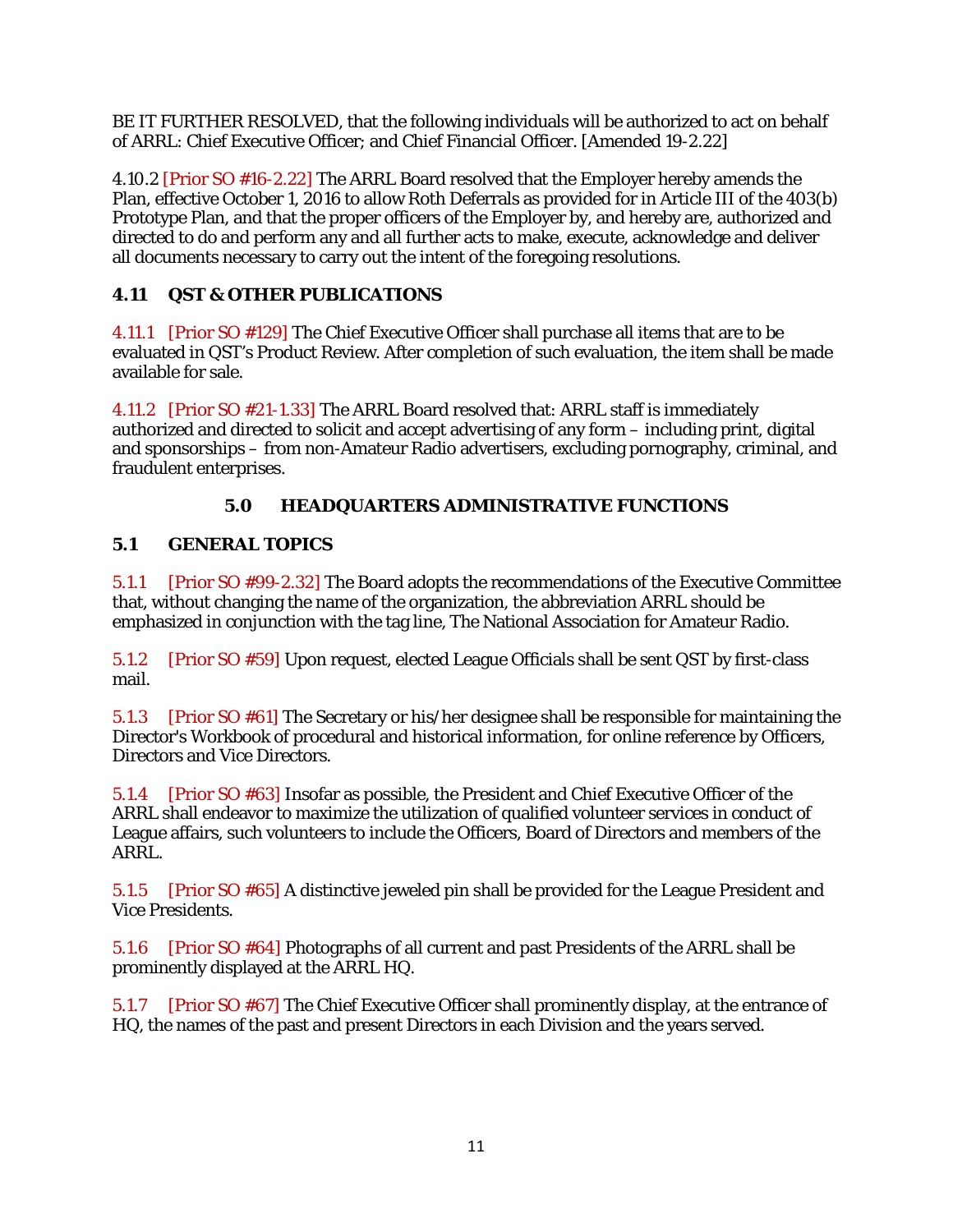BE IT FURTHER RESOLVED, that the following individuals will be authorized to act on behalf of ARRL: Chief Executive Officer; and Chief Financial Officer. [Amended 19-2.22]

4.10.2 [Prior SO #16-2.22] The ARRL Board resolved that the Employer hereby amends the Plan, effective October 1, 2016 to allow Roth Deferrals as provided for in Article III of the 403(b) Prototype Plan, and that the proper officers of the Employer by, and hereby are, authorized and directed to do and perform any and all further acts to make, execute, acknowledge and deliver all documents necessary to carry out the intent of the foregoing resolutions.

# <span id="page-40-0"></span>**4.11 QST & OTHER PUBLICATIONS**

4.11.1 [Prior SO #129] The Chief Executive Officer shall purchase all items that are to be evaluated in QST's Product Review. After completion of such evaluation, the item shall be made available for sale.

4.11.2 [Prior SO #21-1.33] The ARRL Board resolved that: ARRL staff is immediately authorized and directed to solicit and accept advertising of any form – including print, digital and sponsorships – from non-Amateur Radio advertisers, excluding pornography, criminal, and fraudulent enterprises.

# **5.0 HEADQUARTERS ADMINISTRATIVE FUNCTIONS**

## <span id="page-40-2"></span><span id="page-40-1"></span>**5.1 GENERAL TOPICS**

5.1.1 [Prior SO #99-2.32] The Board adopts the recommendations of the Executive Committee that, without changing the name of the organization, the abbreviation ARRL should be emphasized in conjunction with the tag line, The National Association for Amateur Radio.

5.1.2 [Prior SO #59] Upon request, elected League Officials shall be sent QST by first-class mail.

5.1.3 [Prior SO #61] The Secretary or his/her designee shall be responsible for maintaining the Director's Workbook of procedural and historical information, for online reference by Officers, Directors and Vice Directors.

5.1.4 [Prior SO #63] Insofar as possible, the President and Chief Executive Officer of the ARRL shall endeavor to maximize the utilization of qualified volunteer services in conduct of League affairs, such volunteers to include the Officers, Board of Directors and members of the ARRL.

5.1.5 [Prior SO #65] A distinctive jeweled pin shall be provided for the League President and Vice Presidents.

5.1.6 [Prior SO #64] Photographs of all current and past Presidents of the ARRL shall be prominently displayed at the ARRL HQ.

5.1.7 [Prior SO #67] The Chief Executive Officer shall prominently display, at the entrance of HQ, the names of the past and present Directors in each Division and the years served.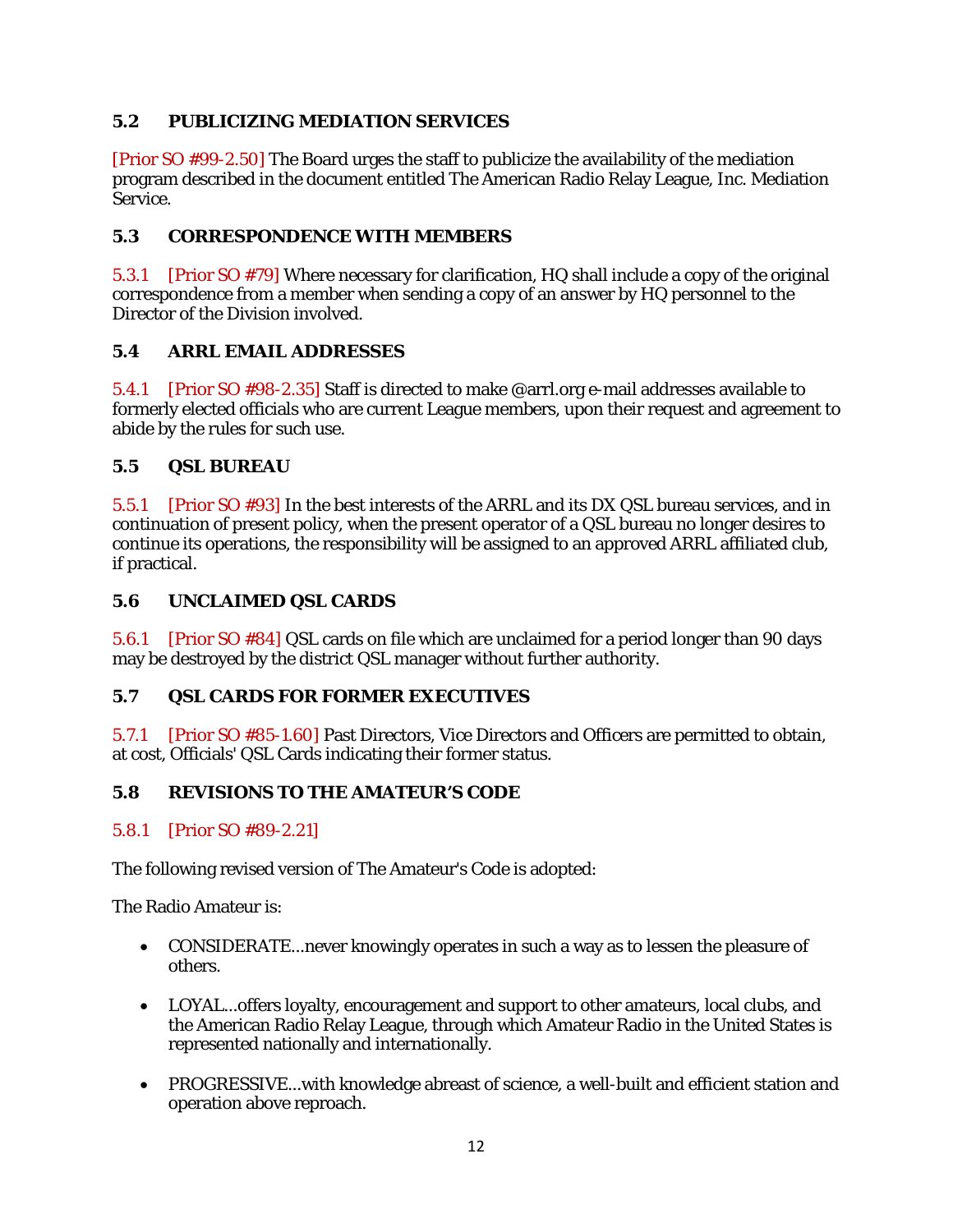# <span id="page-41-0"></span>**5.2 PUBLICIZING MEDIATION SERVICES**

[Prior SO #99-2.50] The Board urges the staff to publicize the availability of the mediation program described in the document entitled The American Radio Relay League, Inc. Mediation Service.

## <span id="page-41-1"></span>**5.3 CORRESPONDENCE WITH MEMBERS**

5.3.1 [Prior SO #79] Where necessary for clarification, HQ shall include a copy of the original correspondence from a member when sending a copy of an answer by HQ personnel to the Director of the Division involved.

### <span id="page-41-2"></span>**5.4 ARRL EMAIL ADDRESSES**

5.4.1 [Prior SO #98-2.35] Staff is directed to make @arrl.org e-mail addresses available to formerly elected officials who are current League members, upon their request and agreement to abide by the rules for such use.

### <span id="page-41-3"></span>**5.5 QSL BUREAU**

5.5.1 [Prior SO #93] In the best interests of the ARRL and its DX QSL bureau services, and in continuation of present policy, when the present operator of a QSL bureau no longer desires to continue its operations, the responsibility will be assigned to an approved ARRL affiliated club, if practical.

### <span id="page-41-4"></span>**5.6 UNCLAIMED QSL CARDS**

5.6.1 [Prior SO #84] QSL cards on file which are unclaimed for a period longer than 90 days may be destroyed by the district QSL manager without further authority.

## <span id="page-41-5"></span>**5.7 QSL CARDS FOR FORMER EXECUTIVES**

5.7.1 [Prior SO #85-1.60] Past Directors, Vice Directors and Officers are permitted to obtain, at cost, Officials' QSL Cards indicating their former status.

#### <span id="page-41-6"></span>**5.8 REVISIONS TO THE AMATEUR'S CODE**

#### 5.8.1 [Prior SO #89-2.21]

The following revised version of The Amateur's Code is adopted:

The Radio Amateur is:

- CONSIDERATE... never knowingly operates in such a way as to lessen the pleasure of others.
- LOYAL...offers loyalty, encouragement and support to other amateurs, local clubs, and the American Radio Relay League, through which Amateur Radio in the United States is represented nationally and internationally.
- PROGRESSIVE...with knowledge abreast of science, a well-built and efficient station and operation above reproach.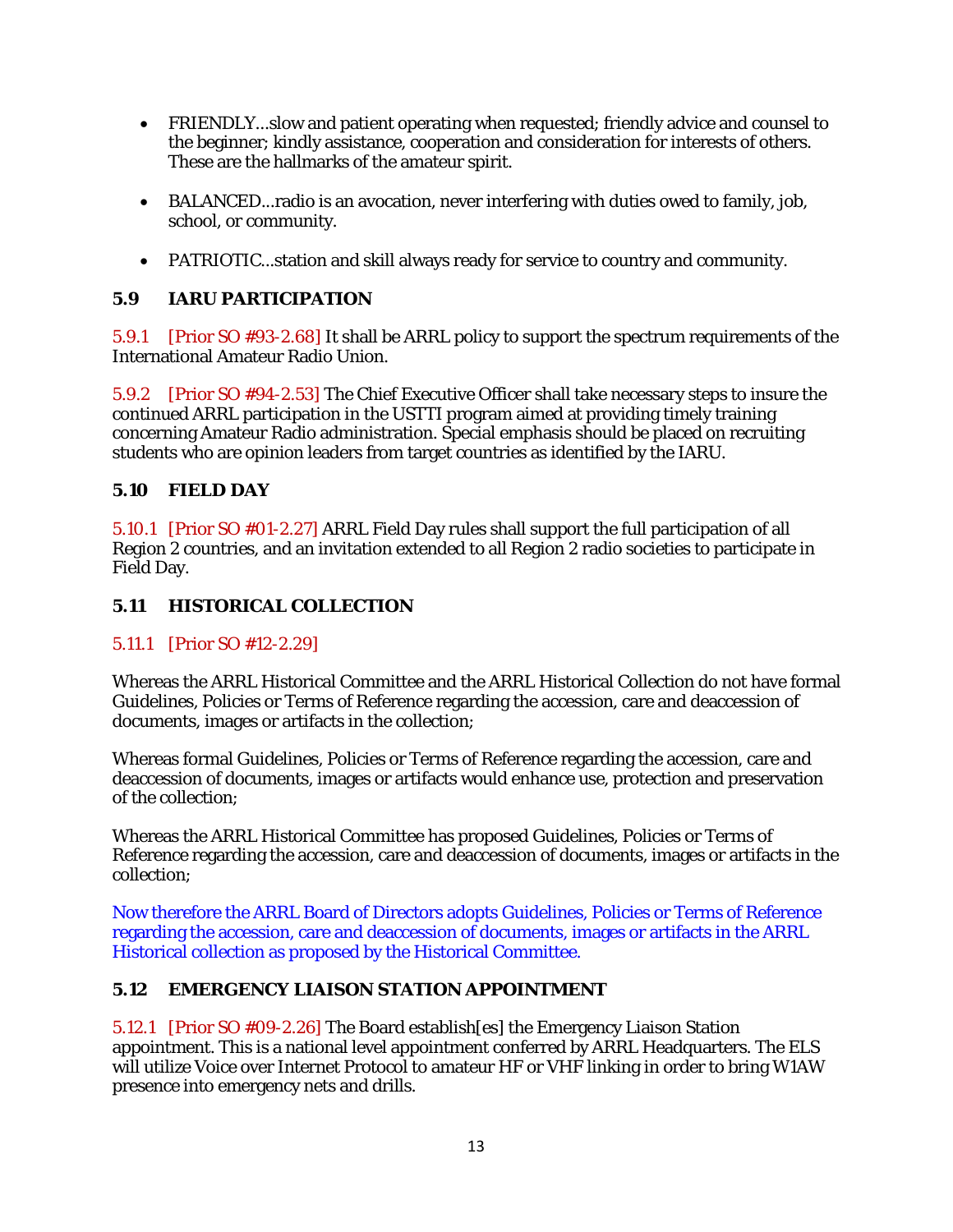- FRIENDLY...slow and patient operating when requested; friendly advice and counsel to the beginner; kindly assistance, cooperation and consideration for interests of others. These are the hallmarks of the amateur spirit.
- BALANCED...radio is an avocation, never interfering with duties owed to family, job, school, or community.
- PATRIOTIC...station and skill always ready for service to country and community.

### <span id="page-42-0"></span>**5.9 IARU PARTICIPATION**

5.9.1 [Prior SO #93-2.68] It shall be ARRL policy to support the spectrum requirements of the International Amateur Radio Union.

5.9.2 [Prior SO #94-2.53] The Chief Executive Officer shall take necessary steps to insure the continued ARRL participation in the USTTI program aimed at providing timely training concerning Amateur Radio administration. Special emphasis should be placed on recruiting students who are opinion leaders from target countries as identified by the IARU.

#### <span id="page-42-1"></span>**5.10 FIELD DAY**

5.10.1 [Prior SO #01-2.27] ARRL Field Day rules shall support the full participation of all Region 2 countries, and an invitation extended to all Region 2 radio societies to participate in Field Day.

#### <span id="page-42-2"></span>**5.11 HISTORICAL COLLECTION**

#### 5.11.1 [Prior SO #12-2.29]

Whereas the ARRL Historical Committee and the ARRL Historical Collection do not have formal Guidelines, Policies or Terms of Reference regarding the accession, care and deaccession of documents, images or artifacts in the collection;

Whereas formal Guidelines, Policies or Terms of Reference regarding the accession, care and deaccession of documents, images or artifacts would enhance use, protection and preservation of the collection;

Whereas the ARRL Historical Committee has proposed Guidelines, Policies or Terms of Reference regarding the accession, care and deaccession of documents, images or artifacts in the collection;

Now therefore the ARRL Board of Directors adopts Guidelines, Policies or Terms of Reference regarding the accession, care and deaccession of documents, images or artifacts in the ARRL Historical collection as proposed by the Historical Committee.

#### <span id="page-42-3"></span>**5.12 EMERGENCY LIAISON STATION APPOINTMENT**

5.12.1 [Prior SO #09-2.26] The Board establish[es] the Emergency Liaison Station appointment. This is a national level appointment conferred by ARRL Headquarters. The ELS will utilize Voice over Internet Protocol to amateur HF or VHF linking in order to bring W1AW presence into emergency nets and drills.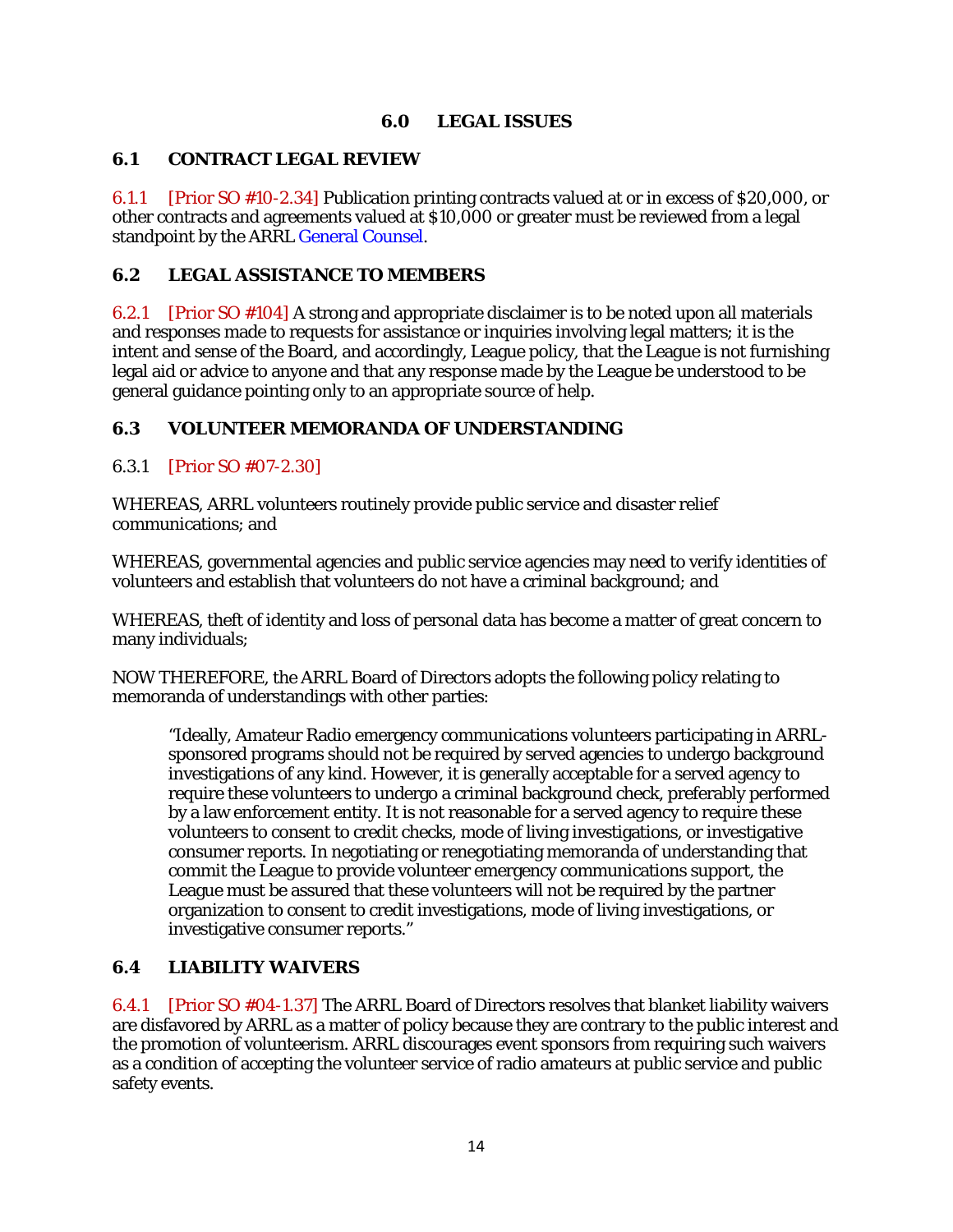### **6.0 LEGAL ISSUES**

#### <span id="page-43-1"></span><span id="page-43-0"></span>**6.1 CONTRACT LEGAL REVIEW**

6.1.1 [Prior SO #10-2.34] Publication printing contracts valued at or in excess of \$20,000, or other contracts and agreements valued at \$10,000 or greater must be reviewed from a legal standpoint by the ARRL General Counsel.

## <span id="page-43-2"></span>**6.2 LEGAL ASSISTANCE TO MEMBERS**

6.2.1 [Prior SO #104] A strong and appropriate disclaimer is to be noted upon all materials and responses made to requests for assistance or inquiries involving legal matters; it is the intent and sense of the Board, and accordingly, League policy, that the League is not furnishing legal aid or advice to anyone and that any response made by the League be understood to be general guidance pointing only to an appropriate source of help.

### <span id="page-43-3"></span>**6.3 VOLUNTEER MEMORANDA OF UNDERSTANDING**

### 6.3.1 [Prior SO #07-2.30]

WHEREAS, ARRL volunteers routinely provide public service and disaster relief communications; and

WHEREAS, governmental agencies and public service agencies may need to verify identities of volunteers and establish that volunteers do not have a criminal background; and

WHEREAS, theft of identity and loss of personal data has become a matter of great concern to many individuals;

NOW THEREFORE, the ARRL Board of Directors adopts the following policy relating to memoranda of understandings with other parties:

"Ideally, Amateur Radio emergency communications volunteers participating in ARRLsponsored programs should not be required by served agencies to undergo background investigations of any kind. However, it is generally acceptable for a served agency to require these volunteers to undergo a criminal background check, preferably performed by a law enforcement entity. It is not reasonable for a served agency to require these volunteers to consent to credit checks, mode of living investigations, or investigative consumer reports. In negotiating or renegotiating memoranda of understanding that commit the League to provide volunteer emergency communications support, the League must be assured that these volunteers will not be required by the partner organization to consent to credit investigations, mode of living investigations, or investigative consumer reports."

## <span id="page-43-4"></span>**6.4 LIABILITY WAIVERS**

6.4.1 [Prior SO #04-1.37] The ARRL Board of Directors resolves that blanket liability waivers are disfavored by ARRL as a matter of policy because they are contrary to the public interest and the promotion of volunteerism. ARRL discourages event sponsors from requiring such waivers as a condition of accepting the volunteer service of radio amateurs at public service and public safety events.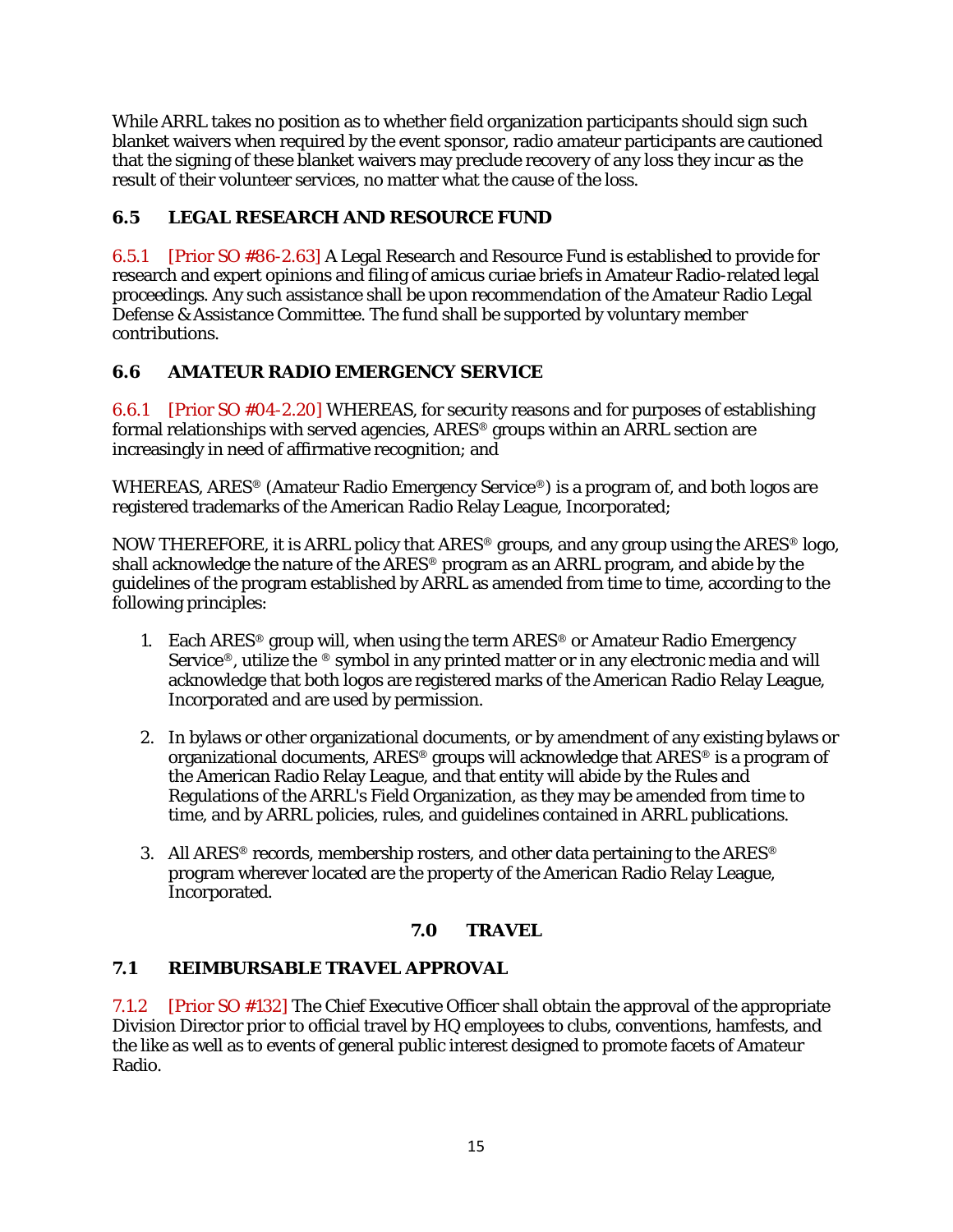While ARRL takes no position as to whether field organization participants should sign such blanket waivers when required by the event sponsor, radio amateur participants are cautioned that the signing of these blanket waivers may preclude recovery of any loss they incur as the result of their volunteer services, no matter what the cause of the loss.

# <span id="page-44-0"></span>**6.5 LEGAL RESEARCH AND RESOURCE FUND**

6.5.1 [Prior SO #86-2.63] A Legal Research and Resource Fund is established to provide for research and expert opinions and filing of amicus curiae briefs in Amateur Radio-related legal proceedings. Any such assistance shall be upon recommendation of the Amateur Radio Legal Defense & Assistance Committee. The fund shall be supported by voluntary member contributions.

# <span id="page-44-1"></span>**6.6 AMATEUR RADIO EMERGENCY SERVICE**

6.6.1 [Prior SO #04-2.20] WHEREAS, for security reasons and for purposes of establishing formal relationships with served agencies, ARES® groups within an ARRL section are increasingly in need of affirmative recognition; and

WHEREAS, ARES® (Amateur Radio Emergency Service®) is a program of, and both logos are registered trademarks of the American Radio Relay League, Incorporated;

NOW THEREFORE, it is ARRL policy that ARES® groups, and any group using the ARES® logo, shall acknowledge the nature of the ARES® program as an ARRL program, and abide by the guidelines of the program established by ARRL as amended from time to time, according to the following principles:

- 1. Each ARES<sup>®</sup> group will, when using the term ARES<sup>®</sup> or Amateur Radio Emergency Service<sup>®</sup>, utilize the <sup>®</sup> symbol in any printed matter or in any electronic media and will acknowledge that both logos are registered marks of the American Radio Relay League, Incorporated and are used by permission.
- 2. In bylaws or other organizational documents, or by amendment of any existing bylaws or organizational documents, ARES® groups will acknowledge that ARES® is a program of the American Radio Relay League, and that entity will abide by the Rules and Regulations of the ARRL's Field Organization, as they may be amended from time to time, and by ARRL policies, rules, and guidelines contained in ARRL publications.
- 3. All ARES<sup>®</sup> records, membership rosters, and other data pertaining to the ARES<sup>®</sup> program wherever located are the property of the American Radio Relay League, Incorporated.

## **7.0 TRAVEL**

## <span id="page-44-3"></span><span id="page-44-2"></span>**7.1 REIMBURSABLE TRAVEL APPROVAL**

7.1.2 [Prior SO #132] The Chief Executive Officer shall obtain the approval of the appropriate Division Director prior to official travel by HQ employees to clubs, conventions, hamfests, and the like as well as to events of general public interest designed to promote facets of Amateur Radio.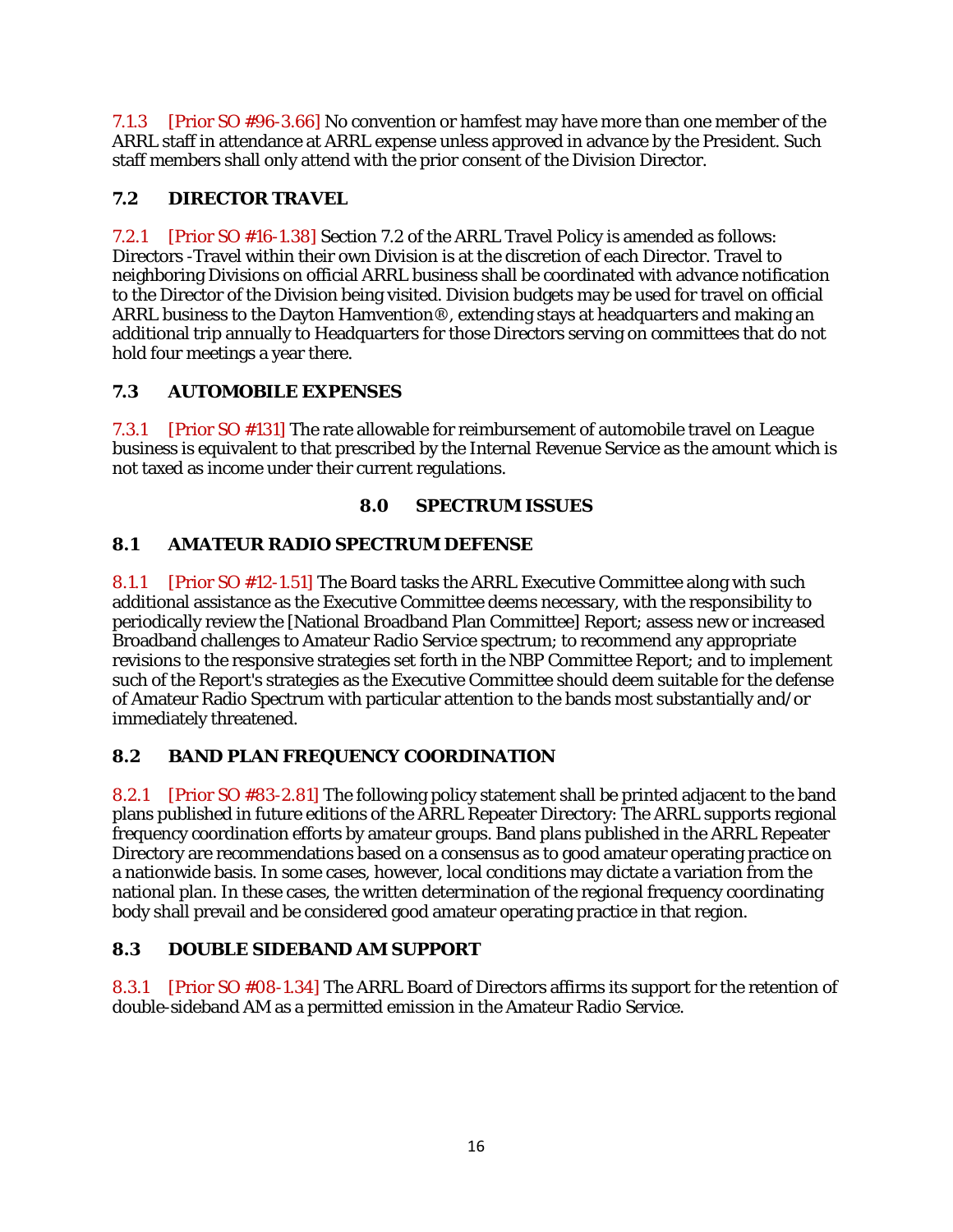7.1.3 [Prior SO #96-3.66] No convention or hamfest may have more than one member of the ARRL staff in attendance at ARRL expense unless approved in advance by the President. Such staff members shall only attend with the prior consent of the Division Director.

# <span id="page-45-0"></span>**7.2 DIRECTOR TRAVEL**

7.2.1 [Prior SO #16-1.38] Section 7.2 of the ARRL Travel Policy is amended as follows: Directors -Travel within their own Division is at the discretion of each Director. Travel to neighboring Divisions on official ARRL business shall be coordinated with advance notification to the Director of the Division being visited. Division budgets may be used for travel on official ARRL business to the Dayton Hamvention®, extending stays at headquarters and making an additional trip annually to Headquarters for those Directors serving on committees that do not hold four meetings a year there.

# <span id="page-45-1"></span>**7.3 AUTOMOBILE EXPENSES**

7.3.1 [Prior SO #131] The rate allowable for reimbursement of automobile travel on League business is equivalent to that prescribed by the Internal Revenue Service as the amount which is not taxed as income under their current regulations.

# **8.0 SPECTRUM ISSUES**

# <span id="page-45-3"></span><span id="page-45-2"></span>**8.1 AMATEUR RADIO SPECTRUM DEFENSE**

8.1.1 [Prior SO #12-1.51] The Board tasks the ARRL Executive Committee along with such additional assistance as the Executive Committee deems necessary, with the responsibility to periodically review the [National Broadband Plan Committee] Report; assess new or increased Broadband challenges to Amateur Radio Service spectrum; to recommend any appropriate revisions to the responsive strategies set forth in the NBP Committee Report; and to implement such of the Report's strategies as the Executive Committee should deem suitable for the defense of Amateur Radio Spectrum with particular attention to the bands most substantially and/or immediately threatened.

# <span id="page-45-4"></span>**8.2 BAND PLAN FREQUENCY COORDINATION**

8.2.1 [Prior SO #83-2.81] The following policy statement shall be printed adjacent to the band plans published in future editions of the ARRL Repeater Directory: The ARRL supports regional frequency coordination efforts by amateur groups. Band plans published in the ARRL Repeater Directory are recommendations based on a consensus as to good amateur operating practice on a nationwide basis. In some cases, however, local conditions may dictate a variation from the national plan. In these cases, the written determination of the regional frequency coordinating body shall prevail and be considered good amateur operating practice in that region.

# <span id="page-45-5"></span>**8.3 DOUBLE SIDEBAND AM SUPPORT**

8.3.1 [Prior SO #08-1.34] The ARRL Board of Directors affirms its support for the retention of double-sideband AM as a permitted emission in the Amateur Radio Service.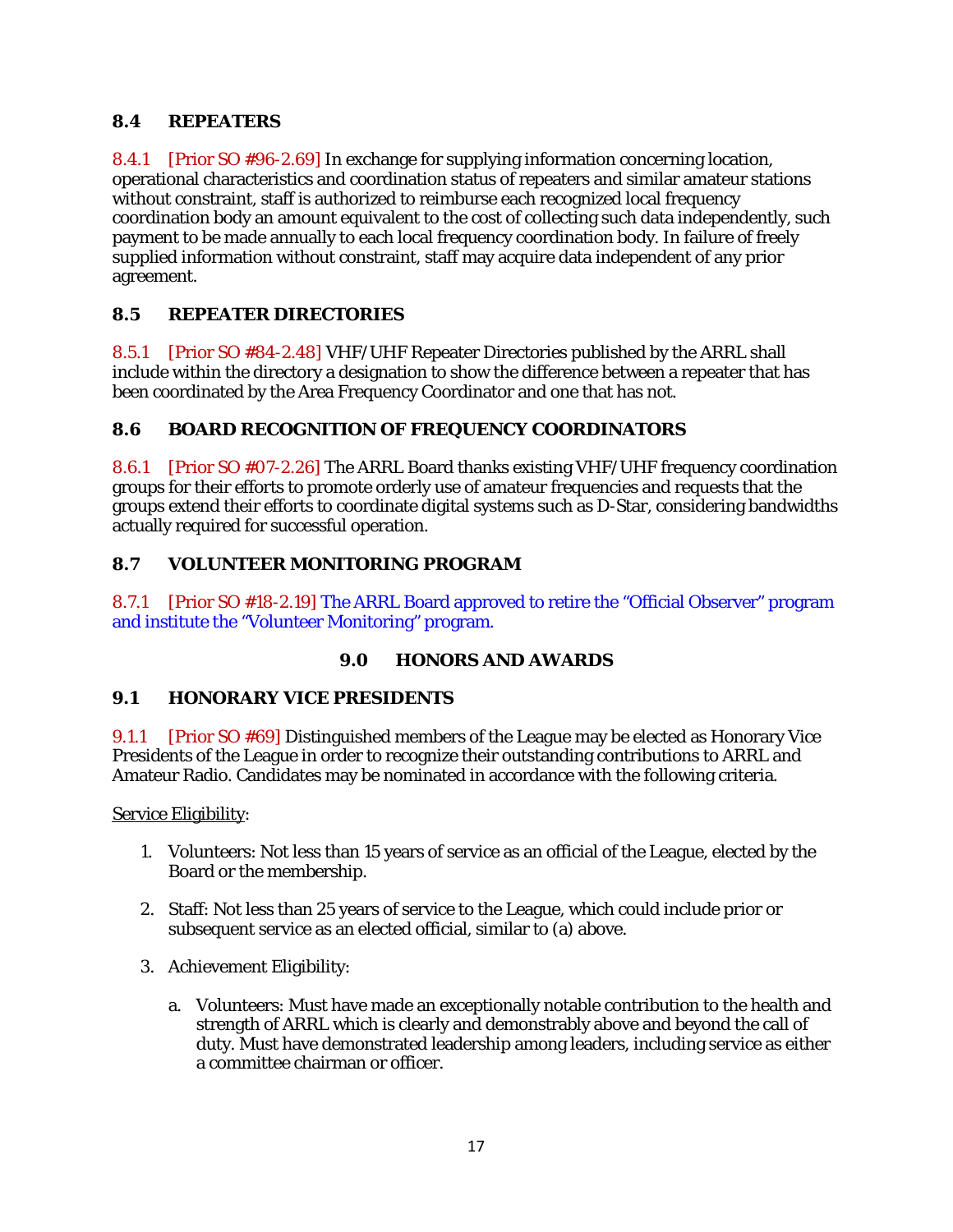## <span id="page-46-0"></span>**8.4 REPEATERS**

8.4.1 [Prior SO #96-2.69] In exchange for supplying information concerning location, operational characteristics and coordination status of repeaters and similar amateur stations without constraint, staff is authorized to reimburse each recognized local frequency coordination body an amount equivalent to the cost of collecting such data independently, such payment to be made annually to each local frequency coordination body. In failure of freely supplied information without constraint, staff may acquire data independent of any prior agreement.

## <span id="page-46-1"></span>**8.5 REPEATER DIRECTORIES**

8.5.1 [Prior SO #84-2.48] VHF/UHF Repeater Directories published by the ARRL shall include within the directory a designation to show the difference between a repeater that has been coordinated by the Area Frequency Coordinator and one that has not.

### <span id="page-46-2"></span>**8.6 BOARD RECOGNITION OF FREQUENCY COORDINATORS**

8.6.1 [Prior SO #07-2.26] The ARRL Board thanks existing VHF/UHF frequency coordination groups for their efforts to promote orderly use of amateur frequencies and requests that the groups extend their efforts to coordinate digital systems such as D-Star, considering bandwidths actually required for successful operation.

### <span id="page-46-3"></span>**8.7 VOLUNTEER MONITORING PROGRAM**

8.7.1 [Prior SO #18-2.19] The ARRL Board approved to retire the "Official Observer" program and institute the "Volunteer Monitoring" program.

#### **9.0 HONORS AND AWARDS**

#### <span id="page-46-5"></span><span id="page-46-4"></span>**9.1 HONORARY VICE PRESIDENTS**

9.1.1 [Prior SO #69] Distinguished members of the League may be elected as Honorary Vice Presidents of the League in order to recognize their outstanding contributions to ARRL and Amateur Radio. Candidates may be nominated in accordance with the following criteria.

Service Eligibility:

- 1. Volunteers: Not less than 15 years of service as an official of the League, elected by the Board or the membership.
- 2. Staff: Not less than 25 years of service to the League, which could include prior or subsequent service as an elected official, similar to (a) above.
- 3. Achievement Eligibility:
	- a. Volunteers: Must have made an exceptionally notable contribution to the health and strength of ARRL which is clearly and demonstrably above and beyond the call of duty. Must have demonstrated leadership among leaders, including service as either a committee chairman or officer.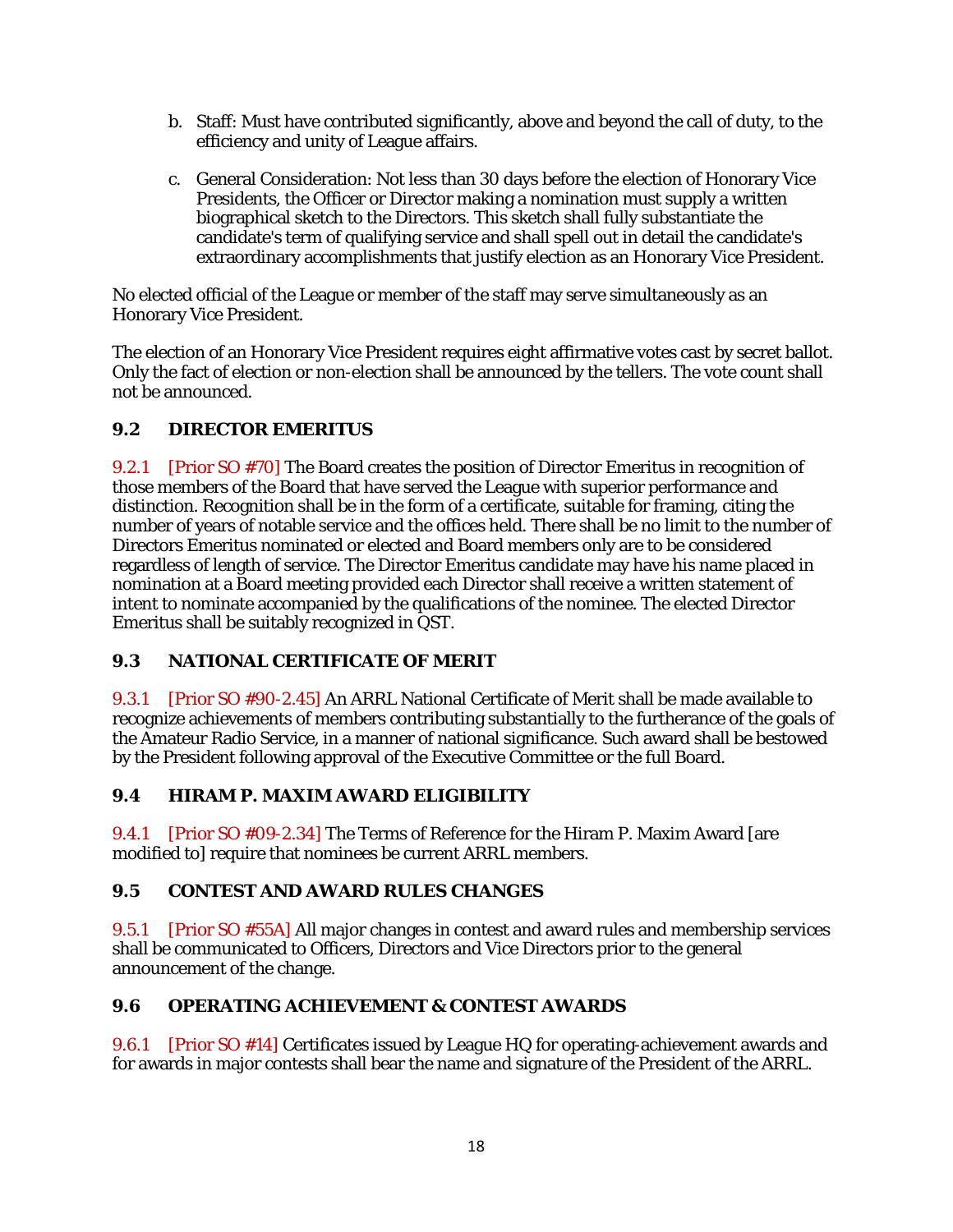- b. Staff: Must have contributed significantly, above and beyond the call of duty, to the efficiency and unity of League affairs.
- c. General Consideration: Not less than 30 days before the election of Honorary Vice Presidents, the Officer or Director making a nomination must supply a written biographical sketch to the Directors. This sketch shall fully substantiate the candidate's term of qualifying service and shall spell out in detail the candidate's extraordinary accomplishments that justify election as an Honorary Vice President.

No elected official of the League or member of the staff may serve simultaneously as an Honorary Vice President.

The election of an Honorary Vice President requires eight affirmative votes cast by secret ballot. Only the fact of election or non-election shall be announced by the tellers. The vote count shall not be announced.

# <span id="page-47-0"></span>**9.2 DIRECTOR EMERITUS**

9.2.1 [Prior SO #70] The Board creates the position of Director Emeritus in recognition of those members of the Board that have served the League with superior performance and distinction. Recognition shall be in the form of a certificate, suitable for framing, citing the number of years of notable service and the offices held. There shall be no limit to the number of Directors Emeritus nominated or elected and Board members only are to be considered regardless of length of service. The Director Emeritus candidate may have his name placed in nomination at a Board meeting provided each Director shall receive a written statement of intent to nominate accompanied by the qualifications of the nominee. The elected Director Emeritus shall be suitably recognized in QST.

## <span id="page-47-1"></span>**9.3 NATIONAL CERTIFICATE OF MERIT**

9.3.1 [Prior SO #90-2.45] An ARRL National Certificate of Merit shall be made available to recognize achievements of members contributing substantially to the furtherance of the goals of the Amateur Radio Service, in a manner of national significance. Such award shall be bestowed by the President following approval of the Executive Committee or the full Board.

## <span id="page-47-2"></span>**9.4 HIRAM P. MAXIM AWARD ELIGIBILITY**

9.4.1 [Prior SO #09-2.34] The Terms of Reference for the Hiram P. Maxim Award [are modified to] require that nominees be current ARRL members.

## <span id="page-47-3"></span>**9.5 CONTEST AND AWARD RULES CHANGES**

9.5.1 [Prior SO #55A] All major changes in contest and award rules and membership services shall be communicated to Officers, Directors and Vice Directors prior to the general announcement of the change.

## <span id="page-47-4"></span>**9.6 OPERATING ACHIEVEMENT & CONTEST AWARDS**

9.6.1 [Prior SO #14] Certificates issued by League HQ for operating-achievement awards and for awards in major contests shall bear the name and signature of the President of the ARRL.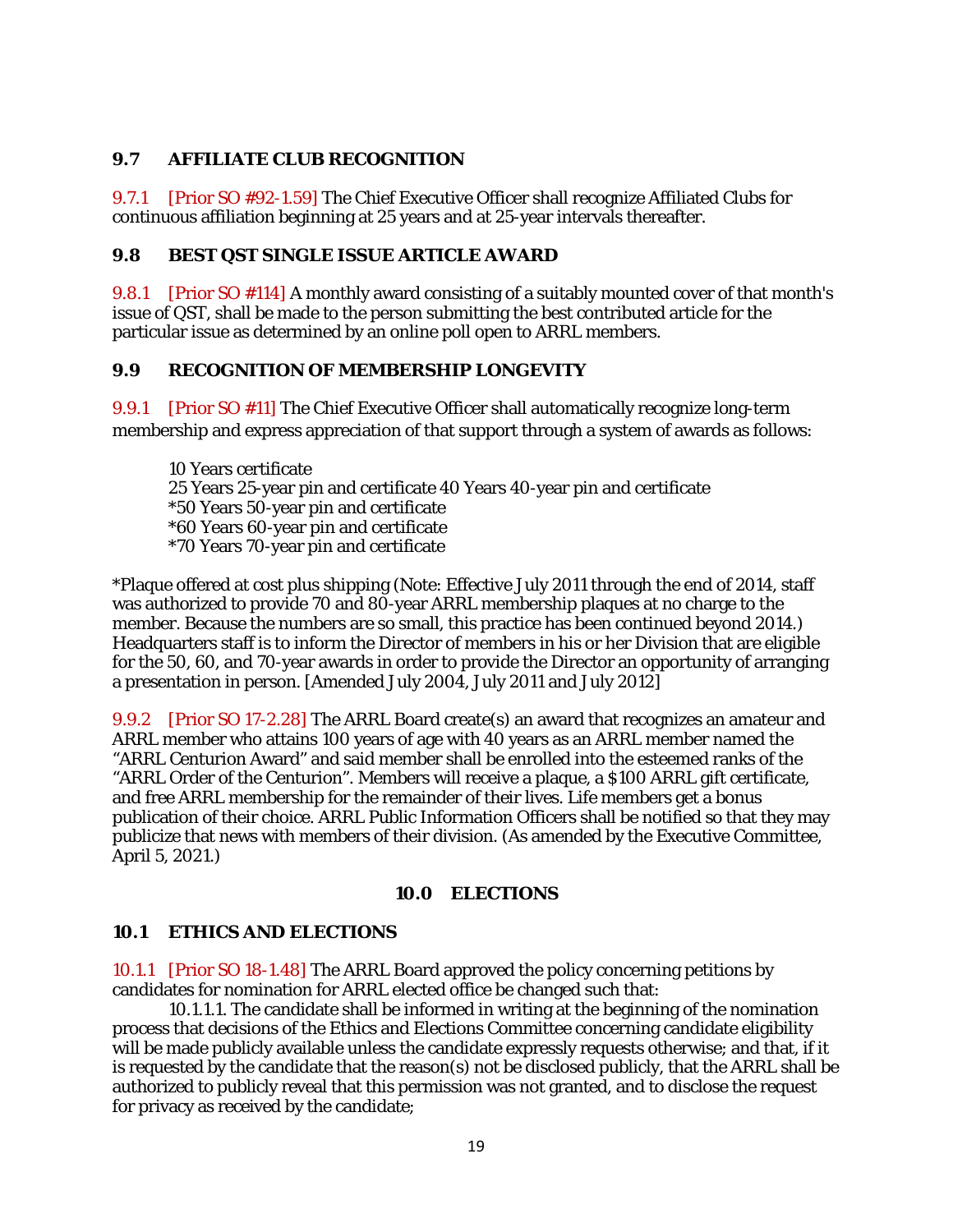#### <span id="page-48-0"></span>**9.7 AFFILIATE CLUB RECOGNITION**

9.7.1 [Prior SO #92-1.59] The Chief Executive Officer shall recognize Affiliated Clubs for continuous affiliation beginning at 25 years and at 25-year intervals thereafter.

#### <span id="page-48-1"></span>**9.8 BEST QST SINGLE ISSUE ARTICLE AWARD**

9.8.1 [Prior SO #114] A monthly award consisting of a suitably mounted cover of that month's issue of QST, shall be made to the person submitting the best contributed article for the particular issue as determined by an online poll open to ARRL members.

#### <span id="page-48-2"></span>**9.9 RECOGNITION OF MEMBERSHIP LONGEVITY**

9.9.1 [Prior SO #11] The Chief Executive Officer shall automatically recognize long-term membership and express appreciation of that support through a system of awards as follows:

10 Years certificate 25 Years 25-year pin and certificate 40 Years 40-year pin and certificate \*50 Years 50-year pin and certificate \*60 Years 60-year pin and certificate \*70 Years 70-year pin and certificate

\*Plaque offered at cost plus shipping (Note: Effective July 2011 through the end of 2014, staff was authorized to provide 70 and 80-year ARRL membership plaques at no charge to the member. Because the numbers are so small, this practice has been continued beyond 2014.) Headquarters staff is to inform the Director of members in his or her Division that are eligible for the 50, 60, and 70-year awards in order to provide the Director an opportunity of arranging a presentation in person. [Amended July 2004, July 2011 and July 2012]

9.9.2 [Prior SO 17-2.28] The ARRL Board create(s) an award that recognizes an amateur and ARRL member who attains 100 years of age with 40 years as an ARRL member named the "ARRL Centurion Award" and said member shall be enrolled into the esteemed ranks of the "ARRL Order of the Centurion". Members will receive a plaque, a \$100 ARRL gift certificate, and free ARRL membership for the remainder of their lives. Life members get a bonus publication of their choice. ARRL Public Information Officers shall be notified so that they may publicize that news with members of their division. (As amended by the Executive Committee, April 5, 2021.)

#### **10.0 ELECTIONS**

#### <span id="page-48-4"></span><span id="page-48-3"></span>**10.1 ETHICS AND ELECTIONS**

10.1.1 [Prior SO 18-1.48] The ARRL Board approved the policy concerning petitions by candidates for nomination for ARRL elected office be changed such that:

10.1.1.1. The candidate shall be informed in writing at the beginning of the nomination process that decisions of the Ethics and Elections Committee concerning candidate eligibility will be made publicly available unless the candidate expressly requests otherwise; and that, if it is requested by the candidate that the reason(s) not be disclosed publicly, that the ARRL shall be authorized to publicly reveal that this permission was not granted, and to disclose the request for privacy as received by the candidate;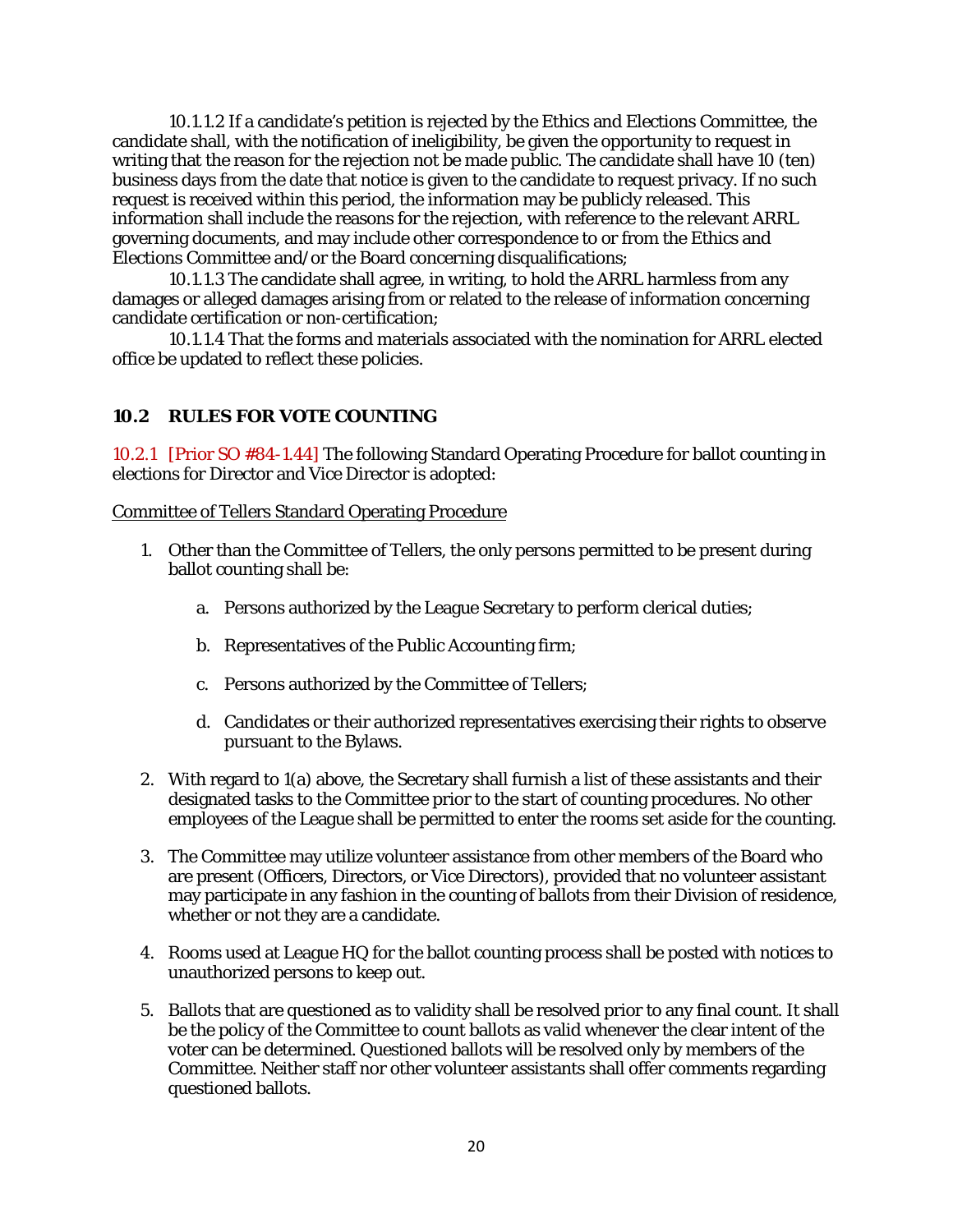10.1.1.2 If a candidate's petition is rejected by the Ethics and Elections Committee, the candidate shall, with the notification of ineligibility, be given the opportunity to request in writing that the reason for the rejection not be made public. The candidate shall have 10 (ten) business days from the date that notice is given to the candidate to request privacy. If no such request is received within this period, the information may be publicly released. This information shall include the reasons for the rejection, with reference to the relevant ARRL governing documents, and may include other correspondence to or from the Ethics and Elections Committee and/or the Board concerning disqualifications;

10.1.1.3 The candidate shall agree, in writing, to hold the ARRL harmless from any damages or alleged damages arising from or related to the release of information concerning candidate certification or non-certification;

10.1.1.4 That the forms and materials associated with the nomination for ARRL elected office be updated to reflect these policies.

#### <span id="page-49-0"></span>**10.2 RULES FOR VOTE COUNTING**

10.2.1 [Prior SO #84-1.44] The following Standard Operating Procedure for ballot counting in elections for Director and Vice Director is adopted:

#### Committee of Tellers Standard Operating Procedure

- 1. Other than the Committee of Tellers, the only persons permitted to be present during ballot counting shall be:
	- a. Persons authorized by the League Secretary to perform clerical duties;
	- b. Representatives of the Public Accounting firm;
	- c. Persons authorized by the Committee of Tellers;
	- d. Candidates or their authorized representatives exercising their rights to observe pursuant to the Bylaws.
- 2. With regard to 1(a) above, the Secretary shall furnish a list of these assistants and their designated tasks to the Committee prior to the start of counting procedures. No other employees of the League shall be permitted to enter the rooms set aside for the counting.
- 3. The Committee may utilize volunteer assistance from other members of the Board who are present (Officers, Directors, or Vice Directors), provided that no volunteer assistant may participate in any fashion in the counting of ballots from their Division of residence, whether or not they are a candidate.
- 4. Rooms used at League HQ for the ballot counting process shall be posted with notices to unauthorized persons to keep out.
- 5. Ballots that are questioned as to validity shall be resolved prior to any final count. It shall be the policy of the Committee to count ballots as valid whenever the clear intent of the voter can be determined. Questioned ballots will be resolved only by members of the Committee. Neither staff nor other volunteer assistants shall offer comments regarding questioned ballots.